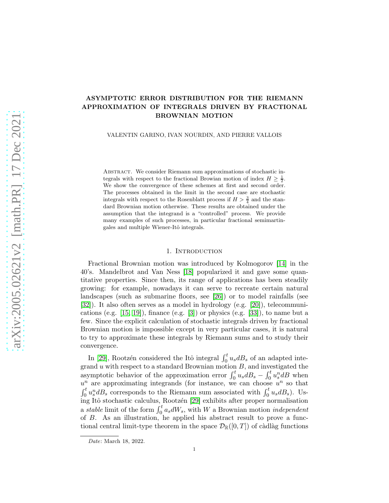# ASYMPTOTIC ERROR DISTRIBUTION FOR THE RIEMANN APPROXIMATION OF INTEGRALS DRIVEN BY FRACTIONAL BROWNIAN MOTION

VALENTIN GARINO, IVAN NOURDIN, AND PIERRE VALLOIS

Abstract. We consider Riemann sum approximations of stochastic integrals with respect to the fractional Browian motion of index  $H \geq \frac{1}{2}$ . We show the convergence of these schemes at first and second order. The processes obtained in the limit in the second case are stochastic integrals with respect to the Rosenblatt process if  $H > \frac{3}{4}$  and the standard Brownian motion otherwise. These results are obtained under the assumption that the integrand is a "controlled" process. We provide many examples of such processes, in particular fractional semimartingales and multiple Wiener-Itô integrals.

# 1. INTRODUCTION

Fractional Brownian motion was introduced by Kolmogorov [\[14\]](#page-49-0) in the 40's. Mandelbrot and Van Ness [\[18\]](#page-49-1) popularized it and gave some quantitative properties. Since then, its range of applications has been steadily growing: for example, nowadays it can serve to recreate certain natural landscapes (such as submarine floors, see [\[26\]](#page-50-0)) or to model rainfalls (see [\[32\]](#page-50-1)). It also often serves as a model in hydrology (e.g. [\[20\]](#page-49-2)), telecommunications (e.g.  $[15, 19]$  $[15, 19]$ ), finance (e.g.  $[3]$ ) or physics (e.g.  $[33]$ ), to name but a few. Since the explicit calculation of stochastic integrals driven by fractional Brownian motion is impossible except in very particular cases, it is natural to try to approximate these integrals by Riemann sums and to study their convergence.

In [\[29\]](#page-50-3), Rootzén considered the Itô integral  $\int_0^t u_s dB_s$  of an adapted integrand  $u$  with respect to a standard Brownian motion  $B$ , and investigated the asymptotic behavior of the approximation error  $\int_0^t u_s dB_s - \int_0^t u_s^m dB$  when  $u^n$  are approximating integrands (for instance, we can choose  $u^n$  so that  $\int_0^t u_s^n dB_s$  corresponds to the Riemann sum associated with  $\int_0^t u_s dB_s$ ). Us-ing Itô stochastic calculus, Rootzén [\[29\]](#page-50-3) exhibits after proper normalisation a *stable* limit of the form  $\int_0^t a_s dW_s$ , with W a Brownian motion *independent* of B. As an illustration, he applied his abstract result to prove a functional central limit-type theorem in the space  $\mathcal{D}_{\mathbb{R}}([0,T])$  of càdlàg functions

*Date*: March 18, 2022.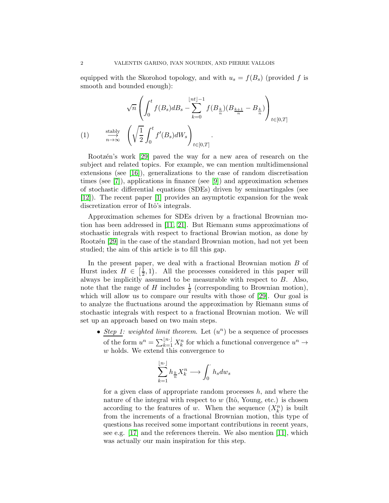equipped with the Skorohod topology, and with  $u_s = f(B_s)$  (provided f is smooth and bounded enough):

<span id="page-1-0"></span>
$$
\sqrt{n}\left(\int_0^t f(B_s)dB_s - \sum_{k=0}^{\lfloor nt \rfloor - 1} f(B_{\frac{k}{n}})(B_{\frac{k+1}{n}} - B_{\frac{k}{n}})\right)_{t \in [0,T]}
$$
\n
$$
(1) \qquad \xrightarrow[n \to \infty]{\text{stably}} \left(\sqrt{\frac{1}{2}} \int_0^t f'(B_s)dW_s\right)_{t \in [0,T]}
$$

Rootzén's work [\[29\]](#page-50-3) paved the way for a new area of research on the subject and related topics. For example, we can mention multidimensional extensions (see [\[16\]](#page-49-6)), generalizations to the case of random discretisation times (see [\[7\]](#page-49-7)), applications in finance (see [\[9\]](#page-49-8)) and approximation schemes of stochastic differential equations (SDEs) driven by semimartingales (see [\[12\]](#page-49-9)). The recent paper [\[1\]](#page-49-10) provides an asymptotic expansion for the weak discretization error of Itô's integrals.

Approximation schemes for SDEs driven by a fractional Brownian motion has been addressed in [\[11,](#page-49-11) [21\]](#page-49-12). But Riemann sums approximations of stochastic integrals with respect to fractional Browian motion, as done by Rootzen [\[29\]](#page-50-3) in the case of the standard Brownian motion, had not yet been studied; the aim of this article is to fill this gap.

In the present paper, we deal with a fractional Brownian motion B of Hurst index  $H \in \left[\frac{1}{2}\right]$  $(\frac{1}{2}, 1)$ . All the processes considered in this paper will always be implicitly assumed to be measurable with respect to  $B$ . Also, note that the range of H includes  $\frac{1}{2}$  (corresponding to Brownian motion), which will allow us to compare our results with those of [\[29\]](#page-50-3). Our goal is to analyze the fluctuations around the approximation by Riemann sums of stochastic integrals with respect to a fractional Brownian motion. We will set up an approach based on two main steps.

•  $Step 1: weighted limit theorem. Let  $(u^n)$  be a sequence of processes$ of the form  $u^n = \sum_{k=1}^{\lfloor n \rfloor} X_k^n$  for which a functional convergence  $u^n \to$ w holds. We extend this convergence to

$$
\sum_{k=1}^{\lfloor n \rfloor} h_{\frac{k}{n}} X_k^n \longrightarrow \int_0^{\cdot} h_s dw_s
$$

for a given class of appropriate random processes  $h$ , and where the nature of the integral with respect to  $w$  (Itô, Young, etc.) is chosen according to the features of w. When the sequence  $(X_k^n)$  is built from the increments of a fractional Brownian motion, this type of questions has received some important contributions in recent years, see e.g. [\[17\]](#page-49-13) and the references therein. We also mention [\[11\]](#page-49-11), which was actually our main inspiration for this step.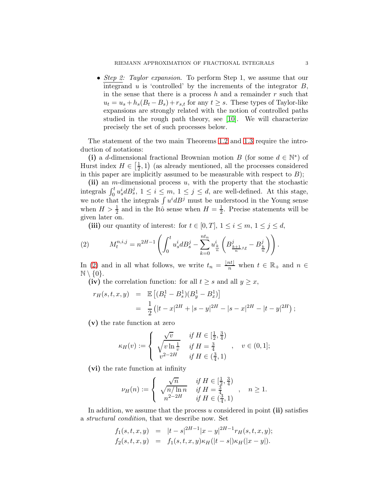• *Step 2: Taylor expansion*. To perform Step 1, we assume that our integrand  $u$  is 'controlled' by the increments of the integrator  $B$ , in the sense that there is a process  $h$  and a remainder  $r$  such that  $u_t = u_s + h_s(B_t - B_s) + r_{s,t}$  for any  $t \geq s$ . These types of Taylor-like expansions are strongly related with the notion of controlled paths studied in the rough path theory, see [\[10\]](#page-49-14). We will characterize precisely the set of such processes below.

The statement of the two main Theorems [1.2](#page-3-0) and [1.3](#page-4-0) require the introduction of notations:

(i) a d-dimensional fractional Brownian motion B (for some  $d \in \mathbb{N}^*$ ) of Hurst index  $H \in \left[\frac{1}{2}\right]$  $(\frac{1}{2}, 1)$  (as already mentioned, all the processes considered in this paper are implicitly assumed to be measurable with respect to  $B$ );

(ii) an *m*-dimensional process  $u$ , with the property that the stochastic integrals  $\int_0^t u_s^i dB_s^j$ ,  $1 \leq i \leq m$ ,  $1 \leq j \leq d$ , are well-defined. At this stage, we note that the integrals  $\int u^i dB^j$  must be understood in the Young sense when  $H > \frac{1}{2}$  and in the Itô sense when  $H = \frac{1}{2}$  $\frac{1}{2}$ . Precise statements will be given later on.

<span id="page-2-0"></span>(iii) our quantity of interest: for  $t \in [0, T]$ ,  $1 \le i \le m$ ,  $1 \le j \le d$ ,

(2) 
$$
M_t^{n,i,j} = n^{2H-1} \left( \int_0^t u_s^i dB_s^j - \sum_{k=0}^{nt_n} u_{\frac{k}{n}}^i \left( B_{\frac{k+1}{n}\wedge t}^j - B_{\frac{k}{n}}^j \right) \right).
$$

In [\(2\)](#page-2-0) and in all what follows, we write  $t_n = \frac{|nt|}{n}$  when  $t \in \mathbb{R}_+$  and  $n \in$  $\mathbb{N} \setminus \{0\}.$ 

(iv) the correlation function: for all  $t \geq s$  and all  $y \geq x$ ,

$$
r_H(s, t, x, y) = \mathbb{E}\left[ (B_t^1 - B_s^1)(B_y^1 - B_x^1) \right]
$$
  
= 
$$
\frac{1}{2} (|t - x|^{2H} + |s - y|^{2H} - |s - x|^{2H} - |t - y|^{2H});
$$

(v) the rate function at zero

$$
\kappa_H(v) := \begin{cases} \n\sqrt{v} & \text{if } H \in \left[\frac{1}{2}, \frac{3}{4}\right) \\
\sqrt{v \ln \frac{1}{v}} & \text{if } H = \frac{3}{4} \\
v^{2-2H} & \text{if } H \in \left(\frac{3}{4}, 1\right)\n\end{cases}, \quad v \in (0, 1];
$$

(vi) the rate function at infinity

$$
\nu_H(n) := \begin{cases} \n\frac{\sqrt{n}}{\sqrt{n/\ln n}} & \text{if } H \in \left[\frac{1}{2}, \frac{3}{4}\right) \\ \n\frac{\sqrt{n/\ln n}}{n^{2-2H}} & \text{if } H \in \left(\frac{3}{4}, 1\right) \n\end{cases}, \quad n \ge 1.
$$

In addition, we assume that the process  $u$  considered in point (ii) satisfies a *structural condition*, that we describe now. Set

$$
f_1(s,t,x,y) = |t-s|^{2H-1}|x-y|^{2H-1}r_H(s,t,x,y);
$$
  
\n
$$
f_2(s,t,x,y) = f_1(s,t,x,y)\kappa_H(|t-s|)\kappa_H(|x-y|).
$$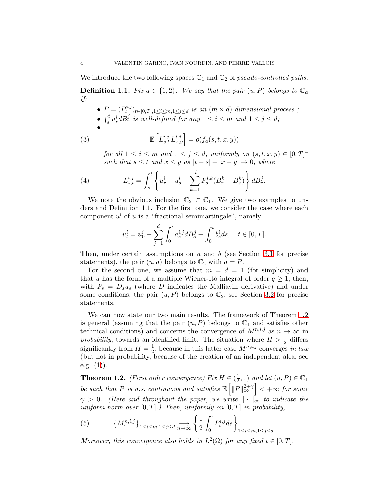<span id="page-3-1"></span>We introduce the two following spaces  $\mathbb{C}_1$  and  $\mathbb{C}_2$  of *pseudo-controlled paths*. **Definition 1.1.** *Fix*  $a \in \{1,2\}$ *. We say that the pair*  $(u, P)$  *belongs to*  $\mathbb{C}_a$ *if:*

 $\bullet$   $P = (P_t^{i,j})$  $\binom{n, j}{t}$ <sub>t∈[0,T],1 $\leq i \leq m, 1 \leq j \leq d$  *is an*  $(m \times d)$ *-dimensional process* ;</sub> •  $\int_s^t u_r^i dB_r^j$  is well-defined for any  $1 \leq i \leq m$  and  $1 \leq j \leq d$ ; •  $(3)$  $\left[L_{s,t}^{i,j} L_{x,y}^{i,j}\right] = o(f_a(s,t,x,y))$ 

<span id="page-3-4"></span><span id="page-3-3"></span>*for all*  $1 \leq i \leq m$  *and*  $1 \leq j \leq d$ *, uniformly on*  $(s, t, x, y) \in [0, T]^4$ *such that*  $s \leq t$  *and*  $x \leq y$  *as*  $|t - s| + |x - y| \to 0$ *, where* 

(4) 
$$
L_{s,t}^{i,j} = \int_s^t \left\{ u_r^i - u_s^i - \sum_{k=1}^d P_s^{i,k} (B_r^k - B_s^k) \right\} d B_r^j.
$$

We note the obvious inclusion  $\mathbb{C}_2 \subset \mathbb{C}_1$ . We give two examples to understand Definition [1.1.](#page-3-1) For the first one, we consider the case where each component  $u^i$  of u is a "fractional semimartingale", namely

$$
u_t^i = u_0^i + \sum_{j=1}^d \int_0^t a_s^{i,j} dB_s^j + \int_0^t b_s^i ds, \quad t \in [0, T].
$$

Then, under certain assumptions on  $a$  and  $b$  (see Section [3.1](#page-10-0) for precise statements), the pair  $(u, a)$  belongs to  $\mathbb{C}_2$  with  $a = P$ .

For the second one, we assume that  $m = d = 1$  (for simplicity) and that u has the form of a multiple Wiener-Itô integral of order  $q \geq 1$ ; then, with  $P_s = D_s u_s$  (where D indicates the Malliavin derivative) and under some conditions, the pair  $(u, P)$  belongs to  $\mathbb{C}_2$ , see Section [3.2](#page-14-0) for precise statements.

We can now state our two main results. The framework of Theorem [1.2](#page-3-0) is general (assuming that the pair  $(u, P)$  belongs to  $\mathbb{C}_1$  and satisfies other technical conditions) and concerns the convergence of  $M^{n,i,j}$  as  $n \to \infty$  in probability, towards an identified limit. The situation where  $H > \frac{1}{2}$  differs significantly from  $H=\frac{1}{2}$  $\frac{1}{2}$ , because in this latter case  $M^{n,i,j}$  converges *in law* (but not in probability, because of the creation of an independent alea, see e.g.  $(1)$ ).

<span id="page-3-0"></span>**Theorem 1.2.** *(First order convergence)*  $Fix H \in \left(\frac{1}{2}\right)$  $(\frac{1}{2}, 1)$  *and let*  $(u, P) \in \mathbb{C}_1$ *be such that* P *is a.s. continuous and satisfies*  $\mathbb{E} \left[ \left\| P \right\|_{\infty}^{2+\gamma} \right] < +\infty$  *for some*  $\gamma > 0$ . (Here and throughout the paper, we write  $\|\cdot\|_{\infty}$  to indicate the *uniform norm over*  $[0, T]$ *.) Then, uniformly on*  $[0, T]$  *in probability,* 

.

<span id="page-3-2"></span>(5) 
$$
\left\{M^{n,i,j}_{\cdot}\right\}_{1\leq i\leq m, 1\leq j\leq d} \underset{n\to\infty}{\longrightarrow} \left\{\frac{1}{2}\int_{0}^{i} P_{s}^{i,j}ds\right\}_{1\leq i\leq m, 1\leq j\leq d}
$$

Moreover, this convergence also holds in  $L^2(\Omega)$  for any fixed  $t \in [0, T]$ .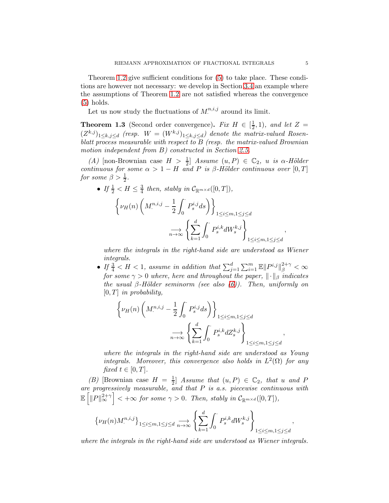Theorem [1.2](#page-3-0) give sufficient conditions for [\(5\)](#page-3-2) to take place. These conditions are however not necessary: we develop in Section [3.4](#page-28-0) an example where the assumptions of Theorem [1.2](#page-3-0) are not satisfied whereas the convergence [\(5\)](#page-3-2) holds.

Let us now study the fluctuations of  $M^{n,i,j}$  around its limit.

<span id="page-4-0"></span>**Theorem 1.3** (Second order convergence). *Fix*  $H \in \left[\frac{1}{2}\right]$  $(\frac{1}{2},1)$ *, and let*  $Z=$  $(Z^{k,j})_{1\leq k,j\leq d}$  (resp.  $W=(W^{k,j})_{1\leq k,j\leq d}$ ) denote the matrix-valued Rosen*blatt process measurable with respect to* B *(resp. the matrix-valued Brownian motion independent from* B*) constructed in Section [2.5.](#page-9-0)*

*(A)* [non-Brownian case  $H > \frac{1}{2}$ ] *Assume*  $(u, P) \in \mathbb{C}_2$ *, u is*  $\alpha$ *-Hölder continuous for some*  $\alpha > 1 - H$  *and* P *is*  $\beta$ -Hölder continuous over [0, T] *for some*  $\beta > \frac{1}{2}$ *.* 

• If 
$$
\frac{1}{2} < H \leq \frac{3}{4}
$$
 then, stably in  $\mathcal{C}_{\mathbb{R}^{m \times d}}([0, T]),$ 

$$
\left\{\nu_H(n)\left(M^{n,i,j}_\cdot-\frac{1}{2}\int_0^\cdot P^{i,j}_s ds\right)\right\}_{1\leq i\leq m, 1\leq j\leq d}
$$

$$
\underset{n\to\infty}{\longrightarrow}\left\{\sum_{k=1}^d\int_0^\cdot P^{i,k}_sdW^{k,j}_s\right\}_{1\leq i\leq m, 1\leq j\leq d}
$$

*where the integrals in the right-hand side are understood as Wiener integrals.*

• If  $\frac{3}{4} < H < 1$ , assume in addition that  $\sum_{j=1}^{d} \sum_{i=1}^{m} \mathbb{E} ||P^{i,j}||_{\beta}^{2+\gamma} < \infty$ *for some*  $\gamma > 0$  *where, here and throughout the paper,*  $\|\cdot\|_{\beta}$  *indicates the usual* β*-H¨older seminorm (see also [\(6\)](#page-5-0)). Then, uniformly on* [0, T] *in probability,*

$$
\left\{\nu_H(n)\left(M^{n,i,j}_\cdot-\frac{1}{2}\int_0^\cdot P^{i,j}_s ds\right)\right\}_{1\leq i\leq m, 1\leq j\leq d}
$$

$$
\xrightarrow[n\to\infty]{} \left\{\sum_{k=1}^d\int_0^\cdot P^{i,k}_sdZ^{k,j}_s\right\}_{1\leq i\leq m, 1\leq j\leq d}
$$

*where the integrals in the right-hand side are understood as Young integrals. Moreover, this convergence also holds in*  $L^2(\Omega)$  *for any fixed*  $t \in [0, T]$ *.* 

(*B*) [Brownian case  $H = \frac{1}{2}$  $\frac{1}{2}$  *Assume that*  $(u, P) \in \mathbb{C}_2$ *, that* u and P *are progressively measurable, and that* P *is a.s. piecewise continuous with*  $\mathbb{E}\left[\left\Vert P\right\Vert _{\infty}^{2+\gamma}\right]<+\infty$  for some  $\gamma>0$ . Then, stably in  $\mathcal{C}_{\mathbb{R}^{m\times d}}([0,T]),$ 

$$
\left\{\nu_H(n)M^{n,i,j}_\cdot\right\}_{1\leq i\leq m, 1\leq j\leq d} \underset{n\to\infty}{\longrightarrow} \left\{\sum_{k=1}^d \int_0^\cdot P^{i,k}_s dW^{k,j}_s \right\}_{1\leq i\leq m, 1\leq j\leq d},
$$

*where the integrals in the right-hand side are understood as Wiener integrals.*

,

,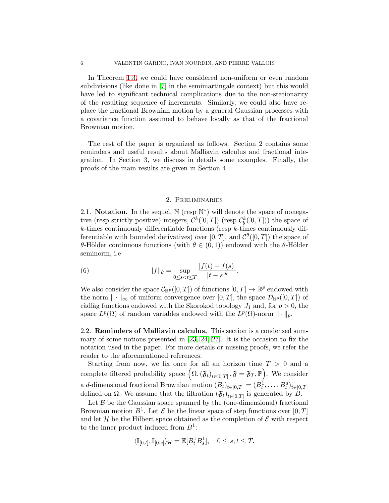In Theorem [1.3,](#page-4-0) we could have considered non-uniform or even random subdivisions (like done in [\[7\]](#page-49-7) in the semimartingale context) but this would have led to significant technical complications due to the non-stationarity of the resulting sequence of increments. Similarly, we could also have replace the fractional Brownian motion by a general Gaussian processes with a covariance function assumed to behave locally as that of the fractional Brownian motion.

The rest of the paper is organized as follows. Section 2 contains some reminders and useful results about Malliavin calculus and fractional integration. In Section 3, we discuss in details some examples. Finally, the proofs of the main results are given in Section 4.

## 2. Preliminaries

2.1. Notation. In the sequel,  $\mathbb{N}$  (resp  $\mathbb{N}^*$ ) will denote the space of nonegative (resp strictly positive) integers,  $\mathcal{C}^k([0,T])$  (resp  $\mathcal{C}^k_b([0,T])$ ) the space of  $k$ -times continuously differentiable functions (resp  $k$ -times continuously differentiable with bounded derivatives) over  $[0, T]$ , and  $\mathcal{C}^{\theta}([0, T])$  the space of θ-Hölder continuous functions (with  $θ ∈ (0,1)$ ) endowed with the θ-Hölder seminorm, i.e

<span id="page-5-0"></span>(6) 
$$
||f||_{\theta} = \sup_{0 \le s < t \le T} \frac{|f(t) - f(s)|}{|t - s|^{\theta}}.
$$

We also consider the space  $\mathcal{C}_{\mathbb{R}^p}([0,T])$  of functions  $[0,T] \to \mathbb{R}^p$  endowed with the norm  $\|\cdot\|_{\infty}$  of uniform convergence over [0, T], the space  $\mathcal{D}_{\mathbb{R}^p}([0,T])$  of càdlàg functions endowed with the Skorokod topology  $J_1$  and, for  $p > 0$ , the space  $L^p(\Omega)$  of random variables endowed with the  $L^p(\Omega)$ -norm  $\|\cdot\|_p$ .

2.2. Reminders of Malliavin calculus. This section is a condensed summary of some notions presented in [\[23,](#page-50-4) [24,](#page-50-5) [27\]](#page-50-6). It is the occasion to fix the notation used in the paper. For more details or missing proofs, we refer the reader to the aforementioned references.

Starting from now, we fix once for all an horizon time  $T > 0$  and a complete filtered probability space  $(\Omega, (\mathfrak{F}_t)_{t \in [0,T]}, \mathfrak{F} = \mathfrak{F}_T, \mathbb{P})$ . We consider a d-dimensional fractional Brownian motion  $(B_t)_{t\in[0,T]} = (B_t^1, \ldots, B_t^d)_{t\in[0,T]}$ defined on  $\Omega$ . We assume that the filtration  $(\mathfrak{F}_t)_{t\in[0,T]}$  is generated by B.

Let  $\beta$  be the Gaussian space spanned by the (one-dimensional) fractional Brownian motion  $B^1$ . Let  $\mathcal E$  be the linear space of step functions over  $[0, T]$ and let  $\mathcal H$  be the Hilbert space obtained as the completion of  $\mathcal E$  with respect to the inner product induced from  $B^1$ :

$$
\langle \mathbb{I}_{[0,t]}, \mathbb{I}_{[0,s]} \rangle_{\mathcal{H}} = \mathbb{E}[B_t^1 B_s^1], \quad 0 \le s, t \le T.
$$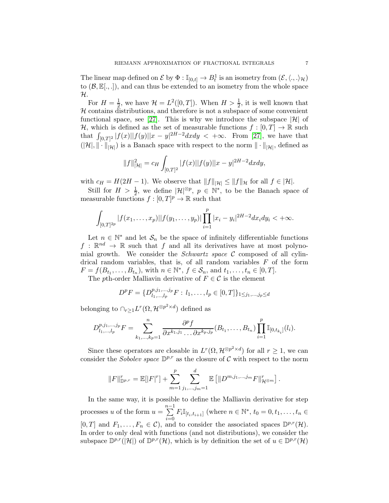The linear map defined on  $\mathcal E$  by  $\Phi: \mathbb{I}_{[0,t]} \to B_t^1$  is an isometry from  $(\mathcal E, \langle ., .\rangle_{\mathcal H})$ to  $(\mathcal{B}, \mathbb{E}[.,.]),$  and can thus be extended to an isometry from the whole space H.

For  $H=\frac{1}{2}$  $\frac{1}{2}$ , we have  $\mathcal{H} = L^2([0,T])$ . When  $H > \frac{1}{2}$ , it is well known that  $H$  contains distributions, and therefore is not a subspace of some convenient functional space, see [\[27\]](#page-50-6). This is why we introduce the subspace  $|\mathcal{H}|$  of H, which is defined as the set of measurable functions  $f : [0, T] \to \mathbb{R}$  such that  $\int_{[0,T]^2} |f(x)||f(y)||x - y|^{2H-2} dx dy < +\infty$ . From [\[27\]](#page-50-6), we have that  $(|\mathcal{H}|, \|\cdot\|_{|\mathcal{H}|})$  is a Banach space with respect to the norm  $\|\cdot\|_{|\mathcal{H}|}$ , defined as

$$
||f||_{|\mathcal{H}|}^2 = c_H \int_{[0,T]^2} |f(x)| |f(y)| |x-y|^{2H-2} dx dy,
$$

with  $c_H = H(2H - 1)$ . We observe that  $||f||_{\mathcal{H}} \le ||f||_{\mathcal{H}}$  for all  $f \in |\mathcal{H}|$ .

Still for  $H > \frac{1}{2}$ , we define  $|\mathcal{H}|^{\otimes p}$ ,  $p \in \mathbb{N}^*$ , to be the Banach space of measurable functions  $f : [0, T]^p \to \mathbb{R}$  such that

$$
\int_{[0,T]^{2p}}|f(x_1,\ldots,x_p)||f(y_1,\ldots,y_p)|\prod_{i=1}^p|x_i-y_i|^{2H-2}dx_idy_i<+\infty.
$$

Let  $n \in \mathbb{N}^*$  and let  $\mathcal{S}_n$  be the space of infinitely differentiable functions  $f : \mathbb{R}^{nd} \to \mathbb{R}$  such that f and all its derivatives have at most polynomial growth. We consider the *Schwartz space* C composed of all cylindrical random variables, that is, of all random variables  $F$  of the form  $F = f(B_{t_1},...,B_{t_n}),$  with  $n \in \mathbb{N}^*, f \in S_n$ , and  $t_1,...,t_n \in [0,T].$ 

The pth-order Malliavin derivative of  $F \in \mathcal{C}$  is the element

$$
D^{p}F = \{D_{l_1,\ldots,l_p}^{p,j_1,\ldots,j_p}F : l_1,\ldots,l_p \in [0,T]\}_{1 \leq j_1,\ldots,j_p \leq d}
$$

belonging to  $\bigcap_{r\geq 1} L^r(\Omega, \mathcal{H}^{\otimes p^2 \times d})$  defined as

$$
D_{l_1,...,l_p}^{p,j_1,...,j_p}F = \sum_{k_1,...,k_p=1}^n \frac{\partial^p f}{\partial x^{k_1,j_1} \dots \partial x^{k_p,j_p}} (B_{t_1},...,B_{t_n}) \prod_{i=1}^p \mathbb{I}_{[0,t_{k_i}]}(l_i).
$$

Since these operators are closable in  $L^r(\Omega, \mathcal{H}^{\otimes p^2 \times d})$  for all  $r \geq 1$ , we can consider the *Sobolev space*  $\mathbb{D}^{p,r}$  as the closure of C with respect to the norm

$$
||F||_{\mathbb{D}^{p,r}}^r = \mathbb{E}[|F|^r] + \sum_{m=1}^p \sum_{j_1,\dots,j_m=1}^d \mathbb{E}[||D^{m,j_1,\dots,j_m}F||_{\mathcal{H}^{\otimes m}}^r].
$$

In the same way, it is possible to define the Malliavin derivative for step processes u of the form  $u = \sum_{n=1}^{n-1}$  $\sum_{i=0}^{n} F_i \mathbb{I}_{[t_i,t_{i+1}]}$  (where  $n \in \mathbb{N}^*, t_0 = 0, t_1, \dots, t_n \in$  $[0, T]$  and  $F_1, \ldots, F_n \in \mathcal{C}$ , and to consider the associated spaces  $\mathbb{D}^{p,r}(\mathcal{H})$ . In order to only deal with functions (and not distributions), we consider the subspace  $\mathbb{D}^{p,r}(|\mathcal{H}|)$  of  $\mathbb{D}^{p,r}(\mathcal{H})$ , which is by definition the set of  $u \in \mathbb{D}^{p,r}(\mathcal{H})$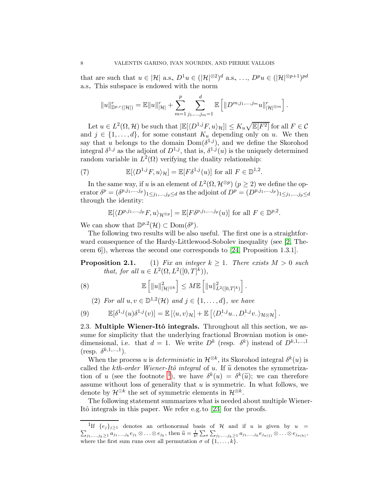that are such that  $u \in |\mathcal{H}|$  a.s,  $D^1u \in (|\mathcal{H}|^{\otimes 2})^d$  a.s, ...,  $D^p u \in (|\mathcal{H}|^{\otimes p+1})^{pd}$ a.s.. This subspace is endowed with the norm

$$
||u||_{\mathbb{D}^{p,r}(|\mathcal{H}|)}^r = \mathbb{E}||u||_{|\mathcal{H}|}^r + \sum_{m=1}^p \sum_{j_1,\ldots,j_m=1}^d \mathbb{E} \left[||D^{m,j_1,\ldots,j_m}u||_{|\mathcal{H}|^{\otimes m}}^r\right].
$$

Let  $u \in L^2(\Omega, \mathcal{H})$  be such that  $|\mathbb{E}[\langle D^{1,j}F, u \rangle_{\mathcal{H}}]| \leq K_u \sqrt{\mathbb{E}[F^2]}$  for all  $F \in \mathcal{C}$ and  $j \in \{1, \ldots, d\}$ , for some constant  $K_u$  depending only on u. We then say that u belongs to the domain  $Dom(\delta^{1,j})$ , and we define the Skorohod integral  $\delta^{1,j}$  as the adjoint of  $D^{1,j}$ , that is,  $\delta^{1,j}(u)$  is the uniquely determined random variable in  $L^2(\Omega)$  verifying the duality relationship:

(7) 
$$
\mathbb{E}[\langle D^{1,j}F, u \rangle_{\mathcal{H}}] = \mathbb{E}[F\delta^{1,j}(u)] \text{ for all } F \in \mathbb{D}^{1,2}.
$$

In the same way, if u is an element of  $L^2(\Omega, \mathcal{H}^{\otimes p})(p \ge 2)$  we define the operator  $\delta^p = (\delta^{p,j_1,...,j_p})_{1 \leq j_1,...,j_p \leq d}$  as the adjoint of  $D^p = (D^{p,j_1,...,j_p})_{1 \leq j_1,...,j_p \leq d}$ through the identity:

$$
\mathbb{E}[\langle D^{p,j_1,\ldots,j_p}F,u\rangle_{\mathcal{H}^{\otimes p}}]=\mathbb{E}[F\delta^{p,j_1,\ldots,j_p}(u)]\text{ for all }F\in\mathbb{D}^{p,2}.
$$

We can show that  $\mathbb{D}^{p,2}(\mathcal{H}) \subset \text{Dom}(\delta^p)$ .

The following two results will be also useful. The first one is a straightforward consequence of the Hardy-Littlewood-Sobolev inequality (see [\[2,](#page-49-15) Theorem 6]), whereas the second one corresponds to [\[24,](#page-50-5) Proposition 1.3.1].

**Proposition 2.1.** (1) *Fix an integer*  $k \geq 1$ *. There exists*  $M > 0$  *such that, for all*  $u \in L^2(\Omega, L^2([0, T]^k)),$ 

(8) 
$$
\mathbb{E}\left[\|u\|_{|\mathcal{H}|^{\otimes k}}^2\right] \leq M \mathbb{E}\left[\|u\|_{L^2([0,T]^k)}^2\right].
$$

<span id="page-7-2"></span><span id="page-7-1"></span>(2) For all 
$$
u, v \in \mathbb{D}^{1,2}(\mathcal{H})
$$
 and  $j \in \{1, \ldots, d\}$ , we have

(9) 
$$
\mathbb{E}[\delta^{1,j}(u)\delta^{1,j}(v)] = \mathbb{E}[(u,v)\mathcal{H}] + \mathbb{E}[(D^{1,j}u\mathcal{H}, D^{1,j}v\mathcal{H})\mathcal{H}\otimes\mathcal{H}].
$$

2.3. Multiple Wiener-Itô integrals. Throughout all this section, we assume for simplicity that the underlying fractional Brownian motion is onedimensional, i.e. that  $d = 1$ . We write  $D^k$  (resp.  $\delta^k$ ) instead of  $D^{k,1,\dots,1}$  $(\text{resp. } \delta^{k,1,...,1}).$ 

When the process u is *deterministic* in  $\mathcal{H}^{\otimes k}$ , its Skorohod integral  $\delta^k(u)$  is called the *kth-order Wiener-Itô integral* of u. If  $\tilde{u}$  denotes the symmetriza-tion of u (see the footnote <sup>[1](#page-7-0)</sup>), we have  $\delta^k(u) = \delta^k(\tilde{u})$ ; we can therefore assume without loss of generality that  $u$  is symmetric. In what follows, we denote by  $\mathcal{H}^{\odot k}$  the set of symmetric elements in  $\mathcal{H}^{\otimes k}$ .

The following statement summarizes what is needed about multiple Wiener-Itô integrals in this paper. We refer e.g. to [\[23\]](#page-50-4) for the proofs.

<span id="page-7-0"></span><sup>&</sup>lt;sup>1</sup>If  $\{e_j\}_{j\geq 1}$  denotes an orthonormal basis of H and if u is given by u =  $\sum_{j_1,\ldots,j_k\geq 1}a_{j_1,\ldots,j_k}e_{j_1}\otimes\ldots\otimes e_{j_k},\text{ then }\widetilde{u}=\frac{1}{k!}\sum_{\sigma}\sum_{j_1,\ldots,j_k\geq 1}a_{j_1,\ldots,j_k}e_{j_{\sigma(1)}}\otimes\ldots\otimes e_{j_{\sigma(k)}},$ where the first sum runs over all permutation  $\sigma$  of  $\{1, \ldots, k\}$ .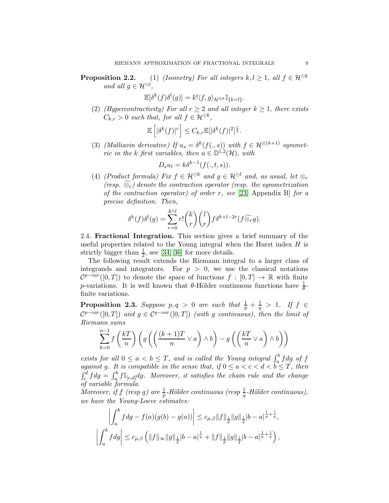**Proposition 2.2.** (1) *(Isometry) For all integers*  $k, l \geq 1$ *, all*  $f \in \mathcal{H}^{\odot k}$ *and all*  $g \in \mathcal{H}^{\odot l}$ *,*

$$
\mathbb{E}[\delta^k(f)\delta^l(g)] = k! \langle f, g \rangle_{\mathcal{H}^{\otimes k}} \mathbb{I}_{\{k=l\}}.
$$

(2) *(Hypercontractivity)* For all  $r \geq 2$  and all integer  $k \geq 1$ , there exists  $C_{k,r} > 0$  such that, for all  $f \in \mathcal{H}^{\odot k}$ ,

$$
\mathbb{E}\left[|\delta^k(f)|^r\right] \leq C_{k,r}\mathbb{E}[|\delta^k(f)|^2]^{\frac{r}{2}}.
$$

(3) *(Malliavin derivative)* If  $u_s = \delta^k(f(., s))$  with  $f \in \mathcal{H}^{\otimes (k+1)}$  symmet*ric in the k first variables, then*  $u \in \mathbb{D}^{1,2}(\mathcal{H})$ *, with* 

$$
D_s u_t = k \delta^{k-1}(f(.,t,s)).
$$

<span id="page-8-1"></span>(4) *(Product formula)* Fix  $f \in \mathcal{H}^{\odot k}$  and  $g \in \mathcal{H}^{\odot l}$  and, as usual, let  $\otimes_r$ *(resp.*  $\widetilde{\otimes}_r$ *)* denote the contraction operator (resp. the symmetrization *of the contraction operator) of order* r*, see* [\[23,](#page-50-4) Appendix B] *for a precise definition. Then,*

$$
\delta^{k}(f)\delta^{l}(g) = \sum_{r=0}^{k \wedge l} r! \binom{k}{r} \binom{l}{r} f \delta^{k+l-2r}(f \widetilde{\otimes}_r g).
$$

2.4. Fractional Integration. This section gives a brief summary of the useful properties related to the Young integral when the Hurst index  $H$  is strictly bigger than  $\frac{1}{2}$ , see [\[34,](#page-50-7) [36\]](#page-50-8) for more details.

The following result extends the Riemann integral to a larger class of integrands and integrators. For  $p > 0$ , we use the classical notations  $\mathcal{C}^{p-var}([0,T])$  to denote the space of functions  $f : [0,T] \to \mathbb{R}$  with finite p-variations. It is well known that  $\theta$ -Hölder continuous functions have  $\frac{1}{\theta}$ finite variations.

<span id="page-8-0"></span>**Proposition 2.3.** Suppose  $p, q > 0$  are such that  $\frac{1}{p} + \frac{1}{q} > 1$ . If  $f \in$  $\mathcal{C}^{p-var}([0,T])$  and  $g \in \mathcal{C}^{q-var}([0,T])$  *(with* g *continuous)*, then the limit of *Riemann sums*

$$
\sum_{k=0}^{n-1} f\left(\frac{kT}{n}\right) \left(g\left(\left(\frac{(k+1)T}{n} \vee a\right) \wedge b\right) - g\left(\left(\frac{kT}{n} \vee a\right) \wedge b\right)\right)
$$

*exists for all*  $0 \le a < b \le T$ , and is called the Young integral  $\int_a^b f \, dg$  of f *against g.* It is compatible in the sense that, if  $0 \le a < c < d < b \le T$ , then  $\int_c^d f dg = \int_a^b f \mathbb{I}_{[c,d]} dg$ . Moreover, it satisfies the chain rule and the change *of variable formula.*

*Moreover, if*  $f$  (resp  $g$ ) are  $\frac{1}{p}$ -Hölder continuous (resp  $\frac{1}{q}$ -Hölder continuous), *we have the Young-Loeve estimates:*

$$
\left| \int_{a}^{b} f dg - f(a)(g(b) - g(a)) \right| \leq c_{\mu,\beta} \|f\|_{\frac{1}{p}} \|g\|_{\frac{1}{q}} |b - a|^{\frac{1}{p} + \frac{1}{q}},
$$
  

$$
\left| \int_{a}^{b} f dg \right| \leq c_{\mu,\beta} \left( \|f\|_{\infty} \|g\|_{\frac{1}{q}} |b - a|^{\frac{1}{q}} + \|f\|_{\frac{1}{p}} \|g\|_{\frac{1}{q}} |b - a|^{\frac{1}{p} + \frac{1}{q}} \right),
$$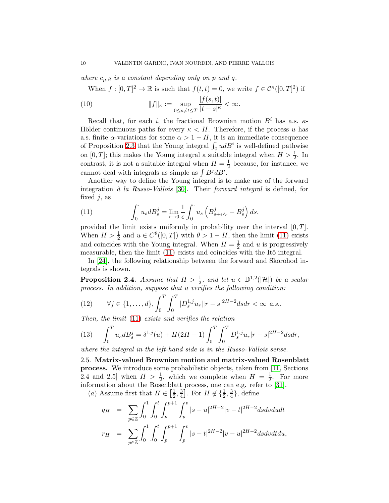*where*  $c_{\mu,\beta}$  *is a constant depending only on p and q.* 

<span id="page-9-2"></span>When  $f: [0, T]^2 \to \mathbb{R}$  is such that  $f(t,t) = 0$ , we write  $f \in C^{\kappa}([0, T]^2)$  if

(10) 
$$
||f||_{\kappa} := \sup_{0 \le s \neq t \le T} \frac{|f(s,t)|}{|t-s|^{\kappa}} < \infty.
$$

Recall that, for each i, the fractional Brownian motion  $B^i$  has a.s.  $\kappa$ -Hölder continuous paths for every  $\kappa < H$ . Therefore, if the process u has a.s. finite  $\alpha$ -variations for some  $\alpha > 1 - H$ , it is an immediate consequence of Proposition [2.3](#page-8-0) that the Young integral  $\int_0^{\cdot} u dB^i$  is well-defined pathwise on [0, T]; this makes the Young integral a suitable integral when  $H > \frac{1}{2}$ . In contrast, it is not a suitable integral when  $H = \frac{1}{2}$  $\frac{1}{2}$  because, for instance, we cannot deal with integrals as simple as  $\int B^j dB^i$ .

Another way to define the Young integral is to make use of the forward integration *`a la Russo-Vallois* [\[30\]](#page-50-9). Their *forward integral* is defined, for fixed  $i$ , as

<span id="page-9-1"></span>(11) 
$$
\int_0^{\cdot} u_s dB_s^j = \lim_{\epsilon \to 0} \frac{1}{\epsilon} \int_0^{\cdot} u_s \left( B_{s+\epsilon \wedge \cdot}^j - B_s^j \right) ds,
$$

provided the limit exists uniformly in probability over the interval  $[0, T]$ . When  $H > \frac{1}{2}$  and  $u \in C^{\theta}([0, T])$  with  $\theta > 1 - H$ , then the limit [\(11\)](#page-9-1) exists and coincides with the Young integral. When  $H = \frac{1}{2}$  $\frac{1}{2}$  and u is progressively measurable, then the limit  $(11)$  exists and coincides with the Itô integral.

In [\[24\]](#page-50-5), the following relationship between the forward and Skorohod integrals is shown.

<span id="page-9-3"></span>**Proposition 2.4.** *Assume that*  $H > \frac{1}{2}$ , and let  $u \in \mathbb{D}^{1,2}(|\mathcal{H}|)$  be a scalar *process. In addition, suppose that* u *verifies the following condition:*

(12) 
$$
\forall j \in \{1, ..., d\}, \int_0^T \int_0^T |D_s^{1,j}u_r||r-s|^{2H-2} ds dr < \infty \text{ a.s.}.
$$

*Then, the limit* [\(11\)](#page-9-1) *exists and verifies the relation*

<span id="page-9-4"></span>(13) 
$$
\int_0^T u_s dB_s^j = \delta^{1,j}(u) + H(2H - 1) \int_0^T \int_0^T D_s^{1,j} u_r |r - s|^{2H - 2} ds dr,
$$

<span id="page-9-0"></span>*where the integral in the left-hand side is in the Russo-Vallois sense.*

2.5. Matrix-valued Brownian motion and matrix-valued Rosenblatt process. We introduce some probabilistic objects, taken from [\[11,](#page-49-11) Sections 2.4 and 2.5] when  $H > \frac{1}{2}$ , which we complete when  $H = \frac{1}{2}$  $\frac{1}{2}$ . For more information about the Rosenblatt process, one can e.g. refer to [\[31\]](#page-50-10).

(*a*) Assume first that  $H \in \left[\frac{1}{2}\right]$  $\frac{1}{2}, \frac{3}{4}$  $\frac{3}{4}$ . For  $H \notin \{\frac{1}{2}, \frac{3}{4}\}$  $\frac{3}{4}\},$  define

$$
q_H = \sum_{p \in \mathbb{Z}} \int_0^1 \int_0^t \int_p^{p+1} \int_p^v |s-u|^{2H-2} |v-t|^{2H-2} ds dv du dt
$$
  
\n
$$
r_H = \sum_{p \in \mathbb{Z}} \int_0^1 \int_0^t \int_p^{p+1} \int_p^v |s-t|^{2H-2} |v-u|^{2H-2} ds dv dt du,
$$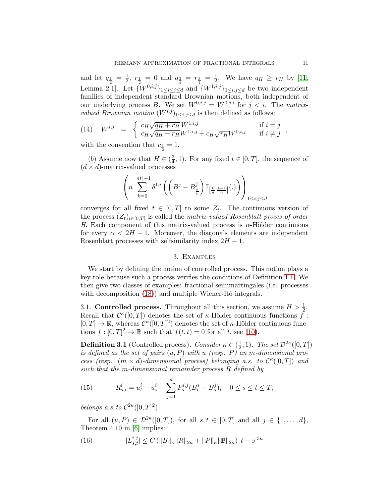and let  $q_{\frac{1}{2}} = \frac{1}{2}$  $\frac{1}{2}$ ,  $r_{\frac{1}{2}} = 0$  and  $q_{\frac{3}{4}} = r_{\frac{3}{4}} = \frac{1}{2}$  $\frac{1}{2}$ . We have  $q_H \geq r_H$  by [\[11,](#page-49-11) Lemma 2.1]. Let  $\{W^{0,i,j}\}_{1\leq i\leq j\leq d}$  and  $\{W^{1,i,j}\}_{1\leq i,j\leq d}$  be two independent families of independent standard Brownian motions, both independent of our underlying process B. We set  $W^{0,i,j} = W^{0,j,i}$  for  $j < i$ . The *matrixvalued Brownian motion*  $(W^{i,j})_{1 \leq i,j \leq d}$  is then defined as follows:

<span id="page-10-4"></span>(14) 
$$
W^{i,j} = \begin{cases} c_H \sqrt{q_H + r_H} W^{1,i,j} & \text{if } i = j \\ c_H \sqrt{q_H - r_H} W^{1,i,j} + c_H \sqrt{r_H} W^{0,i,j} & \text{if } i \neq j \end{cases}
$$

with the convention that  $c_{\frac{1}{2}} = 1$ .

(*b*) Assume now that  $H \in \left(\frac{3}{4}\right)$  $\frac{3}{4}$ , 1). For any fixed  $t \in [0, T]$ , the sequence of  $(d \times d)$ -matrix-valued processes

$$
\left(n\sum_{k=0}^{\lfloor nt \rfloor-1} \delta^{1,i}\left(\left(B^j-B^j_{\frac{k}{n}}\right)\mathbb{I}_{\left[\frac{k}{n},\frac{k+1}{n}\right]}(.)\right)\right)_{1\leq i,j\leq d}
$$

converges for all fixed  $t \in [0,T]$  to some  $Z_t$ . The continuous version of the process  $(Z_t)_{t \in [0,T]}$  is called the *matrix-valued Rosenblatt proces of order H*. Each component of this matrix-valued process is  $\alpha$ -Hölder continuous for every  $\alpha < 2H - 1$ . Moreover, the diagonals elements are independent Rosenblatt processes with selfsimilarity index  $2H - 1$ .

# 3. Examples

We start by defining the notion of controlled process. This notion plays a key role because such a process verifies the conditions of Definition [1.1.](#page-3-1) We then give two classes of examples: fractional semimartingales (i.e. processes with decomposition  $(18)$  and multiple Wiener-Itô integrals.

<span id="page-10-0"></span>3.1. Controlled process. Throughout all this section, we assume  $H > \frac{1}{2}$ . Recall that  $\mathcal{C}^{\kappa}([0,T])$  denotes the set of  $\kappa$ -Hölder continuous functions  $\tilde{f}$ :  $[0, T] \to \mathbb{R}$ , whereas  $\mathcal{C}^{\kappa}([0, T]^2)$  denotes the set of  $\kappa$ -Hölder continuous functions  $f : [0, T]^2 \to \mathbb{R}$  such that  $f(t, t) = 0$  for all t, see [\(10\)](#page-9-2).

<span id="page-10-1"></span>**Definition 3.1** (Controlled process). *Consider*  $\kappa \in (\frac{1}{2})$  $(\frac{1}{2}, 1)$ *. The set*  $\mathcal{D}^{2\kappa}([0, T])$ *is defined as the set of pairs*  $(u, P)$  *with* u *(resp. P)* an *m*-dimensional pro*cess (resp.*  $(m \times d)$ *-dimensional process) belonging a.s. to*  $C^{\kappa}([0,T])$  *and such that the* m*-dimensional remainder process* R *defined by*

<span id="page-10-2"></span>(15) 
$$
R_{s,t}^i = u_t^i - u_s^i - \sum_{j=1}^d P_s^{i,j} (B_t^j - B_s^j), \quad 0 \le s \le t \le T,
$$

*belongs a.s. to*  $C^{2\kappa}([0,T]^2)$ *.* 

For all  $(u, P) \in \mathcal{D}^{2\kappa}([0, T]),$  for all  $s, t \in [0, T]$  and all  $j \in \{1, \ldots, d\},$ Theorem 4.10 in [\[6\]](#page-49-16) implies:

<span id="page-10-3"></span>(16) 
$$
|L_{s,t}^{i,j}| \leq C \left( ||B||_{\kappa} ||R||_{2\kappa} + ||P||_{\kappa} ||B||_{2\kappa} \right) |t-s|^{3\kappa}
$$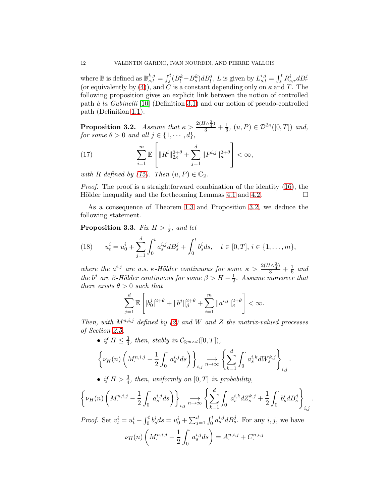where  $\mathbb B$  is defined as  $\mathbb B^{k,j}_{s,t}=\int_s^t(B^k_l-B^k_s)dB^j_l$ , L is given by  $L^{i,j}_{s,t}=\int_s^tR^i_{s,r}dB^j_r$ (or equivalently by [\(4\)](#page-3-3)), and C is a constant depending only on  $\kappa$  and T. The following proposition gives an explicit link between the notion of controlled path *`a la Gubinelli* [\[10\]](#page-49-14) (Definition [3.1\)](#page-10-1) and our notion of pseudo-controlled path (Definition [1.1\)](#page-3-1).

<span id="page-11-1"></span>**Proposition 3.2.** *Assume that*  $\kappa > \frac{2(H\wedge \frac{3}{4})}{3} + \frac{1}{6}$  $\frac{1}{6}$ ,  $(u, P) \in \mathcal{D}^{2\kappa}([0, T])$  and, *for some*  $\theta > 0$  *and all*  $j \in \{1, \dots, d\}$ *,* 

(17) 
$$
\sum_{i=1}^{m} \mathbb{E} \left[ \|R^{i}\|_{2\kappa}^{2+\theta} + \sum_{j=1}^{d} \|P^{i,j}\|_{\kappa}^{2+\theta} \right] < \infty,
$$

*with* R *defined by* [\(15\)](#page-10-2)*.* Then  $(u, P) \in \mathbb{C}_2$ *.* 

*Proof.* The proof is a straightforward combination of the identity [\(16\)](#page-10-3), the Hölder inequality and the forthcoming Lemmas [4.1](#page-33-0) and [4.2.](#page-33-1)  $\Box$ 

As a consequence of Theorem [1.3](#page-4-0) and Proposition [3.2,](#page-11-1) we deduce the following statement.

<span id="page-11-2"></span>**Proposition 3.3.** *Fix*  $H > \frac{1}{2}$ *, and let* 

<span id="page-11-0"></span>(18) 
$$
u_t^i = u_0^i + \sum_{j=1}^d \int_0^t a_s^{i,j} dB_s^j + \int_0^t b_s^i ds, \quad t \in [0, T], i \in \{1, \dots, m\},
$$

where the  $a^{i,j}$  are a.s.  $\kappa$ -Hölder continuous for some  $\kappa > \frac{2(H\wedge\frac{3}{4})}{3} + \frac{1}{6}$  $rac{1}{6}$  and *the*  $b^j$  *are*  $\beta$ -*Hölder continuous for some*  $\beta > H - \frac{1}{2}$ . Assume moreover that *there exists*  $\theta > 0$  *such that* 

$$
\sum_{j=1}^{d} \mathbb{E}\left[ |b_0^j|^{2+\theta} + \|b^j\|_{\beta}^{2+\theta} + \sum_{i=1}^{m} \|a^{i,j}\|_{\kappa}^{2+\theta} \right] < \infty.
$$

*Then, with*  $M^{n,i,j}$  *defined by* [\(2\)](#page-2-0) and W and Z the matrix-valued processes *of Section [2.5,](#page-9-0)*

\n- if 
$$
H \leq \frac{3}{4}
$$
, then, stably in  $\mathcal{C}_{\mathbb{R}^{m \times d}}([0, T])$ ,
\n- \n
$$
\left\{ \nu_H(n) \left( M^{n,i,j}_. - \frac{1}{2} \int_0^{\cdot} a_s^{i,j} ds \right) \right\}_{i,j} \xrightarrow{n \to \infty} \left\{ \sum_{k=1}^d \int_0^{\cdot} a_s^{i,k} dW_s^{k,j} \right\}_{i,j}.
$$
\n
\n- if  $H > \frac{3}{4}$ , then, uniformly on  $[0, T]$  in probability,
\n

• if 
$$
H > \frac{3}{4}
$$
, then, uniformly on  $[0, T]$  in probability,

$$
\left\{\nu_H(n)\left(M^{n,i,j}_\cdot-\frac{1}{2}\int_0^\cdot a^{i,j}_s ds\right)\right\}_{i,j} \underset{n\to\infty}{\longrightarrow} \left\{\sum_{k=1}^d\int_0^\cdot a^{i,k}_sdZ^{k,j}_s+\frac{1}{2}\int_0^\cdot b^i_s dB^j_s\right\}_{i,j}.
$$

 $\rightarrow$ 

*Proof.* Set  $v_t^i = u_t^i - \int_0^t b_s^i ds = u_0^i + \sum_{j=1}^d \int_0^t a_s^{i,j} dB_s^j$ . For any  $i, j$ , we have

$$
\nu_H(n) \left( M^{n,i,j}_. - \frac{1}{2} \int_0^{\cdot} a_s^{i,j} ds \right) = A^{n,i,j}_. + C^{n,i,j}_.
$$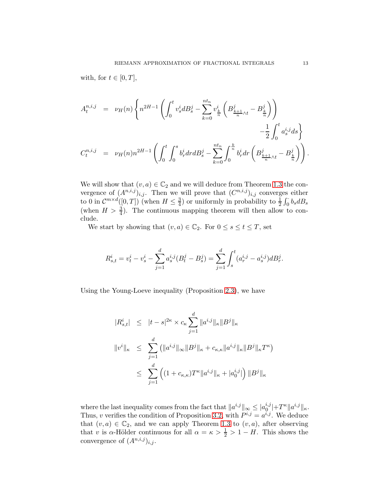with, for  $t \in [0, T]$ ,

$$
A_t^{n,i,j} = \nu_H(n) \left\{ n^{2H-1} \left( \int_0^t v_s^i dB_s^j - \sum_{k=0}^{nt_n} v_{\frac{k}{n}}^i \left( B_{\frac{k+1}{n}\wedge t}^j - B_{\frac{k}{n}}^j \right) \right) - \frac{1}{2} \int_0^t a_s^{i,j} ds \right\}
$$
  

$$
C_t^{n,i,j} = \nu_H(n) n^{2H-1} \left( \int_0^t \int_0^s b_r^i dr dB_s^j - \sum_{k=0}^{nt_n} \int_0^{\frac{k}{n}} b_r^i dr \left( B_{\frac{k+1}{n}\wedge t}^j - B_{\frac{k}{n}}^j \right) \right).
$$

We will show that  $(v, a) \in \mathbb{C}_2$  and we will deduce from Theorem [1.3](#page-4-0) the convergence of  $(A^{n,i,j})_{i,j}$ . Then we will prove that  $(C^{n,i,j})_{i,j}$  converges either to 0 in  $\mathcal{C}^{m \times d}([0,T])$  (when  $H \leq \frac{3}{4}$  $\frac{3}{4}$ ) or uniformly in probability to  $\frac{1}{2} \int_0^{\cdot} b_s dB_s$ (when  $H > \frac{3}{4}$ ). The continuous mapping theorem will then allow to conclude.

We start by showing that  $(v, a) \in \mathbb{C}_2$ . For  $0 \leq s \leq t \leq T$ , set

$$
R_{s,t}^{i} = v_t^{i} - v_s^{i} - \sum_{j=1}^{d} a_s^{i,j} (B_t^{j} - B_s^{j}) = \sum_{j=1}^{d} \int_s^t (a_r^{i,j} - a_s^{i,j}) dB_r^{j}.
$$

Using the Young-Loeve inequality (Proposition [2.3\)](#page-8-0), we have

$$
|R_{s,t}^i| \leq |t-s|^{2\kappa} \times c_{\kappa} \sum_{j=1}^d \|a^{i,j}\|_{\kappa} \|B^j\|_{\kappa}
$$
  

$$
||v^i||_{\kappa} \leq \sum_{j=1}^d (||a^{i,j}||_{\infty} ||B^j||_{\kappa} + c_{\kappa,\kappa} ||a^{i,j}||_{\kappa} ||B^j||_{\kappa} T^{\kappa})
$$
  

$$
\leq \sum_{j=1}^d ((1 + c_{\kappa,\kappa}) T^{\kappa} ||a^{i,j}||_{\kappa} + |a_0^{i,j}|) ||B^j||_{\kappa}
$$

where the last inequality comes from the fact that  $||a^{i,j}||_{\infty} \leq |a_0^{i,j}|$  $_{0}^{i,j}|+T^{\kappa}\Vert a^{i,j}\Vert_{\kappa}.$ Thus, v verifies the condition of Proposition [3.2,](#page-11-1) with  $P^{i,j} = a^{i,j}$ . We deduce that  $(v, a) \in \mathbb{C}_2$ , and we can apply Theorem [1.3](#page-4-0) to  $(v, a)$ , after observing that v is  $\alpha$ -Hölder continuous for all  $\alpha = \kappa > \frac{1}{2} > 1 - H$ . This shows the convergence of  $(A^{n,i,j})_{i,j}$ .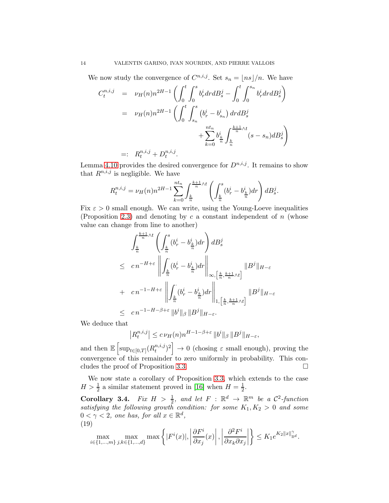We now study the convergence of  $C^{n,i,j}$ . Set  $s_n = \lfloor ns \rfloor/n$ . We have

$$
C_t^{n,i,j} = \nu_H(n)n^{2H-1} \left( \int_0^t \int_0^s b_r^i dr dB_s^j - \int_0^t \int_0^{s_n} b_r^i dr dB_s^j \right)
$$
  

$$
= \nu_H(n)n^{2H-1} \left( \int_0^t \int_{s_n}^s (b_r^i - b_{s_n}^i) dr dB_s^j + \sum_{k=0}^{nt_n} b_{\frac{k}{n}}^i \int_{\frac{k}{n}}^{\frac{k+1}{n} \wedge t} (s - s_n) dB_s^j \right)
$$
  

$$
=: R_t^{n,i,j} + D_t^{n,i,j}.
$$

Lemma [4.10](#page-45-0) provides the desired convergence for  $D^{n,i,j}$ . It remains to show that  $R^{n,i,j}$  is negligible. We have

$$
R_t^{n,i,j} = \nu_H(n) n^{2H-1} \sum_{k=0}^{nt_n} \int_{\frac{k}{n}}^{\frac{k+1}{n} \wedge t} \left( \int_{\frac{k}{n}}^s (b_r^i - b_{\frac{k}{n}}^i) dr \right) dB_s^j.
$$

Fix  $\varepsilon > 0$  small enough. We can write, using the Young-Loeve inequalities (Proposition [2.3\)](#page-8-0) and denoting by  $c$  a constant independent of  $n$  (whose value can change from line to another)

$$
\int_{\frac{k}{n}}^{\frac{k+1}{n}\wedge t} \left( \int_{\frac{k}{n}}^{s} (b_r^i - b_{\frac{k}{n}}^i) dr \right) dB_s^j
$$
\n
$$
\leq cn^{-H+\varepsilon} \left\| \int_{\frac{k}{n}}^{s} (b_r^i - b_{\frac{k}{n}}^i) dr \right\|_{\infty, \left[\frac{k}{n}, \frac{k+1}{n}\wedge t\right]} \|B^j\|_{H-\varepsilon}
$$
\n
$$
+ cn^{-1-H+\varepsilon} \left\| \int_{\frac{k}{n}}^{s} (b_r^i - b_{\frac{k}{n}}^i) dr \right\|_{1, \left[\frac{k}{n}, \frac{k+1}{n}\wedge t\right]} \|B^j\|_{H-\varepsilon}
$$
\n
$$
\leq cn^{-1-H-\beta+\varepsilon} \|b^i\|_{\beta} \|B^j\|_{H-\varepsilon}.
$$

We deduce that

$$
\left| R_t^{n,i,j} \right| \le c \nu_H(n) n^{H-1-\beta+\varepsilon} \, \|b^i\|_{\beta} \, \|B^j\|_{H-\varepsilon},
$$

and then  $\mathbb{E} \left[ \sup_{t \in [0,T]} (R_t^{n,i,j}) \right]$  $\begin{bmatrix}n,i,j\\t\end{bmatrix}$   $\rightarrow 0$  (chosing  $\varepsilon$  small enough), proving the convergence of this remainder to zero uniformly in probability. This concludes the proof of Proposition [3.3.](#page-11-2)

We now state a corollary of Proposition [3.3,](#page-11-2) which extends to the case  $H > \frac{1}{2}$  a similar statement proved in [\[16\]](#page-49-6) when  $H = \frac{1}{2}$  $\frac{1}{2}$ .

<span id="page-13-1"></span>**Corollary 3.4.** *Fix*  $H > \frac{1}{2}$ *, and let*  $F : \mathbb{R}^d \to \mathbb{R}^m$  *be a*  $\mathcal{C}^2$ *-function satisfying the following growth condition: for some*  $K_1, K_2 > 0$  *and some*  $0 < \gamma < 2$ , one has, for all  $x \in \mathbb{R}^d$ , (19)

<span id="page-13-0"></span>
$$
\max_{i\in\{1,\ldots,m\}}\max_{j,k\in\{1,\ldots,d\}}\max\left\{|F^i(x)|,\left|\frac{\partial F^i}{\partial x_j}(x)\right|,\left|\frac{\partial^2 F^i}{\partial x_k \partial x_j}\right|\right\}\leq K_1e^{K_2\|x\|_{\mathbb{R}^d}^{\gamma}}.
$$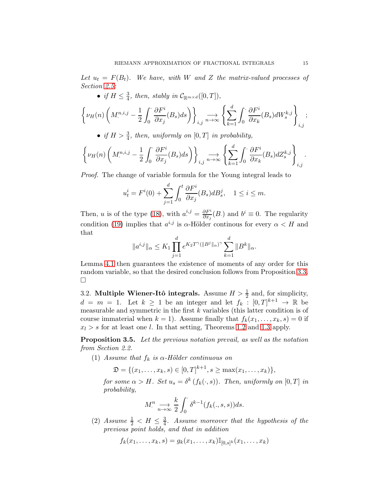Let  $u_t = F(B_t)$ . We have, with W and Z the matrix-valued processes of *Section [2.5:](#page-9-0)*

• *if*  $H \leq \frac{3}{4}$ *, then, stably in*  $C_{\mathbb{R}^{m \times d}}([0, T]),$ 

$$
\left\{\nu_H(n)\left(M^{n,i,j}-\frac{1}{2}\int_0^{\cdot}\frac{\partial F^i}{\partial x_j}(B_s)ds\right)\right\}_{i,j} \underset{n\to\infty}{\longrightarrow} \left\{\sum_{k=1}^d\int_0^{\cdot}\frac{\partial F^i}{\partial x_k}(B_s)dW^{k,j}_s\right\}_{i,j};
$$

• *if*  $H > \frac{3}{4}$ , then, uniformly on  $[0, T]$  *in probability,* 

$$
\left\{\nu_H(n)\left(M^{n,i,j}_\cdot-\frac{1}{2}\int_0^\cdot\frac{\partial F^i}{\partial x_j}(B_s)ds\right)\right\}_{i,j} \underset{n\to\infty}{\longrightarrow} \left\{\sum_{k=1}^d\int_0^\cdot\frac{\partial F^i}{\partial x_k}(B_s) dZ_s^{k,j}\right\}_{i,j}.
$$

*Proof.* The change of variable formula for the Young integral leads to

$$
u_t^i = F^i(0) + \sum_{j=1}^d \int_0^t \frac{\partial F^i}{\partial x_j}(B_s) dB_s^j, \quad 1 \le i \le m.
$$

Then, u is of the type [\(18\)](#page-11-0), with  $a^{i,j} = \frac{\partial F^i}{\partial x_j}(B)$  and  $b^i \equiv 0$ . The regularity condition [\(19\)](#page-13-0) implies that  $a^{i,j}$  is  $\alpha$ -Hölder continous for every  $\alpha < H$  and that

$$
\|a^{i,j}\|_{\alpha} \leq K_1 \prod_{j=1}^d e^{K_2 T^{\gamma}(\|B^j\|_{\alpha})^{\gamma}} \sum_{k=1}^d \|B^k\|_{\alpha}.
$$

Lemma [4.1](#page-33-0) then guarantees the existence of moments of any order for this random variable, so that the desired conclusion follows from Proposition [3.3.](#page-11-2)  $\Box$ 

<span id="page-14-0"></span>3.2. Multiple Wiener-Itô integrals. Assume  $H > \frac{1}{2}$  and, for simplicity,  $d = m = 1$ . Let  $k \ge 1$  be an integer and let  $f_k : [0, T]^{k+1} \to \mathbb{R}$  be measurable and symmetric in the first  $k$  variables (this latter condition is of course immaterial when  $k = 1$ ). Assume finally that  $f_k(x_1, \ldots, x_k, s) = 0$  if  $x_l > s$  for at least one l. In that setting, Theorems [1.2](#page-3-0) and [1.3](#page-4-0) apply.

<span id="page-14-1"></span>Proposition 3.5. *Let the previous notation prevail, as well as the notation from Section 2.2.*

(1) *Assume that*  $f_k$  *is*  $\alpha$ -Hölder continuous on

 $\mathfrak{D} = \{ (x_1, \ldots, x_k, s) \in [0, T]^{k+1}, s \ge \max(x_1, \ldots, x_k) \},\$ 

*for some*  $\alpha > H$ *. Set*  $u_s = \delta^k(f_k(\cdot, s))$ *. Then, uniformly on*  $[0, T]$  *in probability,*

$$
M^n \underset{n \to \infty}{\longrightarrow} \frac{k}{2} \int_0^{\cdot} \delta^{k-1}(f_k(.,s,s))ds.
$$

(2) *Assume*  $\frac{1}{2}$  <  $H \leq \frac{3}{4}$ 4 *. Assume moreover that the hypothesis of the previous point holds, and that in addition*

$$
f_k(x_1, \ldots, x_k, s) = g_k(x_1, \ldots, x_k) \mathbb{I}_{[0, s]^k}(x_1, \ldots, x_k)
$$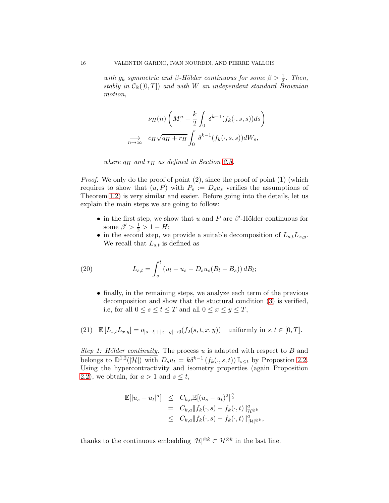*with*  $g_k$  symmetric and  $\beta$ -Hölder continuous for some  $\beta > \frac{1}{2}$ . Then, *stably in*  $C_{\mathbb{R}}([0,T])$  *and with* W *an independent standard Brownian motion,*

$$
\nu_H(n) \left( M^n - \frac{k}{2} \int_0^{\cdot} \delta^{k-1}(f_k(\cdot, s, s)) ds \right)
$$
  

$$
\implies c_H \sqrt{q_H + r_H} \int_0^{\cdot} \delta^{k-1}(f_k(\cdot, s, s)) dW_s,
$$

*where*  $q_H$  *and*  $r_H$  *as defined in Section [2.5.](#page-9-0)* 

*Proof.* We only do the proof of point  $(2)$ , since the proof of point  $(1)$  (which requires to show that  $(u, P)$  with  $P_s := D_s u_s$  verifies the assumptions of Theorem [1.2\)](#page-3-0) is very similar and easier. Before going into the details, let us explain the main steps we are going to follow:

- in the first step, we show that u and P are  $\beta'$ -Hölder continuous for some  $\beta' > \frac{1}{2} > 1 - H;$
- in the second step, we provide a suitable decomposition of  $L_{s,t}L_{x,y}$ . We recall that  $L_{s,t}$  is defined as

(20) 
$$
L_{s,t} = \int_s^t (u_l - u_s - D_s u_s (B_l - B_s)) dB_l;
$$

<span id="page-15-0"></span>• finally, in the remaining steps, we analyze each term of the previous decomposition and show that the stuctural condition [\(3\)](#page-3-4) is verified, i.e, for all  $0 \le s \le t \le T$  and all  $0 \le x \le y \le T$ ,

(21) 
$$
\mathbb{E}\left[L_{s,t}L_{x,y}\right] = o_{|s-t|+|x-y|\to 0}(f_2(s,t,x,y)) \text{ uniformly in } s,t \in [0,T].
$$

*Step 1: Hölder continuity*. The process u is adapted with respect to B and belongs to  $\mathbb{D}^{1,2}(|\mathcal{H}|)$  with  $D_s u_t = k \delta^{k-1} (f_k(., s, t)) \mathbb{I}_{s \leq t}$  by Propostion 2.2. Using the hypercontractivity and isometry properties (again Proposition 2.2), we obtain, for  $a > 1$  and  $s \leq t$ ,

$$
\mathbb{E}[|u_s - u_t|^a] \leq C_{k,a} \mathbb{E}[(u_s - u_t)^2]^{\frac{a}{2}} \n= C_{k,a} ||f_k(\cdot, s) - f_k(\cdot, t)||_{\mathcal{H}^{\otimes k}}^a \n\leq C_{k,a} ||f_k(\cdot, s) - f_k(\cdot, t)||_{|\mathcal{H}|\otimes k}^a,
$$

thanks to the continuous embedding  $|\mathcal{H}|^{\otimes k} \subset \mathcal{H}^{\otimes k}$  in the last line.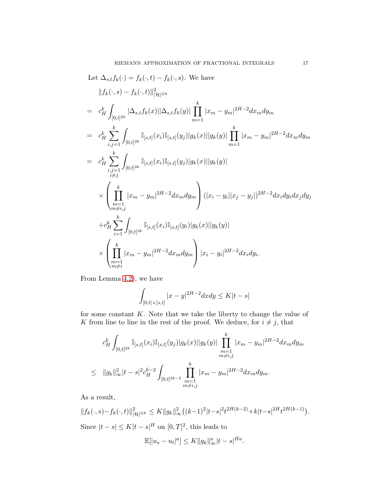Let 
$$
\Delta_{s,t} f_k(\cdot) = f_k(\cdot, t) - f_k(\cdot, s)
$$
. We have  
\n
$$
||f_k(\cdot, s) - f_k(\cdot, t)||_{|\mathcal{H}|^{\otimes k}}^2
$$
\n
$$
= c_H^k \int_{[0,t]^{2k}} |\Delta_{s,t} f_k(x)||\Delta_{s,t} f_k(y)| \prod_{m=1}^k |x_m - y_m|^{2H-2} dx_m dy_m
$$
\n
$$
= c_H^k \sum_{i,j=1}^k \int_{[0,t]^{2k}} \mathbb{I}_{[s,t]}(x_i) \mathbb{I}_{[s,t]}(y_j)|g_k(x)||g_k(y)| \prod_{m=1}^k |x_m - y_m|^{2H-2} dx_m dy_m
$$
\n
$$
= c_H^k \sum_{\substack{i,j=1 \ i \neq j}}^k \int_{[0,t]^{2k}} \mathbb{I}_{[s,t]}(x_i) \mathbb{I}_{[s,t]}(y_j)|g_k(x)||g_k(y)|
$$
\n
$$
\times \left( \prod_{\substack{m=1 \ m \neq i,j}}^k |x_m - y_m|^{2H-2} dx_m dy_m \right) (|x_i - y_i||x_j - y_j|)^{2H-2} dx_i dy_i dx_j dy_j
$$
\n
$$
+ c_H^k \sum_{i=1}^k \int_{[0,t]^{2k}} \mathbb{I}_{[s,t]}(x_i) \mathbb{I}_{[s,t]}(y_i)|g_k(x)||g_k(y)|
$$
\n
$$
\times \left( \prod_{\substack{m=1 \ m \neq i}}^k |x_m - y_m|^{2H-2} dx_m dy_m \right) |x_i - y_i|^{2H-2} dx_i dy_i.
$$

From Lemma [4.2\)](#page-33-1), we have

$$
\int_{[0,t]\times [s,t]} |x-y|^{2H-2} dx dy \leq K|t-s|
$$

for some constant  $K$ . Note that we take the liberty to change the value of K from line to line in the rest of the proof. We deduce, for  $i \neq j$ , that

$$
c_H^k \int_{[0,t]^{2k}} \mathbb{I}_{[s,t]}(x_i) \mathbb{I}_{[s,t]}(y_j) |g_k(x)| |g_k(y)| \prod_{\substack{m=1 \\ m \neq i,j}}^k |x_m - y_m|^{2H-2} dx_m dy_m
$$
  

$$
\leq ||g_k||_{\infty}^2 |t-s|^2 c_H^{k-2} \int_{[0,t]^{2k-2}} \prod_{\substack{m=1 \\ m \neq i,j}}^k |x_m - y_m|^{2H-2} dx_m dy_m.
$$

As a result,

$$
||f_k(\cdot, s) - f_k(\cdot, t)||_{|\mathcal{H}|^{\otimes k}}^2 \le K ||g_k||_{\infty}^2 ((k-1)^2 |t-s|^2 t^{2H(k-2)} + k|t-s|^{2H} t^{2H(k-1)}).
$$
  
Since  $|t-s| \le K|t-s|^H$  on  $[0, T]^2$ , this leads to

$$
\mathbb{E}[|u_s - u_t|^a] \le K ||g_k||_{\infty}^a |t - s|^{Ha}.
$$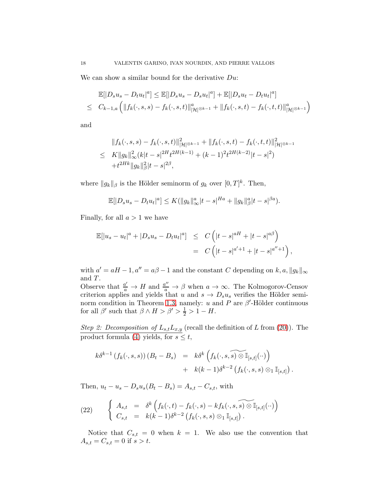We can show a similar bound for the derivative  $Du$ :

$$
\mathbb{E}[|D_s u_s - D_t u_t|^a] \le \mathbb{E}[|D_s u_s - D_s u_t|^a] + \mathbb{E}[|D_s u_t - D_t u_t|^a]
$$
  

$$
\le C_{k-1,a} \left( \|f_k(\cdot, s, s) - f_k(\cdot, s, t)\|_{|\mathcal{H}|^{\otimes k-1}}^a + \|f_k(\cdot, s, t) - f_k(\cdot, t, t)\|_{|\mathcal{H}|^{\otimes k-1}}^a \right)
$$

and

$$
||f_k(\cdot, s, s) - f_k(\cdot, s, t)||_{|\mathcal{H}|^{\otimes k-1}}^2 + ||f_k(\cdot, s, t) - f_k(\cdot, t, t)||_{|\mathcal{H}|^{\otimes k-1}}^2
$$
  
\n
$$
\leq K ||g_k||_{\infty}^2 (k|t-s|^{2H} t^{2H(k-1)} + (k-1)^2 t^{2H(k-2)} |t-s|^2)
$$
  
\n
$$
+ t^{2Hk} ||g_k||_p^2 |t-s|^{2\beta},
$$

where  $||g_k||_\beta$  is the Hölder seminorm of  $g_k$  over  $[0, T]^k$ . Then,

$$
\mathbb{E}[|D_s u_s - D_t u_t|^a] \le K(||g_k||_\infty^a |t-s|^{Ha} + ||g_k||_\beta^a |t-s|^{\beta a}).
$$

Finally, for all  $a > 1$  we have

$$
\mathbb{E}[|u_s - u_t|^a + |D_s u_s - D_t u_t|^a] \leq C \left( |t - s|^{aH} + |t - s|^{a\beta} \right)
$$
  
= 
$$
C \left( |t - s|^{a'+1} + |t - s|^{a''+1} \right),
$$

with  $a' = aH - 1$ ,  $a'' = a\beta - 1$  and the constant C depending on k, a,  $||g_k||_{\infty}$ and T.

Observe that  $\frac{a'}{a} \to H$  and  $\frac{a''}{a} \to \beta$  when  $a \to \infty$ . The Kolmogorov-Censov criterion applies and yields that u and  $s \to D_s u_s$  verifies the Hölder semi-norm condition in Theorem [1.3,](#page-4-0) namely: u and P are  $\beta'$ -Hölder continuous for all  $\beta'$  such that  $\beta \wedge H > \beta' > \frac{1}{2} > 1 - H$ .

*Step 2: Decomposition of*  $L_{s,t}L_{x,y}$  (recall the definition of L from [\(20\)](#page-15-0)). The product formula [\(4\)](#page-8-1) yields, for  $s \leq t$ ,

$$
k \delta^{k-1} \left( f_k(\cdot, s, s) \right) \left( B_t - B_s \right) = k \delta^k \left( f_k(\cdot, s, \widetilde{s}) \widetilde{\otimes} \mathbb{I}_{[s,t]}(\cdot) \right) + k(k-1) \delta^{k-2} \left( f_k(\cdot, s, s) \otimes_1 \mathbb{I}_{[s,t]} \right).
$$

Then,  $u_t - u_s - D_s u_s (B_t - B_s) = A_{s,t} - C_{s,t}$ , with

(22) 
$$
\begin{cases} A_{s,t} = \delta^k \left( f_k(\cdot, t) - f_k(\cdot, s) - k f_k(\cdot, s, \widetilde{s}) \otimes \mathbb{I}_{[s,t]}(\cdot) \right) \\ C_{s,t} = k(k-1) \delta^{k-2} \left( f_k(\cdot, s, s) \otimes_1 \mathbb{I}_{[s,t]} \right). \end{cases}
$$

Notice that  $C_{s,t} = 0$  when  $k = 1$ . We also use the convention that  $A_{s,t} = C_{s,t} = 0$  if  $s > t$ .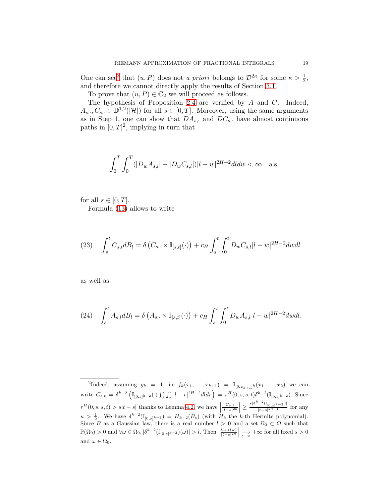One can see<sup>[2](#page-18-0)</sup> that  $(u, P)$  does not *a priori* belongs to  $\mathcal{D}^{2\kappa}$  for some  $\kappa > \frac{1}{2}$ , and therefore we cannot directly apply the results of Section [3.1.](#page-10-0)

To prove that  $(u, P) \in \mathbb{C}_2$  we will proceed as follows.

The hypothesis of Proposition [2.4](#page-9-3) are verified by A and C. Indeed,  $A_{s,\cdot}, C_{s,\cdot} \in \mathbb{D}^{1,2}(|\mathcal{H}|)$  for all  $s \in [0,T]$ . Moreover, using the same arguments as in Step 1, one can show that  $DA_{s}$ , and  $DC_{s}$ , have almost continuous paths in  $[0, T]^2$ , implying in turn that

$$
\int_0^T \int_0^T (|D_w A_{s,l}| + |D_w C_{s,l}|)|l - w|^{2H - 2} dl dw < \infty \quad \text{a.s.}
$$

for all  $s \in [0, T]$ .

Formula [\(13\)](#page-9-4) allows to write

(23) 
$$
\int_{s}^{t} C_{s,l} dB_{l} = \delta \left( C_{s,\cdot} \times \mathbb{I}_{[s,t]}(\cdot) \right) + c_{H} \int_{s}^{t} \int_{0}^{t} D_{w} C_{s,l} |l - w|^{2H-2} dw dl
$$

as well as

(24) 
$$
\int_{s}^{t} A_{s,l} dB_{l} = \delta \left( A_{s,\cdot} \times \mathbb{I}_{[s,t]}(\cdot) \right) + c_{H} \int_{s}^{t} \int_{0}^{t} D_{w} A_{s,l} |l-w|^{2H-2} dw dl.
$$

<span id="page-18-0"></span><sup>&</sup>lt;sup>2</sup>Indeed, assuming  $g_k = 1$ , i.e  $f_k(x_1, ..., x_{k+1}) = \mathbb{I}_{[0, x_{k+1}]^k}(x_1, ..., x_k)$  we can write  $C_{s,t} = \delta^{k-2} \left( \mathbb{I}_{[0,s]^{k-2}}(\cdot) \int_0^s \int_s^t |l-r|^{2H-2} dl dr \right) = r^H(0,s,s,t) \delta^{k-2} (\mathbb{I}_{[0,s]^{k-2}}).$  Since  $r^H(0, s, s, t) > s|t - s|$  thanks to Lemma [4.2,](#page-33-1) we have  $\left| \frac{C_{s,t}}{|t - s|^{2\kappa}} \right|$  $\Big| \geq \frac{s |\delta^{k-2}(\mathbb{I}_{[0,s]}k-2)|}{|t-s|^{2\kappa -1}}$  for any  $\kappa > \frac{1}{2}$ . We have  $\delta^{k-2}(\mathbb{I}_{[0,s]^{k-2}}) = H_{k-2}(B_s)$  (with  $H_k$  the k-th Hermite polynomial). Since B as a Gaussian law, there is a real number  $l > 0$  and a set  $\Omega_0 \subset \Omega$  such that  $\mathbb{P}(\Omega_0) > 0$  and  $\forall \omega \in \Omega_0, |\delta^{k-2}(\mathbb{I}_{[0,s]^{k-2}})(\omega)| > l$ . Then  $\left|\frac{C_{s,t}(\omega)}{|t-s|^{2\kappa}}\right|$  $\frac{1}{s \to t} + \infty$  for all fixed  $s > 0$ and  $\omega \in \Omega_0$ .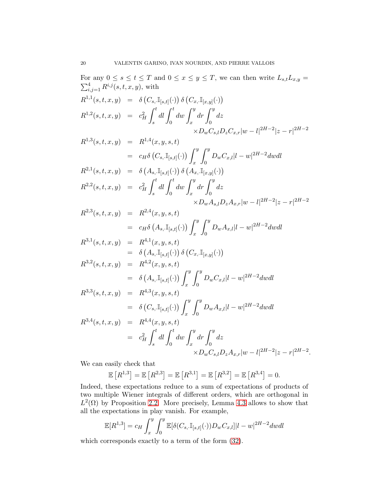For any  $0 \leq s \leq t \leq T$  and  $0 \leq x \leq y \leq T$ , we can then write  $L_{s,t}L_{x,y}$  $\sum_{i,j=1}^{4} R^{i,j}(s, t, x, y)$ , with  $R^{1,1}(s,t,x,y) = \delta\left(C_{s, \cdot} \mathbb{I}_{[s,t]}(\cdot)\right) \delta\left(C_{x, \cdot} \mathbb{I}_{[x,y]}(\cdot)\right)$  $R^{1,2}(s,t,x,y) = c_H^2$  $\int_0^t$ s  $dl \int_0^t$ 0  $dw \int_0^y$ x  $dr \int_0^y$ 0 dz  $\times D_w C_{s,l} D_z C_{x,r} |w-l|^{2H-2} |z-r|^{2H-2}$  $R^{1,3}(s,t,x,y) = R^{1,4}(x,y,s,t)$  $\hspace{.1cm} = \hspace{.1cm} c_H \delta \left( C_{s,\cdot} \mathbb{I}_{[s,t]}(\cdot) \right) \, \int^y$ x  $\int y$  $\int_0^\infty D_w C_{x,l} |l-w|^{2H-2} dw dl$  $R^{2,1}(s,t,x,y) = \delta\left(A_{s, \cdot} \mathbb{I}_{[s,t]}(\cdot)\right) \delta\left(A_{x, \cdot} \mathbb{I}_{[x,y]}(\cdot)\right)$  $R^{2,2}(s,t,x,y) = c_H^2$  $\int_0^t$ s  $dl \int_0^t$  $\boldsymbol{0}$  $dw \int_0^y$ x  $dr \int_0^y$  $\boldsymbol{0}$ dz  $\times D_w A_{s,l} D_z A_{x,r} |w-l|^{2H-2} |z-r|^{2H-2}$  $R^{2,3}(s,t,x,y) = R^{2,4}(x,y,s,t)$  $\hspace{.18cm} = \hspace{.12cm} c_H \delta \left( A_{s, \cdot} \mathbb{I}_{[s, t]} (\cdot) \right) \, \int^y$ x  $\int y$  $\int_0^\infty D_w A_{x,l} |l-w|^{2H-2} dw dl$  $R^{3,1}(s,t,x,y) = R^{4,1}(x,y,s,t)$  $= \delta\left(A_{s, \cdot} \mathbb{I}_{[s,t]}(\cdot)\right) \delta\left(C_{x, \cdot} \mathbb{I}_{[x,y]}(\cdot)\right)$  $R^{3,2}(s,t,x,y) = R^{4,2}(x,y,s,t)$  $\qquad \qquad =\quad \delta \left(A_{s, \cdot} \mathbb{I}_{[s, t]}(\cdot)\right) \: \int^y$ x  $\int y$  $\int_0^\infty D_w C_{x,l} |l-w|^{2H-2} dw dl$  $R^{3,3}(s,t,x,y) = R^{4,3}(x,y,s,t)$  $\qquad \qquad =\quad \delta \left(C_{s, \cdot} \mathbb{I}_{[s, t]}(\cdot)\right) \: \int^y$ x  $\int y$  $\int_0^\infty D_w A_{x,l} |l-w|^{2H-2} dw dl$  $R^{3,4}(s,t,x,y) = R^{4,4}(x,y,s,t)$  $= c_H^2$  $\int_0^t$ s  $dl \int_0^t$  $\boldsymbol{0}$  $dw \int_0^y$ x  $dr \int_0^y$  $\boldsymbol{0}$ dz  $\times D_w C_{s,l} D_z A_{x,r} |w-l|^{2H-2} |z-r|^{2H-2}.$ 

We can easily check that

$$
\mathbb{E}[R^{1,3}] = \mathbb{E}[R^{2,3}] = \mathbb{E}[R^{3,1}] = \mathbb{E}[R^{3,2}] = \mathbb{E}[R^{3,4}] = 0.
$$

Indeed, these expectations reduce to a sum of expectations of products of two multiple Wiener integrals of different orders, which are orthogonal in  $L^2(\Omega)$  by Proposition 2.2. More precisely, Lemma [4.3](#page-34-0) allows to show that all the expectations in play vanish. For example,

$$
\mathbb{E}[R^{1,3}] = c_H \int_x^y \int_0^y \mathbb{E}[\delta(C_{s,\cdot} \mathbb{I}_{[s,t]}(\cdot))D_w C_{x,l}] |l-w|^{2H-2} dwdl
$$

which corresponds exactly to a term of the form [\(32\)](#page-34-1).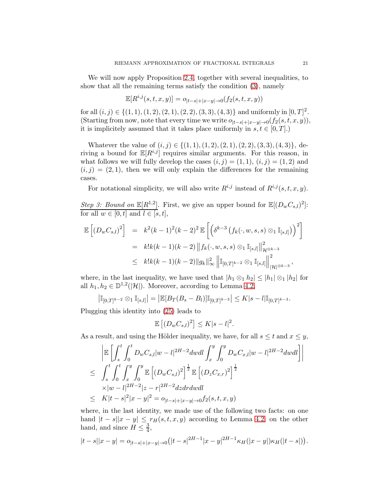We will now apply Proposition [2.4,](#page-9-3) together with several inequalities, to show that all the remaining terms satisfy the condition [\(3\)](#page-3-4), namely

$$
\mathbb{E}[R^{i,j}(s,t,x,y)] = o_{|t-s|+|x-y| \to 0}(f_2(s,t,x,y))
$$

for all  $(i, j) \in \{(1, 1), (1, 2), (2, 1), (2, 2), (3, 3), (4, 3)\}$  and uniformly in  $[0, T]^2$ . (Starting from now, note that every time we write  $o_{|t-s|+|x-y|\to 0}(f_2(s,t,x,y)),$ it is implicitely assumed that it takes place uniformly in  $s, t \in [0, T]$ .)

Whatever the value of  $(i, j) \in \{(1, 1), (1, 2), (2, 1), (2, 2), (3, 3), (4, 3)\}\,$ , deriving a bound for  $\mathbb{E}[R^{i,j}]$  requires similar arguments. For this reason, in what follows we will fully develop the cases  $(i, j) = (1, 1), (i, j) = (1, 2)$  and  $(i, j) = (2, 1)$ , then we will only explain the differences for the remaining cases.

For notational simplicity, we will also write  $R^{i,j}$  instead of  $R^{i,j}(s,t,x,y)$ .

*Step 3: Bound on*  $\mathbb{E}[R^{1,2}]$ . First, we give an upper bound for  $\mathbb{E}[(D_wC_{s,l})^2]$ : for all  $w \in [0, t]$  and  $l \in [s, t]$ ,

$$
\mathbb{E}\left[(D_w C_{s,l})^2\right] = k^2(k-1)^2(k-2)^2 \mathbb{E}\left[\left(\delta^{k-3}\left(f_k(\cdot, w, s, s) \otimes_1 \mathbb{I}_{[s,l]}\right)\right)^2\right]
$$
  
\n
$$
= k!k(k-1)(k-2) \|f_k(\cdot, w, s, s) \otimes_1 \mathbb{I}_{[s,l]}\|_{\mathcal{H}^{\otimes k-3}}^2
$$
  
\n
$$
\leq k!k(k-1)(k-2) \|g_k\|_{\infty}^2 \left\|\mathbb{I}_{[0,T]^{k-2}} \otimes_1 \mathbb{I}_{[s,l]}\right\|_{|\mathcal{H}|^{\otimes k-3}}^2,
$$

where, in the last inequality, we have used that  $|h_1 \otimes_1 h_2| \leq |h_1| \otimes_1 |h_2|$  for all  $h_1, h_2 \in \mathbb{D}^{1,2}(|\mathcal{H}|)$ . Moreover, according to Lemma [4.2,](#page-33-1)

$$
\left|\mathbb{I}_{[0,T]^{k-2}}\otimes_1\mathbb{I}_{[s,l]}\right|=\left|\mathbb{E}[B_T(B_s-B_l)]\mathbb{I}_{[0,T]^{k-3}}\right|\leq K|s-l|\mathbb{I}_{[0,T]^{k-3}}.
$$

Plugging this identity into [\(25\)](#page-25-0) leads to

$$
\mathbb{E}\left[ (D_w C_{s,l})^2 \right] \le K|s-l|^2.
$$

As a result, and using the Hölder inequality, we have, for all  $s \leq t$  and  $x \leq y$ ,

$$
\begin{aligned}\n&\left|\mathbb{E}\left[\int_{s}^{t}\int_{0}^{t}D_{w}C_{s,l}|w-l|^{2H-2}dwdl\int_{x}^{y}\int_{0}^{y}D_{w}C_{x,l}|w-l|^{2H-2}dwdl\right]\right| \\
&\leq \int_{s}^{t}\int_{0}^{t}\int_{x}^{y}\int_{0}^{y}\mathbb{E}\left[(D_{w}C_{s,l})^{2}\right]^{\frac{1}{2}}\mathbb{E}\left[(D_{z}C_{x,r})^{2}\right]^{\frac{1}{2}} \\
&\times|w-l|^{2H-2}|z-r|^{2H-2}dzdrdwdl \\
&\leq K|t-s|^{2}|x-y|^{2} = o_{|t-s|+|x-y|\to0}f_{2}(s,t,x,y)\n\end{aligned}
$$

where, in the last identity, we made use of the following two facts: on one hand  $|t - s||x - y| \leq r_H(s, t, x, y)$  according to Lemma [4.2;](#page-33-1) on the other hand, and since  $H \leq \frac{3}{4}$  $\frac{3}{4}$ ,

$$
|t-s||x-y| = o_{|t-s|+|x-y| \to 0} (|t-s|^{2H-1}|x-y|^{2H-1} \kappa_H(|x-y|) \kappa_H(|t-s|)).
$$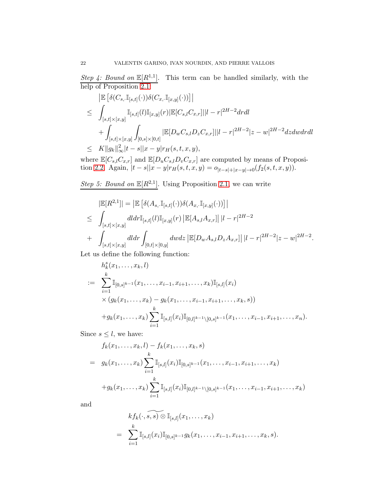*Step 4: Bound on*  $\mathbb{E}[R^{1,1}]$ . This term can be handled similarly, with the help of Proposition 2.1:

$$
\begin{split}\n&= \left| \mathbb{E} \left[ \delta(C_{s,\cdot} \mathbb{I}_{[s,t]}(\cdot)) \delta(C_{x,\cdot} \mathbb{I}_{[x,y]}(\cdot)) \right] \right| \\
&\leq \int_{[s,t] \times [x,y]} \mathbb{I}_{[s,t]}(l) \mathbb{I}_{[x,y]}(r) |\mathbb{E}[C_{s,l} C_{x,r}] ||l-r|^{2H-2} dr dl \\
&+ \int_{[s,t] \times [x,y]} \int_{[0,s] \times [0,t]} |\mathbb{E}[D_w C_{s,l} D_z C_{x,r}] ||l-r|^{2H-2} |z-w|^{2H-2} dz dw dr dl \\
&\leq K ||g_k||_{\infty}^2 |t-s||x-y| r_H(s,t,x,y),\n\end{split}
$$

where  $\mathbb{E}[C_{s,l}C_{x,r}]$  and  $\mathbb{E}[D_uC_{s,l}D_vC_{x,r}]$  are computed by means of Proposition 2.2. Again,  $|t - s||x - y|r<sub>H</sub>(s, t, x, y) = o_{|t - s| + |x - y| \to 0}(f_2(s, t, x, y)).$ 

*Step 5: Bound on*  $\mathbb{E}[R^{2,1}]$ . Using Proposition 2.1, we can write

$$
|\mathbb{E}[R^{2,1}]| = \left| \mathbb{E} \left[ \delta(A_{s,.} \mathbb{I}_{[s,t]}(\cdot)) \delta(A_{x,.} \mathbb{I}_{[x,y]}(\cdot)) \right] \right|
$$
  
\n
$$
\leq \int_{[s,t] \times [x,y]} dldr \mathbb{I}_{[s,t]}(l) \mathbb{I}_{[x,y]}(r) \left| \mathbb{E}[A_{s,l} A_{x,r}] \right| |l-r|^{2H-2}
$$
  
\n
$$
+ \int_{[s,t] \times [x,y]} dldr \int_{[0,t] \times [0,y]} dwdz \left| \mathbb{E}[D_w A_{s,l} D_z A_{x,r}] \right| |l-r|^{2H-2} |z-w|^{2H-2}.
$$

Let us define the following function:

$$
h_k^s(x_1, \ldots, x_k, l)
$$
  
\n
$$
:= \sum_{i=1}^k \mathbb{I}_{[0,s]^{k-1}}(x_1, \ldots, x_{i-1}, x_{i+1}, \ldots, x_k) \mathbb{I}_{[s,l]}(x_i)
$$
  
\n
$$
\times (g_k(x_1, \ldots, x_k) - g_k(x_1, \ldots, x_{i-1}, x_{i+1}, \ldots, x_k, s))
$$
  
\n
$$
+ g_k(x_1, \ldots, x_k) \sum_{i=1}^k \mathbb{I}_{[s,l]}(x_i) \mathbb{I}_{[0,l]^{k-1} \setminus [0,s]^{k-1}}(x_1, \ldots, x_{i-1}, x_{i+1}, \ldots, x_n).
$$

Since  $s \leq l$ , we have:

$$
f_k(x_1, \ldots, x_k, l) - f_k(x_1, \ldots, x_k, s)
$$
  
=  $g_k(x_1, \ldots, x_k) \sum_{i=1}^k \mathbb{I}_{[s,l]}(x_i) \mathbb{I}_{[0,s]^{k-1}}(x_1, \ldots, x_{i-1}, x_{i+1}, \ldots, x_k)$   
+  $g_k(x_1, \ldots, x_k) \sum_{i=1}^k \mathbb{I}_{[s,l]}(x_i) \mathbb{I}_{[0,l]^{k-1}\setminus[0,s]^{k-1}}(x_1, \ldots, x_{i-1}, x_{i+1}, \ldots, x_k)$ 

and

$$
k f_k(\cdot, \widehat{s, s}) \otimes \mathbb{I}_{[s,l]}(x_1, \dots, x_k)
$$
  
= 
$$
\sum_{i=1}^k \mathbb{I}_{[s,l]}(x_i) \mathbb{I}_{[0,s]^{k-1}} g_k(x_1, \dots, x_{i-1}, x_{i+1}, \dots, x_k, s).
$$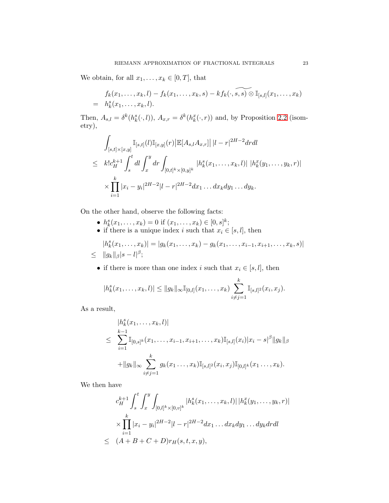We obtain, for all  $x_1, \ldots, x_k \in [0, T]$ , that

$$
f_k(x_1,\ldots,x_k,l)-f_k(x_1,\ldots,x_k,s)-kf_k(\cdot,\widetilde{s,s)}\otimes \mathbb{I}_{[s,l]}(x_1,\ldots,x_k)\\=h_k^s(x_1,\ldots,x_k,l).
$$

Then,  $A_{s,l} = \delta^k(h_k^s(\cdot, l))$ ,  $A_{x,r} = \delta^k(h_k^x(\cdot, r))$  and, by Proposition 2.2 (isometry),

$$
\int_{[s,t] \times [x,y]} \mathbb{I}_{[s,t]}(l) \mathbb{I}_{[x,y]}(r) |\mathbb{E}[A_{s,l}A_{x,r}]| |l-r|^{2H-2} dr dt
$$
\n
$$
\leq k! c_H^{k+1} \int_s^t dt \int_x^y dr \int_{[0,t]^k \times [0,y]^k} |h_k^s(x_1,\ldots,x_k,l)| |h_k^x(y_1,\ldots,y_k,r)|
$$
\n
$$
\times \prod_{i=1}^k |x_i - y_i|^{2H-2} |l-r|^{2H-2} dx_1 \ldots dx_k dy_1 \ldots dy_k.
$$

On the other hand, observe the following facts:

- $h_k^s(x_1,...,x_k) = 0$  if  $(x_1,...,x_k) \in [0,s]^k$ ;
- if there is a unique index i such that  $x_i \in [s, l]$ , then

$$
|h_k^s(x_1,\ldots,x_k)| = |g_k(x_1,\ldots,x_k) - g_k(x_1,\ldots,x_{i-1},x_{i+1},\ldots,x_k,s)|
$$
  
\n
$$
\leq ||g_k||_{\beta} |s - l|^{\beta};
$$

• if there is more than one index i such that  $x_i \in [s, l]$ , then

$$
|h_k^s(x_1,\ldots,x_k,l)| \leq ||g_k||_{\infty} \mathbb{I}_{[0,l]}(x_1,\ldots,x_k) \sum_{i \neq j=1}^k \mathbb{I}_{[s,l]^2}(x_i,x_j).
$$

As a result,

$$
|h_k^s(x_1,\ldots,x_k,l)|
$$
  
\n
$$
\leq \sum_{i=1}^{k-1} \mathbb{I}_{[0,s]^k}(x_1,\ldots,x_{i-1},x_{i+1},\ldots,x_k) \mathbb{I}_{[s,l]}(x_i)|x_i-s|^{\beta} ||g_k||_{\beta}
$$
  
\n
$$
+ ||g_k||_{\infty} \sum_{i \neq j=1}^k g_k(x_1,\ldots,x_k) \mathbb{I}_{[s,l]^2}(x_i,x_j) \mathbb{I}_{[0,l]^k}(x_1,\ldots,x_k).
$$

We then have

$$
c_H^{k+1} \int_s^t \int_x^y \int_{[0,l]^k \times [0,v]^k} |h_k^s(x_1,\ldots,x_k,l)| |h_k^x(y_1,\ldots,y_k,r)|
$$
  

$$
\times \prod_{i=1}^k |x_i - y_i|^{2H-2} |l-r|^{2H-2} dx_1 \ldots dx_k dy_1 \ldots dy_k dr dl
$$
  

$$
\leq (A+B+C+D)r_H(s,t,x,y),
$$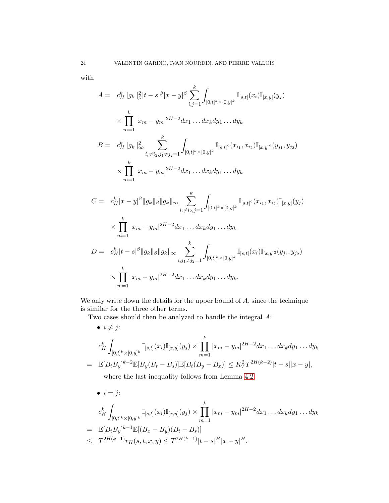with

$$
A = c_H^k ||g_k||_B^2 |t - s|^{\beta} |x - y|^{\beta} \sum_{i,j=1}^k \int_{[0,t]^k \times [0,y]^k} \mathbb{I}_{[s,t]}(x_i) \mathbb{I}_{[x,y]}(y_j)
$$
  
\n
$$
\times \prod_{m=1}^k |x_m - y_m|^{2H-2} dx_1 ... dx_k dy_1 ... dy_k
$$
  
\n
$$
B = c_H^k ||g_k||_\infty^2 \sum_{i_i \neq i_2, j_1 \neq j_2 = 1}^k \int_{[0,t]^k \times [0,y]^k} \mathbb{I}_{[s,t]^2}(x_{i_1}, x_{i_2}) \mathbb{I}_{[x,y]^2}(y_{j_1}, y_{j_2})
$$
  
\n
$$
\times \prod_{m=1}^k |x_m - y_m|^{2H-2} dx_1 ... dx_k dy_1 ... dy_k
$$
  
\n
$$
C = c_H^k |x - y|^{\beta} ||g_k||_\beta ||g_k||_\infty \sum_{i_i \neq i_2, j=1}^k \int_{[0,t]^k \times [0,y]^k} \mathbb{I}_{[s,t]^2}(x_{i_1}, x_{i_2}) \mathbb{I}_{[x,y]}(y_j)
$$
  
\n
$$
\times \prod_{m=1}^k |x_m - y_m|^{2H-2} dx_1 ... dx_k dy_1 ... dy_k
$$
  
\n
$$
D = c_H^k |t - s|^\beta ||g_k||_\beta ||g_k||_\infty \sum_{i,j_1 \neq j_2 = 1}^k \int_{[0,t]^k \times [0,y]^k} \mathbb{I}_{[s,t]}(x_i) \mathbb{I}_{[x,y]^2}(y_{j_1}, y_{j_2})
$$
  
\n
$$
\times \prod_{m=1}^k |x_m - y_m|^{2H-2} dx_1 ... dx_k dy_1 ... dy_k.
$$

We only write down the details for the upper bound of  $A$ , since the technique is similar for the three other terms.

Two cases should then be analyzed to handle the integral A:

• 
$$
i \neq j
$$
:  
\n
$$
c_H^k \int_{[0,t]^k \times [0,y]^k} \mathbb{I}_{[s,t]}(x_i) \mathbb{I}_{[x,y]}(y_j) \times \prod_{m=1}^k |x_m - y_m|^{2H-2} dx_1 \dots dx_k dy_1 \dots dy_k
$$
\n
$$
= \mathbb{E}[B_t B_y]^{k-2} \mathbb{E}[B_y(B_t - B_s)] \mathbb{E}[B_t(B_y - B_x)] \leq K_T^2 T^{2H(k-2)} |t - s||x - y|,
$$
\nwhere the last inequality follows from Lemma 4.2.

• 
$$
i = j
$$
:  
\n
$$
c_H^k \int_{[0,t]^k \times [0,y]^k} \mathbb{I}_{[s,t]}(x_i) \mathbb{I}_{[x,y]}(y_j) \times \prod_{m=1}^k |x_m - y_m|^{2H-2} dx_1 \dots dx_k dy_1 \dots dy_k
$$
\n
$$
= \mathbb{E}[B_t B_y]^{k-1} \mathbb{E}[(B_x - B_y)(B_t - B_s)]
$$
\n
$$
\leq T^{2H(k-1)} r_H(s, t, x, y) \leq T^{2H(k-1)} |t - s|^H |x - y|^H,
$$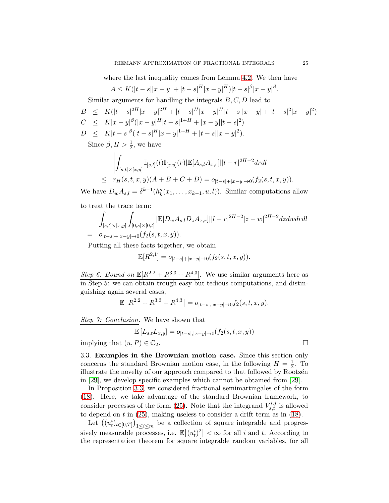where the last inequality comes from Lemma [4.2.](#page-33-1) We then have

$$
A \le K(|t-s||x-y| + |t-s|^H|x-y|^H)|t-s|^{\beta}|x-y|^{\beta}.
$$

Similar arguments for handling the integrals  $B, C, D$  lead to

$$
B \leq K(|t-s|^{2H}|x-y|^{2H} + |t-s|^H|x-y|^H|t-s||x-y| + |t-s|^2|x-y|^2)
$$
  
\n
$$
C \leq K|x-y|^{\beta}(|x-y|^H|t-s|^{1+H} + |x-y||t-s|^2)
$$
  
\n
$$
D \leq K|t-s|^{\beta}(|t-s|^H|x-y|^{1+H} + |t-s||x-y|^2).
$$

Since  $\beta, H > \frac{1}{2}$ , we have

$$
\left| \int_{[s,t] \times [x,y]} \mathbb{I}_{[s,t]}(l) \mathbb{I}_{[x,y]}(r) |\mathbb{E}[A_{s,l} A_{x,r}]||l-r|^{2H-2} dr dl \right|
$$
  
\n
$$
\leq r_H(s,t,x,y)(A+B+C+D) = o_{|t-s|+|x-y| \to 0} (f_2(s,t,x,y)).
$$

We have  $D_w A_{s,l} = \delta^{k-1}(h_k^s(x_1,\ldots,x_{k-1},u,l))$ . Similar computations allow

to treat the trace term:

$$
\int_{[s,t] \times [x,y]} \int_{[0,s] \times [0,t]} |E[D_w A_{s,l} D_z A_{x,r}]||l-r|^{2H-2} |z-w|^{2H-2} dz dw dr dl
$$
\n
$$
= o_{|t-s|+|x-y| \to 0} (f_2(s,t,x,y)).
$$

Putting all these facts together, we obtain

$$
\mathbb{E}[R^{2,1}] = o_{|t-s|+|x-y|\to 0}(f_2(s,t,x,y)).
$$

*Step 6: Bound on*  $\mathbb{E}[R^{2,2} + R^{3,3} + R^{4,3}]$ . We use similar arguments here as in Step 5: we can obtain trough easy but tedious computations, and distinguishing again several cases,

$$
\mathbb{E}\left[R^{2,2} + R^{3,3} + R^{4,3}\right] = o_{|t-s|,|x-y|\to 0} f_2(s,t,x,y).
$$

*Step 7: Conclusion*. We have shown that

$$
\mathbb{E}\left[L_{s,t}L_{x,y}\right] = o_{|t-s|,|x-y|\to 0}(f_2(s,t,x,y))
$$

implying that  $(u, P) \in \mathbb{C}_2$ .

3.3. Examples in the Brownian motion case. Since this section only concerns the standard Brownian motion case, in the following  $H = \frac{1}{2}$  $\frac{1}{2}$ . To illustrate the novelty of our approach compared to that followed by Rootzen in [\[29\]](#page-50-3), we develop specific examples which cannot be obtained from [\[29\]](#page-50-3).

In Proposition [3.3,](#page-11-2) we considered fractional semimartingales of the form [\(18\)](#page-11-0). Here, we take advantage of the standard Brownian framework, to consider processes of the form [\(25\)](#page-25-0). Note that the integrand  $V_{s,t}^{i,j}$  is allowed to depend on  $t$  in [\(25\)](#page-25-0), making useless to consider a drift term as in [\(18\)](#page-11-0).

Let  $((u_t^i)_{t\in[0,T]})_{1\leq i\leq m}$  be a collection of square integrable and progressively measurable processes, i.e.  $\mathbb{E}[(u_t^i)^2] < \infty$  for all i and t. According to the representation theorem for square integrable random variables, for all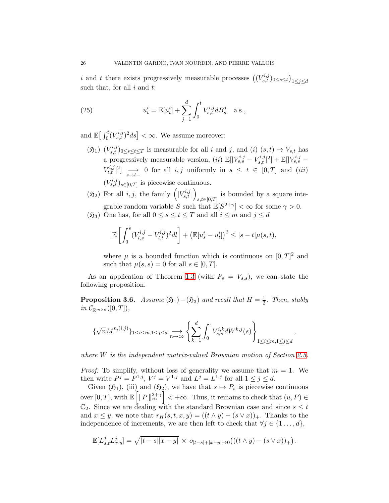i and t there exists progressively measurable processes  $((V^{i,j}_{s,t})_{0\leq s\leq t})_{1\leq j\leq d}$ such that, for all  $i$  and  $t$ :

<span id="page-25-0"></span>(25) 
$$
u_t^i = \mathbb{E}[u_t^i] + \sum_{j=1}^d \int_0^t V_{s,t}^{i,j} dB_s^j \quad \text{a.s.},
$$

and  $\mathbb{E}\left[\int_0^t (V_{s,t}^{i,j})^2 ds\right] < \infty$ . We assume moreover:

- $(\mathfrak{H}_1)$   $(V_{s,t}^{i,j})_{0\leq s\leq t\leq T}$  is measurable for all i and j, and (i)  $(s,t)\mapsto V_{s,t}$  has a progressively measurable version,  $(ii) \mathbb{E}[|V_{s,s}^{i,j} - V_{s,t}^{i,j}|^2] + \mathbb{E}[|V_{s,s}^{i,j} V_{t,t}^{i,j}|^2$   $\longrightarrow$  0 for all  $i, j$  uniformly in  $s \leq t \in [0, T]$  and  $(iii)$  $(V_{s,s}^{i,j})_{s\in[0,T]}$  is piecewise continuous.
- $(5_2)$  For all  $i, j$ , the family  $\left( V_{s,t}^{i,j} \right)$  $\overline{ }$ is bounded by a square inte-<br> $s,t \in [0,T]$ grable random variable S such that  $\mathbb{E}[S^{2+\gamma}] < \infty$  for some  $\gamma > 0$ .
- ( $\mathfrak{H}_3$ ) One has, for all  $0 \leq s \leq t \leq T$  and all  $i \leq m$  and  $j \leq d$

$$
\mathbb{E}\left[\int_0^s(V_{l,s}^{i,j}-V_{l,t}^{i,j})^2dl\right]+\left(\mathbb{E}[u_s^i-u_t^i]\right)^2\leq |s-t|\mu(s,t),
$$

where  $\mu$  is a bounded function which is continuous on  $[0,T]^2$  and such that  $\mu(s,s) = 0$  for all  $s \in [0,T]$ .

As an application of Theorem [1.3](#page-4-0) (with  $P_s = V_{s,s}$ ), we can state the following proposition.

<span id="page-25-1"></span>**Proposition 3.6.** *Assume*  $(\mathfrak{H}_1) - (\mathfrak{H}_3)$  *and recall that*  $H = \frac{1}{2}$ *. Then, stably in*  $\mathcal{C}_{\mathbb{R}^{m \times d}}([0,T]),$ 

$$
\{\sqrt{n}M^{n,(i,j)}\}_{1\leq i\leq m,1\leq j\leq d} \underset{n\to\infty}{\longrightarrow} \left\{\sum_{k=1}^d \int_0^\cdot V^{i,k}_{s,s} dW^{k,j}(s)\right\}_{1\leq i\leq m,1\leq j\leq d},
$$

*where* W *is the independent matrix-valued Brownian motion of Section [2.5.](#page-9-0)*

*Proof.* To simplify, without loss of generality we assume that  $m = 1$ . We then write  $P^j = P^{1,j}$ ,  $V^j = V^{1,j}$  and  $L^j = L^{1,j}$  for all  $1 \le j \le d$ .

Given  $(\mathfrak{H}_1)$ , (iii) and  $(\mathfrak{H}_2)$ , we have that  $s \mapsto P_s$  is piecewise continuous over  $[0, T]$ , with  $\mathbb{E}\left[\|P\|_{\infty}^{2+\gamma}\right] < +\infty$ . Thus, it remains to check that  $(u, P) \in$  $\mathbb{C}_2$ . Since we are dealing with the standard Brownian case and since  $s \leq t$ and  $x \leq y$ , we note that  $r_H(s, t, x, y) = ((t \wedge y) - (s \vee x))_+$ . Thanks to the independence of increments, we are then left to check that  $\forall j \in \{1 \ldots, d\},$ 

$$
\mathbb{E}[L_{s,t}^{j}L_{x,y}^{j}] = \sqrt{|t-s||x-y|} \times o_{|t-s|+|x-y| \to 0} \big( ((t \wedge y) - (s \vee x))_{+} \big).
$$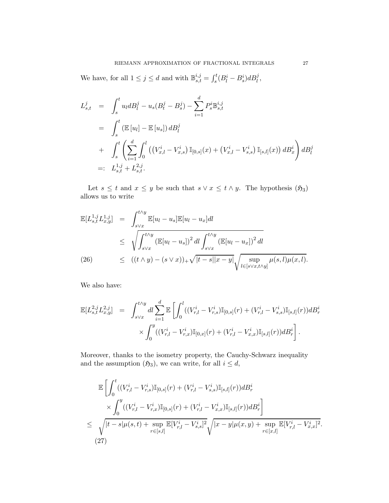We have, for all  $1 \leq j \leq d$  and with  $\mathbb{B}^{i,j}_{s,t} = \int_s^t (B_l^i - B_s^i) dB_l^j$ ,

$$
L_{s,t}^{j} = \int_{s}^{t} u_{l} dB_{l}^{j} - u_{s} (B_{t}^{j} - B_{s}^{j}) - \sum_{i=1}^{d} P_{s}^{i} \mathbb{B}_{s,t}^{i,j}
$$
  
\n
$$
= \int_{s}^{t} (\mathbb{E}[u_{l}] - \mathbb{E}[u_{s}]) dB_{l}^{j}
$$
  
\n
$$
+ \int_{s}^{t} \left( \sum_{i=1}^{d} \int_{0}^{l} ((V_{x,l}^{i} - V_{x,s}^{i}) \mathbb{I}_{[0,s]}(x) + (V_{x,l}^{i} - V_{s,s}^{i}) \mathbb{I}_{[s,l]}(x)) dB_{x}^{i} \right) dB_{l}^{j}
$$
  
\n
$$
=: L_{s,t}^{1,j} + L_{s,t}^{2,j}.
$$

Let  $s \leq t$  and  $x \leq y$  be such that  $s \vee x \leq t \wedge y$ . The hypothesis  $(5_3)$ allows us to write

<span id="page-26-0"></span>
$$
\mathbb{E}[L_{s,t}^{1,j} L_{x,y}^{1,j}] = \int_{s\vee x}^{t\wedge y} \mathbb{E}[u_l - u_s] \mathbb{E}[u_l - u_x] dl
$$
\n
$$
\leq \sqrt{\int_{s\vee x}^{t\wedge y} (\mathbb{E}[u_l - u_s])^2 dl \int_{s\vee x}^{t\wedge y} (\mathbb{E}[u_l - u_x])^2 dl}
$$
\n(26)\n
$$
\leq ((t \wedge y) - (s \vee x))_+ \sqrt{|t - s||x - y|} \sqrt{\sup_{l \in [s\vee x, t\wedge y]} \mu(s, l) \mu(x, l)}.
$$

We also have:

$$
\mathbb{E}[L_{s,t}^{2,j}L_{x,y}^{2,j}] = \int_{s\vee x}^{t\wedge y} dl \sum_{i=1}^d \mathbb{E}\left[\int_0^l ((V_{r,l}^i - V_{r,s}^i)\mathbb{I}_{[0,s]}(r) + (V_{r,l}^i - V_{s,s}^i)\mathbb{I}_{[s,l]}(r))dB_r^i \times \int_0^y ((V_{r,l}^i - V_{r,x}^i)\mathbb{I}_{[0,x]}(r) + (V_{r,l}^i - V_{x,x}^i)\mathbb{I}_{[s,l]}(r))dB_r^i\right].
$$

Moreover, thanks to the isometry property, the Cauchy-Schwarz inequality and the assumption  $(\mathfrak{H}_3)$ , we can write, for all  $i \leq d$ ,

<span id="page-26-1"></span>
$$
\mathbb{E}\left[\int_{0}^{t}((V_{r,l}^{i}-V_{r,s}^{i})\mathbb{I}_{[0,s]}(r)+(V_{r,l}^{i}-V_{s,s}^{i})\mathbb{I}_{[s,l]}(r))dB_{r}^{i}\times\int_{0}^{y}((V_{r,l}^{i}-V_{r,x}^{i})\mathbb{I}_{[0,s]}(r)+(V_{r,l}^{i}-V_{x,x}^{i})\mathbb{I}_{[s,l]}(r))dB_{r}^{i}\right]\leq \sqrt{\frac{|t-s| \mu(s,t)+\sup_{r\in[s,l]}\mathbb{E}[V_{r,l}^{i}-V_{s,s}^{i}]^{2}}{|\mathbb{E}[V_{r,l}^{i}-V_{s,s}^{i}]^{2}}\sqrt{|x-y| \mu(x,y)+\sup_{r\in[x,l]}\mathbb{E}[V_{r,l}^{i}-V_{x,x}^{i}]^{2}}.
$$
\n(27)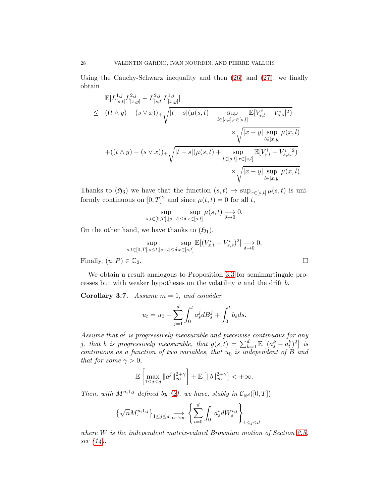Using the Cauchy-Schwarz inequality and then [\(26\)](#page-26-0) and [\(27\)](#page-26-1), we finally obtain

$$
\mathbb{E}[L_{[s,t]}^{1,j}L_{[x,y]}^{2,j} + L_{[s,t]}^{2,j}L_{[x,y]}^{1,j}]
$$
\n
$$
\leq ((t \wedge y) - (s \vee x))_{+} \sqrt{|t-s|(\mu(s,t) + \sup_{l \in [s,t], r \in [s,l]} \mathbb{E}[V_{r,l}^{i} - V_{s,s}^{i}]^{2})}
$$
\n
$$
\times \sqrt{|x-y| \sup_{l \in [x,y]} \mu(x,l)}
$$
\n
$$
+((t \wedge y) - (s \vee x))_{+} \sqrt{|t-s|(\mu(s,t) + \sup_{l \in [s,t], r \in [s,l]} \mathbb{E}[V_{r,l}^{i} - V_{s,s}^{i}]^{2})}
$$
\n
$$
\times \sqrt{|x-y| \sup_{l \in [x,y]} \mu(x,l)}.
$$

Thanks to  $(5_3)$  we have that the function  $(s, t) \to \sup_{x \in [s,t]} \mu(s, t)$  is uniformly continuous on  $[0, T]^2$  and since  $\mu(t, t) = 0$  for all t,

$$
\sup_{s,t \in [0,T], |s-t| \le \delta} \sup_{x \in [s,t]} \mu(s,t) \underset{\delta \to 0}{\longrightarrow} 0.
$$

On the other hand, we have thanks to  $(\mathfrak{H}_1)$ ,

$$
\sup_{s,t\in[0,T],s\leq t,|s-t|\leq\delta}\sup_{x\in[s,t]}\mathbb{E}[(V^i_{x,l}-V^i_{s,s})^2]\xrightarrow[\delta\to 0]{}0.
$$

Finally,  $(u, P) \in \mathbb{C}_2$ .

We obtain a result analogous to Proposition [3.3](#page-11-2) for semimartingale processes but with weaker hypotheses on the volatility a and the drift b.

Corollary 3.7. *Assume* m = 1*, and consider*

$$
u_t = u_0 + \sum_{j=1}^d \int_0^t a_s^j dB_s^j + \int_0^t b_s ds.
$$

Assume that  $a^j$  is progressively measurable and piecewise continuous for any *j*, that *b* is progressively measurable, that  $g(s,t) = \sum_{k=1}^{d} \mathbb{E} \left[ (a_s^k - a_t^k)^2 \right]$  is *continuous as a function of two variables, that*  $u_0$  *is independent of* B and *that for some*  $\gamma > 0$ ,

$$
\mathbb{E}\left[\max_{1\leq j\leq d}\|a^j\|_{\infty}^{2+\gamma}\right]+\mathbb{E}\left[\|b\|_{\infty}^{2+\gamma}\right]<+\infty.
$$

*Then, with*  $M^{n,1,j}$  *defined by* [\(2\)](#page-2-0)*, we have, stably in*  $C_{\mathbb{R}^d}([0,T])$ 

$$
\left\{\sqrt{n}M^{n,1,j}_\cdot\right\}_{1\leq j\leq d}\underset{n\rightarrow\infty}{\longrightarrow}\left\{\sum_{i=0}^d\int_0^\cdot a^i_sdW^{i,j}_s\right\}_{1\leq j\leq d}
$$

*where* W *is the independent matrix-valued Brownian motion of Section [2.5,](#page-9-0) see [\(14\)](#page-10-4).*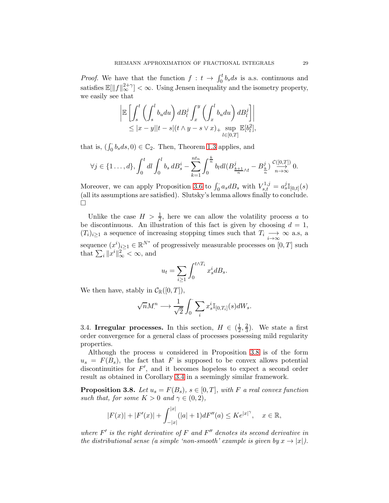*Proof.* We have that the function  $f: t \to \int_0^t b_s ds$  is a.s. continuous and satisfies  $\mathbb{E}[\|f\|_{\infty}^{2+\gamma}] < \infty$ . Using Jensen inequality and the isometry property, we easily see that

$$
\left| \mathbb{E} \left[ \int_s^t \left( \int_s^l b_u du \right) dB_l^j \int_x^y \left( \int_x^l b_u du \right) dB_l^j \right] \right|
$$
  
 
$$
\leq |x - y||t - s|(t \wedge y - s \vee x)_+ \sup_{l \in [0, T]} \mathbb{E}[b_l^2],
$$

that is,  $(\int_0^{\cdot} b_s ds, 0) \in \mathbb{C}_2$ . Then, Theorem [1.3](#page-4-0) applies, and

$$
\forall j \in \{1 \ldots, d\}, \int_0^t dl \int_0^l b_s dB_s^i - \sum_{k=1}^{nt_n} \int_0^{\frac{k}{n}} b_l dl (B_{\frac{k+1}{n} \wedge t}^j - B_{\frac{k}{n}}^j) \frac{\mathcal{C}([0, T])}{n \to \infty} 0.
$$

Moreover, we can apply Proposition [3.6](#page-25-1) to  $\int_0^{\cdot} a_s dB_s$  with  $V_{s,t}^{1,j} = a_s^{j} \mathbb{I}_{[0,t]}(s)$ (all its assumptions are satisfied). Slutsky's lemma allows finally to conclude.  $\Box$ 

Unlike the case  $H > \frac{1}{2}$ , here we can allow the volatility process a to be discontinuous. An illustration of this fact is given by choosing  $d = 1$ ,  $(T_i)_{i\geq 1}$  a sequence of increasing stopping times such that  $T_i \longrightarrow \infty$  a.s., a i→∞ sequence  $(x^i)_{i\geq 1} \in \mathbb{R}^{N^*}$  of progressively measurable processes on  $[0, T]$  such that  $\sum_{i} ||x^{i}||_{\infty}^{2} < \infty$ , and

$$
u_t = \sum_{i \ge 1} \int_0^{t \wedge T_i} x_s^i dB_s.
$$

We then have, stably in  $C_{\mathbb{R}}([0,T]),$ 

$$
\sqrt{n}M^n \longrightarrow \frac{1}{\sqrt{2}}\int_0^{\cdot} \sum_i x_s^i \mathbb{I}_{[0,T_i]}(s) dW_s.
$$

<span id="page-28-0"></span>3.4. Irregular processes. In this section,  $H \in (\frac{1}{2})$  $\frac{1}{2}, \frac{2}{3}$  $(\frac{2}{3})$ . We state a first order convergence for a general class of processes possessing mild regularity properties.

Although the process u considered in Proposition [3.8](#page-28-1) is of the form  $u_s = F(B_s)$ , the fact that F is supposed to be convex allows potential discontinuities for  $F'$ , and it becomes hopeless to expect a second order result as obtained in Corollary [3.4](#page-13-1) in a seemingly similar framework.

<span id="page-28-1"></span>**Proposition 3.8.** Let  $u_s = F(B_s)$ ,  $s \in [0, T]$ , with F a real convex function *such that, for some*  $K > 0$  *and*  $\gamma \in (0, 2)$ *,* 

$$
|F(x)| + |F'(x)| + \int_{-|x|}^{|x|} (|a| + 1) dF''(a) \leq Ke^{|x|^\gamma}, \quad x \in \mathbb{R},
$$

where  $F'$  is the right derivative of  $F$  and  $F''$  denotes its second derivative in *the distributional sense (a simple 'non-smooth' example is given by*  $x \to |x|$ ).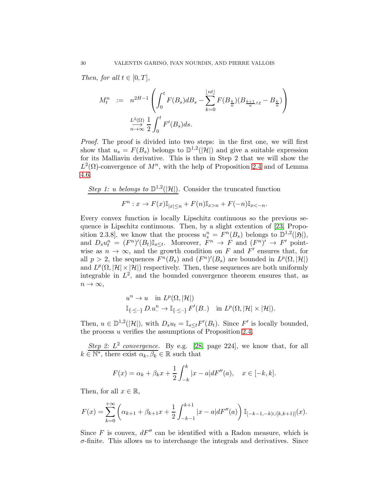*Then, for all*  $t \in [0, T]$ *,* 

$$
M_t^n := n^{2H-1} \left( \int_0^t F(B_s) dB_s - \sum_{k=0}^{\lfloor nt \rfloor} F(B_k) (B_{\frac{k+1}{n}} \wedge_t - B_{\frac{k}{n}}) \right)
$$
  

$$
\xrightarrow[n \to \infty]{L^2(\Omega)} \frac{1}{2} \int_0^t F'(B_s) ds.
$$

*Proof.* The proof is divided into two steps: in the first one, we will first show that  $u_s = F(B_s)$  belongs to  $\mathbb{D}^{1,2}(|\mathcal{H}|)$  and give a suitable expression for its Malliavin derivative. This is then in Step 2 that we will show the  $L^2(\Omega)$ -convergence of  $M^n$ , with the help of Proposition [2.4](#page-9-3) and of Lemma [4.6.](#page-36-0)

Step 1: u belongs to 
$$
\mathbb{D}^{1,2}(|\mathcal{H}|)
$$
. Consider the truncated function

$$
F^n : x \to F(x) \mathbb{I}_{|x| \le n} + F(n) \mathbb{I}_{x > n} + F(-n) \mathbb{I}_{x < -n}.
$$

Every convex function is locally Lipschitz continuous so the previous sequence is Lipschitz continuous. Then, by a slight extention of [\[23,](#page-50-4) Proposition 2.3.8, we know that the process  $u_s^n = F^n(B_s)$  belongs to  $\mathbb{D}^{1,2}(|\mathfrak{H}|)$ , and  $D_s u_t^n = (F^n)'(B_t) \mathbb{I}_{s \leq t}$ . Moreover,  $F^n \to F$  and  $(F^n)' \to F'$  pointwise as  $n \to \infty$ , and the growth condition on F and F' ensures that, for all  $p > 2$ , the sequences  $F^n(B_s)$  and  $(F^n)'(B_s)$  are bounded in  $L^p(\Omega, |\mathcal{H}|)$ and  $L^p(\Omega, |\mathcal{H}| \times |\mathcal{H}|)$  respectively. Then, these sequences are both uniformly integrable in  $L^2$ , and the bounded convergence theorem ensures that, as  $n \to \infty$ ,

$$
u^{n} \to u \quad \text{in} \, L^{p}(\Omega, |\mathcal{H}|)
$$
  

$$
\mathbb{I}_{\{\cdot \leq \cdot\}} D.u_{\cdot \cdot}^{n} \to \mathbb{I}_{\{\cdot \leq \cdot\}} F'(B_{\cdot \cdot}) \quad \text{in} \, L^{p}(\Omega, |\mathcal{H}| \times |\mathcal{H}|).
$$

Then,  $u \in \mathbb{D}^{1,2}(|\mathcal{H}|)$ , with  $D_s u_t = \mathbb{I}_{s \leq t} F'(B_t)$ . Since  $F'$  is locally bounded, the process u verifies the assumptions of Proposition [2.4.](#page-9-3)

*Step 2:*  $L^2$  *convergence.* By e.g. [\[28,](#page-50-11) page 224], we know that, for all  $k \in \overline{\mathbb{N}^*}$ , there exist  $\alpha_k, \beta_k \in \mathbb{R}$  such that

$$
F(x) = \alpha_k + \beta_k x + \frac{1}{2} \int_{-k}^{k} |x - a| dF''(a), \quad x \in [-k, k].
$$

Then, for all  $x \in \mathbb{R}$ ,

$$
F(x) = \sum_{k=0}^{+\infty} \left( \alpha_{k+1} + \beta_{k+1} x + \frac{1}{2} \int_{-k-1}^{k+1} |x - a| dF''(a) \right) \mathbb{I}_{[-k-1,-k] \cup [k,k+1)]}(x).
$$

Since F is convex,  $dF''$  can be identified with a Radon measure, which is  $\sigma$ -finite. This allows us to interchange the integrals and derivatives. Since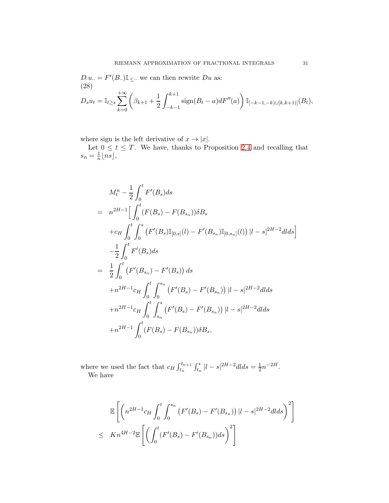$D.u.. = F'(B..) \mathbb{I}_{\leq \cdot \cdot}$  we can then rewrite  $Du$  as: (28)

<span id="page-30-0"></span>
$$
D_s u_t = \mathbb{I}_{t \ge s} \sum_{k=0}^{+\infty} \left( \beta_{k+1} + \frac{1}{2} \int_{-k-1}^{k+1} \text{sign}(B_t - a) dF''(a) \right) \mathbb{I}_{[-k-1, -k] \cup [k, k+1)]}(B_t),
$$

where sign is the left derivative of  $x \to |x|$ .

Let  $0 \leq t \leq T$ . We have, thanks to Proposition [2.4](#page-9-3) and recalling that  $s_n = \frac{1}{n}$  $\frac{1}{n}$ [ns],

$$
M_t^n - \frac{1}{2} \int_0^t F'(B_s) ds
$$
  
\n
$$
= n^{2H-1} \Big[ \int_0^t (F(B_s) - F(B_{s_n})) \delta B_s
$$
  
\n
$$
+ c_H \int_0^t \int_0^s (F'(B_s) \mathbb{I}_{[0,s]}(l) - F'(B_{s_n}) \mathbb{I}_{[0,s_n]}(l)) |l - s|^{2H-2} dl ds \Big]
$$
  
\n
$$
- \frac{1}{2} \int_0^t F'(B_s) ds
$$
  
\n
$$
= \frac{1}{2} \int_0^t (F'(B_{s_n}) - F'(B_s)) ds
$$
  
\n
$$
+ n^{2H-1} c_H \int_0^t \int_0^{s_n} (F'(B_s) - F'(B_{s_n})) |l - s|^{2H-2} dl ds
$$
  
\n
$$
+ n^{2H-1} c_H \int_0^t \int_{s_n}^s (F'(B_s) - F'(B_{s_n})) |l - s|^{2H-2} dl ds
$$
  
\n
$$
+ n^{2H-1} \int_0^t (F(B_s) - F(B_{s_n})) \delta B_s,
$$

where we used the fact that  $c_H \int_{t_n}^{t_{n+1}} \int_{t_n}^{s} |l-s|^{2H-2} dl ds = \frac{1}{2} n^{-2H}.$ We have

$$
\mathbb{E}\left[\left(n^{2H-1}c_{H}\int_{0}^{t}\int_{0}^{s_{n}}\left(F'(B_{s})-F'(B_{s_{n}})\right)|l-s|^{2H-2}d{ds}\right)^{2}\right]
$$
  

$$
\leq Kn^{4H-2}\mathbb{E}\left[\left(\int_{0}^{t}(F'(B_{s})-F'(B_{s_{n}}))ds\right)^{2}\right]
$$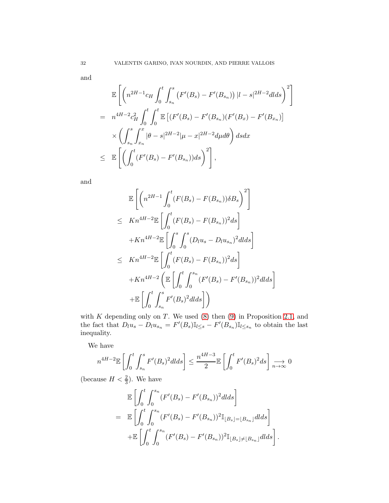and

$$
\mathbb{E}\left[\left(n^{2H-1}c_{H}\int_{0}^{t}\int_{s_{n}}^{s}\left(F'(B_{s})-F'(B_{s_{n}})\right)|l-s|^{2H-2}d{ds}\right)^{2}\right]
$$
\n
$$
= n^{4H-2}c_{H}^{2}\int_{0}^{t}\int_{0}^{t}\mathbb{E}\left[(F'(B_{s})-F'(B_{s_{n}})(F'(B_{x})-F'(B_{x_{n}}))\right] \times \left(\int_{s_{n}}^{s}\int_{x_{n}}^{x}|\theta-s|^{2H-2}|\mu-x|^{2H-2}d\mu d\theta\right)dsdx
$$
\n
$$
\leq \mathbb{E}\left[\left(\int_{0}^{t}(F'(B_{s})-F'(B_{s_{n}}))ds\right)^{2}\right],
$$

and

$$
\mathbb{E}\left[\left(n^{2H-1}\int_{0}^{t}(F(B_{s})-F(B_{s_{n}}))\delta B_{s}\right)^{2}\right]
$$
\n
$$
\leq Kn^{4H-2}\mathbb{E}\left[\int_{0}^{t}(F(B_{s})-F(B_{s_{n}}))^{2}ds\right]
$$
\n
$$
+Kn^{4H-2}\mathbb{E}\left[\int_{0}^{s}\int_{0}^{s}(D_{l}u_{s}-D_{l}u_{s_{n}})^{2}dlds\right]
$$
\n
$$
\leq Kn^{4H-2}\mathbb{E}\left[\int_{0}^{t}(F(B_{s})-F(B_{s_{n}}))^{2}ds\right]
$$
\n
$$
+Kn^{4H-2}\left(\mathbb{E}\left[\int_{0}^{t}\int_{0}^{s_{n}}(F'(B_{s})-F'(B_{s_{n}}))^{2}dlds\right]\right]
$$
\n
$$
+\mathbb{E}\left[\int_{0}^{t}\int_{s_{n}}^{s}F'(B_{s})^{2}dlds\right]\right)
$$

with  $K$  depending only on  $T$ . We used  $(8)$  then  $(9)$  in Proposition 2.1, and the fact that  $D_l u_s - D_l u_{s_n} = F'(B_s) \mathbb{I}_{l \leq s} - F'(B_{s_n}) \mathbb{I}_{l \leq s_n}$  to obtain the last inequality.

We have

$$
n^{4H-2} \mathbb{E}\left[\int_0^t \int_{s_n}^s F'(B_s)^2 d\, ds\right] \le \frac{n^{4H-3}}{2} \mathbb{E}\left[\int_0^t F'(B_s)^2 ds\right] \underset{n \to \infty}{\longrightarrow} 0
$$

(because  $H < \frac{2}{3}$ ). We have

$$
\mathbb{E}\left[\int_{0}^{t} \int_{0}^{s_{n}} (F'(B_{s}) - F'(B_{s_{n}}))^{2} dds\right]
$$
\n
$$
= \mathbb{E}\left[\int_{0}^{t} \int_{0}^{s_{n}} (F'(B_{s}) - F'(B_{s_{n}}))^{2} \mathbb{I}_{[B_{s}]=[B_{s_{n}}]} dds\right]
$$
\n
$$
+ \mathbb{E}\left[\int_{0}^{t} \int_{0}^{s_{n}} (F'(B_{s}) - F'(B_{s_{n}}))^{2} \mathbb{I}_{[B_{s}]\neq[B_{s_{n}}]} dds\right].
$$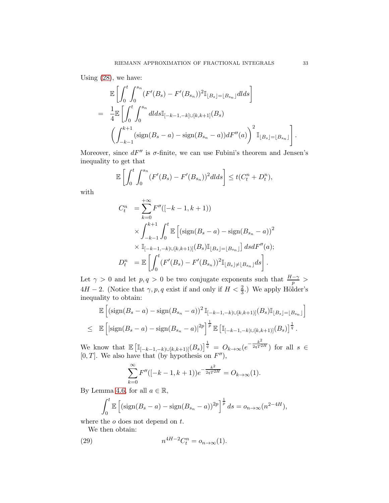Using [\(28\)](#page-30-0), we have:

$$
\mathbb{E}\left[\int_{0}^{t} \int_{0}^{s_{n}} (F'(B_{s}) - F'(B_{s_{n}}))^{2} \mathbb{I}_{[B_{s}]=\lfloor B_{s_{n}}\rfloor} dlds\right]
$$
\n
$$
= \frac{1}{4} \mathbb{E}\left[\int_{0}^{t} \int_{0}^{s_{n}} dlds \mathbb{I}_{[-k-1,-k]\cup[k,k+1]}(B_{s}) \right]
$$
\n
$$
\left(\int_{-k-1}^{k+1} (\text{sign}(B_{s}-a) - \text{sign}(B_{s_{n}}-a))dF''(a)\right)^{2} \mathbb{I}_{[B_{s}]=\lfloor B_{s_{n}}\rfloor}\right].
$$

Moreover, since  $dF''$  is  $\sigma$ -finite, we can use Fubini's theorem and Jensen's inequality to get that

$$
\mathbb{E}\left[\int_0^t \int_0^{s_n} (F'(B_s) - F'(B_{s_n}))^2 dl ds\right] \le t(C_t^n + D_t^n),
$$

with

$$
C_t^n = \sum_{k=0}^{+\infty} F''([-k-1, k+1))
$$
  
 
$$
\times \int_{-k-1}^{k+1} \int_0^t \mathbb{E} \left[ (\text{sign}(B_s - a) - \text{sign}(B_{s_n} - a))^2 \times \mathbb{I}_{[-k-1, -k] \cup [k, k+1]} (B_s) \mathbb{I}_{[B_s] = [B_{s_n}]} \right] ds dF''(a);
$$
  

$$
D_t^n = \mathbb{E} \left[ \int_0^t (F'(B_s) - F'(B_{s_n}))^2 \mathbb{I}_{[B_s] \neq [B_{s_n}]} ds \right].
$$

Let  $\gamma > 0$  and let  $p, q > 0$  be two conjugate exponents such that  $\frac{H-\gamma}{p}$  $4H - 2$ . (Notice that  $\gamma, p, q$  exist if and only if  $H < \frac{2}{3}$ .) We apply Hölder's inequality to obtain:

$$
\mathbb{E}\left[\left(\text{sign}(B_s - a) - \text{sign}(B_{s_n} - a)\right)^2 \mathbb{I}_{[-k-1,-k)\cup[k,k+1)]}(B_s) \mathbb{I}_{[B_s] = [B_{s_n}]} \right]
$$
\n
$$
\leq \mathbb{E}\left[\left|\text{sign}(B_s - a) - \text{sign}(B_{s_n} - a)\right|^{2p}\right]^{\frac{1}{p}} \mathbb{E}\left[\mathbb{I}_{[-k-1,-k)\cup[k,k+1)]}(B_s)\right]^{\frac{1}{q}}.
$$

We know that  $\mathbb{E} \left[ \mathbb{I}_{[-k-1,-k)\cup[k,k+1)]}(B_s) \right]^{\frac{1}{q}} = O_{k \to \infty} (e^{-\frac{k^2}{2qT^2}})$  $\left( \begin{array}{c} 2qT^{2H} \end{array} \right)$  for all  $s \in$ [0, T]. We also have that (by hypothesis on  $F''$ ),

$$
\sum_{k=0}^{\infty} F''([-k-1, k+1))e^{-\frac{k^2}{2qT^{2H}}} = O_{k \to \infty}(1).
$$

By Lemma [4.6,](#page-36-0) for all  $a \in \mathbb{R}$ ,

$$
\int_0^t \mathbb{E}\left[\left(\text{sign}(B_s-a)-\text{sign}(B_{s_n}-a)\right)^{2p}\right]^{\frac{1}{p}} ds = o_{n\to\infty}(n^{2-4H}),
$$

where the  $o$  does not depend on  $t$ .

We then obtain:

(29) 
$$
n^{4H-2}C_t^n = o_{n \to \infty}(1).
$$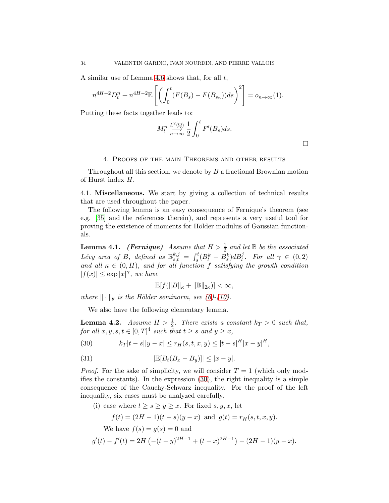A similar use of Lemma [4.6](#page-36-0) shows that, for all  $t$ ,

$$
n^{4H-2}D_t^n + n^{4H-2} \mathbb{E}\left[ \left( \int_0^t (F(B_s) - F(B_{s_n})) ds \right)^2 \right] = o_{n \to \infty}(1).
$$

Putting these facts together leads to:

$$
M_t^n \xrightarrow[n \to \infty]{L^2(\Omega)} \frac{1}{2} \int_0^t F'(B_s) ds.
$$

 $\Box$ 

#### 4. Proofs of the main Theorems and other results

Throughout all this section, we denote by B a fractional Brownian motion of Hurst index H.

4.1. Miscellaneous. We start by giving a collection of technical results that are used throughout the paper.

The following lemma is an easy consequence of Fernique's theorem (see e.g. [\[35\]](#page-50-12) and the references therein), and represents a very useful tool for proving the existence of moments for Hölder modulus of Gaussian functionals.

<span id="page-33-0"></span>**Lemma 4.1.** (Fernique) Assume that  $H > \frac{1}{2}$  and let  $\mathbb{B}$  be the associated *Lévy area of* B, defined as  $\mathbb{B}_{s,t}^{k,j} = \int_s^t (B_l^k - \bar{B}_s^k) dB_l^j$ . For all  $\gamma \in (0, 2)$ and all  $\kappa \in (0, H)$ *, and for all function* f *satisfying the growth condition*  $|f(x)| \leq \exp |x|^{\gamma},$  we have

$$
\mathbb{E}[f(||B||_{\kappa}+||\mathbb{B}||_{2\kappa})]<\infty,
$$

*where*  $\|\cdot\|_{\theta}$  *is the Hölder seminorm, see* [\(6\)](#page-5-0)-[\(10\)](#page-9-2)*.* 

We also have the following elementary lemma.

<span id="page-33-1"></span>**Lemma 4.2.** Assume  $H > \frac{1}{2}$ . There exists a constant  $k_T > 0$  such that, *for all*  $x, y, s, t \in [0, T]^4$  *such that*  $t \geq s$  *and*  $y \geq x$ *,* 

<span id="page-33-2"></span>(30) 
$$
k_T|t-s||y-x| \le r_H(s,t,x,y) \le |t-s|^H|x-y|^H,
$$

<span id="page-33-3"></span>(31) 
$$
|\mathbb{E}[B_t(B_x - B_y)]| \leq |x - y|.
$$

*Proof.* For the sake of simplicity, we will consider  $T = 1$  (which only modifies the constants). In the expression [\(30\)](#page-33-2), the right inequality is a simple consequence of the Cauchy-Schwarz inequality. For the proof of the left inequality, six cases must be analyzed carefully.

(i) case where  $t \geq s \geq y \geq x$ . For fixed s, y, x, let

$$
f(t) = (2H - 1)(t - s)(y - x) \text{ and } g(t) = r_H(s, t, x, y).
$$
  
We have  $f(s) = g(s) = 0$  and  

$$
g'(t) - f'(t) = 2H (-(t - y)^{2H-1} + (t - x)^{2H-1}) - (2H - 1)(y - x).
$$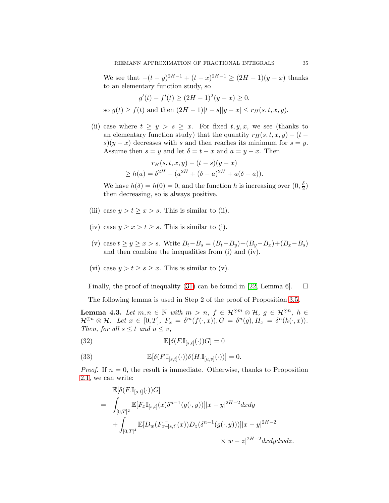We see that  $-(t - y)^{2H-1} + (t - x)^{2H-1} \ge (2H - 1)(y - x)$  thanks to an elementary function study, so

$$
g'(t) - f'(t) \ge (2H - 1)^2(y - x) \ge 0,
$$
  
so  $g(t) \ge f(t)$  and then  $(2H - 1)|t - s||y - x| \le r_H(s, t, x, y).$ 

(ii) case where  $t \geq y > s \geq x$ . For fixed  $t, y, x$ , we see (thanks to an elementary function study) that the quantity  $r_H(s, t, x, y) - (t$  $s(y-x)$  decreases with s and then reaches its minimum for  $s=y$ . Assume then  $s = y$  and let  $\delta = t - x$  and  $a = y - x$ . Then

$$
r_H(s, t, x, y) - (t - s)(y - x)
$$
  
\n
$$
\geq h(a) = \delta^{2H} - (a^{2H} + (\delta - a)^{2H} + a(\delta - a)).
$$

We have  $h(\delta) = h(0) = 0$ , and the function h is increasing over  $(0, \frac{\delta}{2})$  $\frac{0}{2}$ then decreasing, so is always positive.

- (iii) case  $y > t \geq x > s$ . This is similar to (ii).
- (iv) case  $y \ge x > t \ge s$ . This is similar to (i).
- (v) case  $t \ge y \ge x > s$ . Write  $B_t B_s = (B_t B_y) + (B_y B_x) + (B_x B_s)$ and then combine the inequalities from (i) and (iv).
- (vi) case  $y > t \geq s \geq x$ . This is similar to (v).

Finally, the proof of inequality [\(31\)](#page-33-3) can be found in [\[22,](#page-50-13) Lemma 6].  $\Box$ 

The following lemma is used in Step 2 of the proof of Proposition [3.5.](#page-14-1)

<span id="page-34-0"></span>**Lemma 4.3.** Let  $m, n \in \mathbb{N}$  with  $m > n$ ,  $f \in \mathcal{H}^{\odot m} \otimes \mathcal{H}$ ,  $g \in \mathcal{H}^{\odot n}$ ,  $h \in$  $\mathcal{H}^{\odot n} \otimes \mathcal{H}$ *. Let*  $x \in [0,T]$ *,*  $F_x = \delta^m(f(\cdot,x)), G = \delta^n(g), H_x = \delta^n(h(\cdot,x)).$ *Then, for all*  $s \leq t$  *and*  $u \leq v$ *,* 

(32) 
$$
\mathbb{E}[\delta(F.\mathbb{I}_{[s,t]}(\cdot))G] = 0
$$

(33) 
$$
\mathbb{E}[\delta(F\mathbb{I}_{[s,t]}(\cdot))\delta(H\mathbb{I}_{[u,v]}(\cdot))] = 0.
$$

*Proof.* If  $n = 0$ , the result is immediate. Otherwise, thanks to Proposition 2.1, we can write:

<span id="page-34-2"></span><span id="page-34-1"></span>
$$
\mathbb{E}[\delta(F.\mathbb{I}_{[s,t]}(\cdot))G]
$$
\n
$$
= \int_{[0,T]^2} \mathbb{E}[F_x \mathbb{I}_{[s,t]}(x)\delta^{n-1}(g(\cdot,y))]|x-y|^{2H-2}dxdy
$$
\n
$$
+ \int_{[0,T]^4} \mathbb{E}[D_w(F_x \mathbb{I}_{[s,t]}(x))D_z(\delta^{n-1}(g(\cdot,y))]|x-y|^{2H-2}
$$
\n
$$
\times |w-z|^{2H-2}dxdydwdz.
$$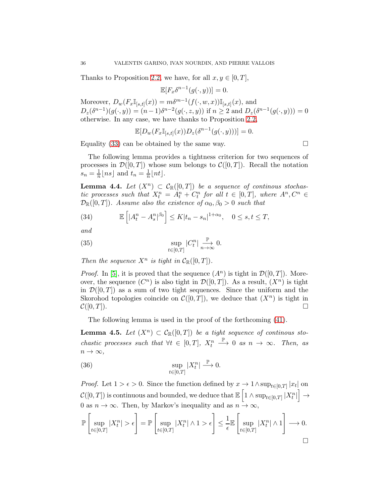Thanks to Proposition 2.2, we have, for all  $x, y \in [0, T]$ ,

$$
\mathbb{E}[F_x\delta^{n-1}(g(\cdot,y))] = 0.
$$

Moreover,  $D_w(F_x\mathbb{I}_{[s,t]}(x)) = m\delta^{m-1}(f(\cdot,w,x))\mathbb{I}_{[s,t]}(x)$ , and  $D_z(\delta^{n-1})(g(\cdot, y)) = (n-1)\delta^{n-2}(g(\cdot, z, y))$  if  $n \ge 2$  and  $D_z(\delta^{n-1}(g(\cdot, y))) = 0$ otherwise. In any case, we have thanks to Proposition 2.2,

$$
\mathbb{E}[D_w(F_x\mathbb{I}_{[s,t]}(x))D_z(\delta^{n-1}(g(\cdot,y)))] = 0.
$$

Equality [\(33\)](#page-34-2) can be obtained by the same way.

The following lemma provides a tightness criterion for two sequences of processes in  $\mathcal{D}([0,T])$  whose sum belongs to  $\mathcal{C}([0,T])$ . Recall the notation  $s_n = \frac{1}{n} \lfloor ns \rfloor$  and  $t_n = \frac{1}{n} \lfloor nt \rfloor$ .

<span id="page-35-1"></span>**Lemma 4.4.** Let  $(X^n) \subset C_{\mathbb{R}}([0,T])$  be a sequence of continuous stochas*tic processes such that*  $X_t^n = A_t^n + C_t^n$  *for all*  $t \in [0, T]$ *, where*  $A^n, C^n \in$  $\mathcal{D}_{\mathbb{R}}([0,T])$ *. Assume also the existence of*  $\alpha_0, \beta_0 > 0$  *such that* 

(34) 
$$
\mathbb{E}\left[|A_t^n - A_s^n|^{ \beta_0} \right] \le K |t_n - s_n|^{1+\alpha_0}, \quad 0 \le s, t \le T,
$$

*and*

(35) 
$$
\sup_{t \in [0,T]} |C_t^n| \underset{n \to \infty}{\overset{\mathbb{P}}{\longrightarrow}} 0.
$$

*Then the sequence*  $X^n$  *is tight in*  $C_{\mathbb{R}}([0,T])$ *.* 

*Proof.* In [\[5\]](#page-49-17), it is proved that the sequence  $(A^n)$  is tight in  $\mathcal{D}([0,T])$ . Moreover, the sequence  $(C^n)$  is also tight in  $\mathcal{D}([0,T])$ . As a result,  $(X^n)$  is tight in  $\mathcal{D}([0,T])$  as a sum of two tight sequences. Since the uniform and the Skorohod topologies coincide on  $\mathcal{C}([0,T])$ , we deduce that  $(X^n)$  is tight in  $\mathcal{C}([0,T])$ .

The following lemma is used in the proof of the forthcoming [\(41\)](#page-38-0).

<span id="page-35-0"></span>**Lemma 4.5.** Let  $(X^n) \subset C_{\mathbb{R}}([0,T])$  be a tight sequence of continuos sto*chastic processes such that*  $\forall t \in [0, T]$ ,  $X_t^n$  $\stackrel{\mathbb{P}}{\longrightarrow}$  0 *as*  $n \to \infty$ *. Then, as*  $n \to \infty$ ,

(36) 
$$
\sup_{t\in[0,T]}|X_t^n| \stackrel{\mathbb{P}}{\longrightarrow} 0.
$$

*Proof.* Let  $1 > \epsilon > 0$ . Since the function defined by  $x \to 1 \wedge \sup_{t \in [0,T]} |x_t|$  on  $\mathcal{C}([0,T])$  is continuous and bounded, we deduce that  $\mathbb{E}\left[1 \wedge \sup_{t \in [0,T]} |X_t^n| \right]$ i  $\rightarrow$ 0 as  $n \to \infty$ . Then, by Markov's inequality and as  $n \to \infty$ ,

$$
\mathbb{P}\left[\sup_{t\in[0,T]}|X^n_t|>\epsilon\right]=\mathbb{P}\left[\sup_{t\in[0,T]}|X^n_t|\wedge 1>\epsilon\right]\leq \frac{1}{\epsilon}\mathbb{E}\left[\sup_{t\in[0,T]}|X^n_t|\wedge 1\right]\longrightarrow 0.
$$

$$
\Box
$$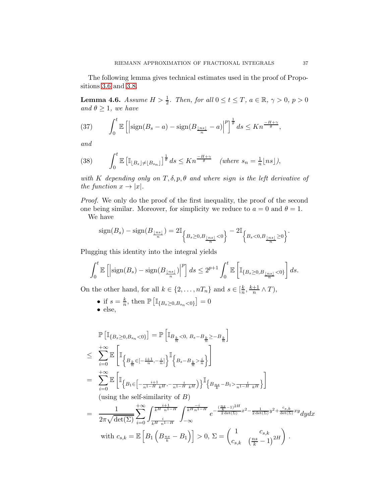The following lemma gives technical estimates used in the proof of Propositions [3.6](#page-25-1) and [3.8.](#page-28-1)

<span id="page-36-0"></span>**Lemma 4.6.** *Assume*  $H > \frac{1}{2}$ *. Then, for all*  $0 \le t \le T$ *, a*  $\in \mathbb{R}$ *,*  $\gamma > 0$ *, p* > 0 *and*  $\theta \geq 1$ *, we have* 

(37) 
$$
\int_0^t \mathbb{E}\left[\left|\operatorname{sign}(B_s-a)-\operatorname{sign}(B_{\frac{\lfloor ns \rfloor}{n}}-a)\right|^p\right]^{\frac{1}{\theta}} ds \leq Kn^{\frac{-H+\gamma}{\theta}},
$$

*and*

(38) 
$$
\int_0^t \mathbb{E}\left[\mathbb{I}_{\lfloor B_s\rfloor \neq \lfloor B_{s_n}\rfloor}\right]^{\frac{1}{\theta}} ds \leq Kn^{\frac{-H+\gamma}{\theta}} \quad (\text{where } s_n = \frac{1}{n} \lfloor ns \rfloor),
$$

*with* K *depending only on* T, δ, p, θ *and where* sign *is the left derivative of the function*  $x \to |x|$ *.* 

*Proof.* We only do the proof of the first inequality, the proof of the second one being similar. Moreover, for simplicity we reduce to  $a = 0$  and  $\theta = 1$ . We have

$$
sign(B_s) - sign(B_{\frac{\lfloor ns \rfloor}{n}}) = 2\mathbb{I}_{\left\{B_s \ge 0, B_{\frac{\lfloor ns \rfloor}{n}} < 0\right\}} - 2\mathbb{I}_{\left\{B_s < 0, B_{\frac{\lfloor ns \rfloor}{n}} \ge 0\right\}}.
$$

Plugging this identity into the integral yields

$$
\int_0^t \mathbb{E}\left[\left|\text{sign}(B_s) - \text{sign}(B_{\frac{\lfloor ns \rfloor}{n}})\right|^p\right] ds \le 2^{p+1} \int_0^t \mathbb{E}\left[\mathbb{I}_{\{B_s \ge 0, B_{\frac{\lfloor ns \rfloor}{n}} < 0\}}\right] ds.
$$

On the other hand, for all  $k \in \{2, ..., nT_n\}$  and  $s \in [\frac{k}{n}]$  $\frac{k}{n}, \frac{k+1}{n} \wedge T$ ,

• if  $s = \frac{k}{n}$  $\frac{k}{n}$ , then  $\mathbb{P}\left[\mathbb{I}_{\{B_s \geq 0, B_{s_n} < 0\}}\right] = 0$ • else,

$$
\begin{split} &\mathbb{P}\left[\mathbb{I}_{\{B_{s}\geq0,B_{s_{n}}<0\}}\right]=\mathbb{P}\left[\mathbb{I}_{B_{\frac{k}{n}}<0,\;B_{s}-B_{\frac{k}{n}}\geq-B_{\frac{k}{n}}}\right]\\ &\leq\sum_{i=0}^{+\infty}\mathbb{E}\left[\mathbb{I}_{\left\{B_{\frac{k}{n}}\in\left[-\frac{i+1}{n},-\frac{i}{n}\right]\right\}}^{\top}\left\{B_{s}-B_{\frac{k}{n}}>\frac{i}{n}\right\}\right]\\ &=\sum_{i=0}^{+\infty}\mathbb{E}\left[\mathbb{I}_{\left\{B_{1}\in\left[-\frac{i+1}{n^{1-H}\;_{k}H},-\frac{i}{n^{1-H}\;_{k}H}\right)\right\}}^{\top}\left\{B_{\frac{ns}{k}}-B_{1}>\frac{i}{n^{1-H}\;_{k}H}\right\}\right]\\ &\text{(using the self-similarity of $B$)}\\ &=\frac{1}{2\pi\sqrt{\det(\Sigma)}}\sum_{i=0}^{+\infty}\int_{\frac{i}{k}H}\frac{i+1}{n^{1-H}}^{\top}\int_{-\infty}^{\frac{-i}{k}H\frac{-i}{n^{1-H}}^{\top}}e^{-\frac{\left(\frac{ns}{k}-1\right){}^{2H}}{2\det(\Sigma)}x^{2}-\frac{1}{2\det(\Sigma)}y^{2}+\frac{c_{s,k}}{\det(\Sigma)}xy}dydx\\ &\text{with $c_{s,k}=\mathbb{E}\left[B_{1}\left(B_{\frac{ns}{k}}-B_{1}\right)\right]>0,\,\Sigma=\begin{pmatrix}1&c_{s,k}\\c_{s,k}&\left(\frac{ns}{k}-1\right){}^{2H}\end{pmatrix}. \end{split}
$$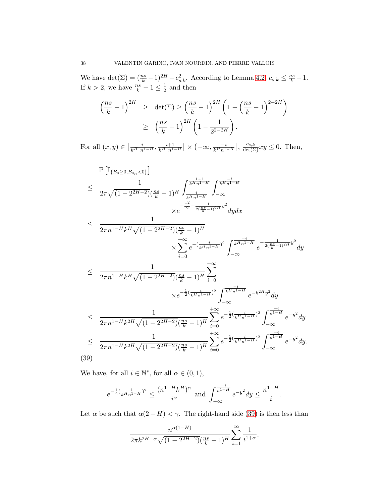We have  $\det(\Sigma) = (\frac{ns}{k} - 1)^{2H} - c_{s,k}^2$ . According to Lemma [4.2,](#page-33-1)  $c_{s,k} \leq \frac{ns}{k} - 1$ . If  $k > 2$ , we have  $\frac{ns}{k} - 1 \leq \frac{1}{2}$  $\frac{1}{2}$  and then

$$
\left(\frac{ns}{k} - 1\right)^{2H} \geq \det(\Sigma) \geq \left(\frac{ns}{k} - 1\right)^{2H} \left(1 - \left(\frac{ns}{k} - 1\right)^{2-2H}\right)
$$

$$
\geq \left(\frac{ns}{k} - 1\right)^{2H} \left(1 - \frac{1}{2^{2-2H}}\right).
$$

For all  $(x, y) \in \left[\frac{i}{k^H n^{1-H}}, \frac{i+1}{k^H n^{1-H}}\right] \times \left(-\infty, \frac{-i}{k^H n^{1-H}}\right], \frac{c_{s,k}}{\det(\Sigma)} xy \leq 0$ . Then,

<span id="page-37-0"></span>
$$
\mathbb{P}\left[\mathbb{I}_{\{B_{s}\geq 0,B_{s_{n}}<0\}}\right] \leq \frac{1}{2\pi\sqrt{(1-2^{2H-2})(\frac{ns}{k}-1)^{H}}} \int_{\frac{1}{k}H_{n}^{1-H}}^{\frac{i+1}{k}H_{n}^{1-H}} \int_{-\infty}^{-i} dx
$$
\n
$$
\leq \frac{1}{2\pi n^{1-H}k^{H}\sqrt{(1-2^{2H-2})(\frac{ns}{k}-1)^{H}}} \times \sum_{i=0}^{+\infty} e^{-(\frac{i}{k^{H}n^{1-H}})^{2}} \int_{-\infty}^{\frac{-i}{k}H_{n}^{1-H}} e^{-\frac{1}{2(\frac{ns}{k}-1)^{2H}}y^{2}} dy
$$
\n
$$
\leq \frac{1}{2\pi n^{1-H}k^{H}\sqrt{(1-2^{2H-2})(\frac{ns}{k}-1)^{H}}} \sum_{i=0}^{+\infty} dx
$$
\n
$$
\times e^{-\frac{1}{2}(\frac{1}{k}H_{n}^{1-H})^{2}} \int_{-\infty}^{\frac{-i}{k}H_{n}^{1-H}} e^{-\frac{1}{k^{2}H^{2}}y^{2}} dy
$$
\n
$$
\leq \frac{1}{2\pi n^{1-H}k^{2H}\sqrt{(1-2^{2H-2})(\frac{ns}{k}-1)^{H}}} \sum_{i=0}^{+\infty} e^{-\frac{1}{2}(\frac{i}{k^{H}n^{1-H}})^{2}} \int_{-\infty}^{-\frac{-i}{n^{1-H}}} e^{-y^{2}} dy
$$
\n
$$
\leq \frac{1}{2\pi n^{1-H}k^{2H}\sqrt{(1-2^{2H-2})(\frac{ns}{k}-1)^{H}}} \sum_{i=0}^{+\infty} e^{-\frac{1}{2}(\frac{i}{k^{H}n^{1-H}})^{2}} \int_{-\infty}^{-\frac{i}{n^{1-H}}} e^{-y^{2}} dy
$$
\n
$$
\leq \frac{1}{2\pi n^{1-H}k^{2H}\sqrt{(1-2^{2H-2})(\frac{ns}{k}-1)^{H}}} \sum_{i=0}^{+\infty} e^{-\frac{1}{2}(\frac{i}{k^{H}n^{1-H}})^{2}} \int_{-\infty}^{-i} e^{-y^{2}} dy.
$$
\n(39)

We have, for all  $i \in \mathbb{N}^*$ , for all  $\alpha \in (0, 1)$ ,

$$
e^{-\frac{1}{2}(\frac{i}{kH_n-1H})^2} \le \frac{(n^{1-H}k^H)^\alpha}{i^\alpha} \text{ and } \int_{-\infty}^{\frac{-i}{n^{1-H}}} e^{-y^2} dy \le \frac{n^{1-H}}{i}.
$$

Let  $\alpha$  be such that  $\alpha(2-H) < \gamma$ . The right-hand side [\(39\)](#page-37-0) is then less than

$$
\frac{n^{\alpha(1-H)}}{2\pi k^{2H-\alpha}\sqrt{(1-2^{2H-2})(\frac{ns}{k}-1)^H}}\sum_{i=1}^{\infty}\frac{1}{i^{1+\alpha}}.
$$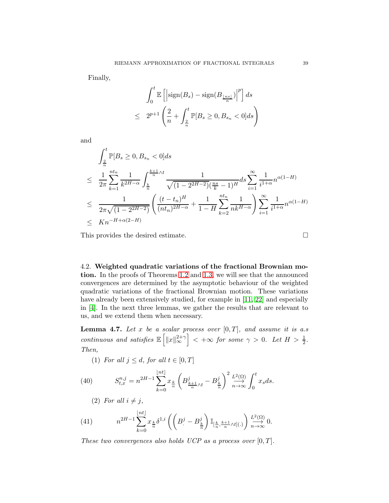Finally,

$$
\int_0^t \mathbb{E}\left[\left|\text{sign}(B_s) - \text{sign}(B_{\frac{\lfloor ns \rfloor}{n}})\right|^p\right] ds
$$
  

$$
\leq 2^{p+1} \left(\frac{2}{n} + \int_{\frac{2}{n}}^t \mathbb{P}[B_s \geq 0, B_{s_n} < 0] ds\right)
$$

and

$$
\int_{\frac{2}{n}}^{t} \mathbb{P}[B_{s} \ge 0, B_{s_{n}} < 0] ds
$$
\n
$$
\le \frac{1}{2\pi} \sum_{k=1}^{nt_{n}} \frac{1}{k^{2H-\alpha}} \int_{\frac{k}{n}}^{\frac{k+1}{n}\wedge t} \frac{1}{\sqrt{(1-2^{2H-2})} (\frac{ns}{k}-1)^{H}} ds \sum_{i=1}^{\infty} \frac{1}{i^{1+\alpha}} n^{\alpha(1-H)}
$$
\n
$$
\le \frac{1}{2\pi\sqrt{(1-2^{2H-2})}} \left( \frac{(t-t_{n})^{H}}{(nt_{n})^{2H-\alpha}} + \frac{1}{1-H} \sum_{k=2}^{nt_{n}} \frac{1}{nk^{H-\alpha}} \right) \sum_{i=1}^{\infty} \frac{1}{i^{1+\alpha}} n^{\alpha(1-H)}
$$
\n
$$
\le Kn^{-H+\alpha(2-H)}
$$

This provides the desired estimate.

4.2. Weighted quadratic variations of the fractional Brownian motion. In the proofs of Theorems [1.2](#page-3-0) and [1.3,](#page-4-0) we will see that the announced convergences are determined by the asymptotic behaviour of the weighted quadratic variations of the fractional Brownian motion. These variations have already been extensively studied, for example in [\[11,](#page-49-11) [22\]](#page-50-13) and especially in [\[4\]](#page-49-18). In the next three lemmas, we gather the results that are relevant to us, and we extend them when necessary.

<span id="page-38-2"></span>Lemma 4.7. *Let* x *be a scalar process over* [0, T]*, and assume it is a.s continuous and satisfies*  $\mathbb{E}\left[\|x\|_{\infty}^{2+\gamma}\right] < +\infty$  *for some*  $\gamma > 0$ *. Let*  $H > \frac{1}{2}$ *. Then,*

(1) *For all*  $j \leq d$ *, for all*  $t \in [0, T]$ 

(40) 
$$
S_{t,x}^{n,j} = n^{2H-1} \sum_{k=0}^{\lfloor nt \rfloor} x_{\frac{k}{n}} \left( B_{\frac{k+1}{n}\wedge t}^j - B_{\frac{k}{n}}^j \right)^2 \xrightarrow[n \to \infty]{L^2(\Omega)} \int_0^t x_s ds.
$$

<span id="page-38-1"></span><span id="page-38-0"></span>(2) For all  $i \neq j$ ,

(41) 
$$
n^{2H-1} \sum_{k=0}^{\lfloor nt \rfloor} x_{\frac{k}{n}} \delta^{1,i} \left( \left( B^j - B^j_{\frac{k}{n}} \right) \mathbb{I}_{[\frac{k}{n}, \frac{k+1}{n} \wedge t](.)} \right) \xrightarrow[n \to \infty]{L^2(\Omega)} 0.
$$

*These two convergences also holds UCP as a process over*  $[0, T]$ *.*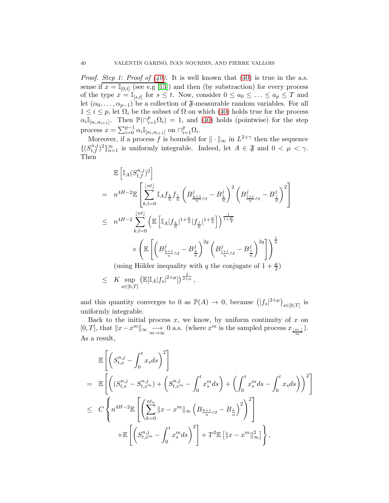*Proof. Step 1: Proof of [\(40\)](#page-38-1)*. It is well known that [\(40\)](#page-38-1) is true in the a.s. sense if  $x = \mathbb{I}_{[0,t]}$  (see e.g [\[13\]](#page-49-19)) and then (by substraction) for every process of the type  $x = \mathbb{I}_{[s,t]}$  for  $s \leq t$ . Now, consider  $0 \leq a_0 \leq \ldots \leq a_p \leq T$  and let  $(\alpha_0, \ldots, \alpha_{p-1})$  be a collection of  $\mathfrak{F}$ -measurable random variables. For all  $1 \leq i \leq p$ , let  $\Omega_i$  be the subset of  $\Omega$  on which [\(40\)](#page-38-1) holds true for the process  $\alpha_i \mathbb{I}_{[a_i,a_{i+1}]}.$  Then  $\mathbb{P}(\bigcap_{i=1}^p \Omega_i) = 1$ , and [\(40\)](#page-38-1) holds (pointwise) for the step process  $x = \sum_{i=0}^{p-1} \alpha_i \mathbb{I}_{[a_i, a_{i+1}]}$  on  $\bigcap_{i=1}^p \Omega_i$ .

Moreover, if a process f is bounded for  $\|\cdot\|_{\infty}$  in  $L^{2+\gamma}$  then the sequence  $\{(S_{t,f}^{n,j})^2\}_{n=1}^{\infty}$  is uniformly integrable. Indeed, let  $A \in \mathfrak{F}$  and  $0 < \mu < \gamma$ . Then

$$
\begin{split} &\mathbb{E}\left[\mathbb{I}_{A}(S_{t,f}^{n,j})^{2}\right] \\ &= n^{4H-2}\mathbb{E}\left[\sum_{k,l=0}^{\lfloor nt \rfloor}\mathbb{I}_{A}f_{\frac{k}{n}}f_{\frac{l}{n}}\left(B_{\frac{k+1}{n}\wedge t}^{j}-B_{\frac{k}{n}}^{j}\right)^{2}\left(B_{\frac{l+1}{n}\wedge t}^{j}-B_{\frac{l}{n}}^{j}\right)^{2}\right] \\ &\leq n^{4H-2}\sum_{k,l=0}^{\lfloor nt \rfloor}\left(\mathbb{E}\left[\mathbb{I}_{A}|f_{\frac{k}{n}}|^{1+\frac{\mu}{2}}|f_{\frac{l}{n}}|^{1+\frac{\mu}{2}}\right]\right)^{\frac{1}{1+\frac{\mu}{2}}} \\ &\times\left(\mathbb{E}\left[\left(B_{\frac{k+1}{n}\wedge t}^{j}-B_{\frac{k}{n}}^{j}\right)^{2q}\left(B_{\frac{l+1}{n}\wedge t}^{j}-B_{\frac{l}{n}}^{j}\right)^{2q}\right]\right)^{\frac{1}{q}} \end{split}
$$

(using Hölder inequality with  $q$  the conjugate of  $1+\frac{\mu}{2})$ 

$$
\leq K \sup_{s \in [0,T]} \left( \mathbb{E}[\mathbb{I}_A | f_s|^{2+\mu}] \right)^{\frac{2}{2+\mu}},
$$

and this quantity converges to 0 as  $\mathbb{P}(A) \to 0$ , because  $(|f_s|^{2+\mu})_{s \in [0,T]}$  is uniformly integrable.

Back to the initial process  $x$ , we know, by uniform continuity of  $x$  on [0, T], that  $||x-x^m||_{\infty} \longrightarrow 0$  a.s. (where  $x^m$  is the sampled process  $x_{\frac{\lfloor m\cdot\rfloor}{m}}$ ). As a result,

$$
\mathbb{E}\left[\left(S_{t,x}^{n,j} - \int_0^t x_s ds\right)^2\right] \n= \mathbb{E}\left[\left((S_{t,x}^{n,j} - S_{t,x^m}^{n,j}) + \left(S_{t,x^m}^{n,j} - \int_0^t x_s^m ds\right) + \left(\int_0^t x_s^m ds - \int_0^t x_s ds\right)\right)^2\right] \n\le C \left\{ n^{4H-2} \mathbb{E}\left[\left(\sum_{k=0}^{nt_n} ||x - x^m||_{\infty} \left(B_{\frac{k+1}{n}\wedge t} - B_{\frac{k}{n}}\right)^2\right)^2\right] \n+ \mathbb{E}\left[\left(S_{t,x^m}^{n,j} - \int_0^t x_s^m ds\right)^2\right] + T^2 \mathbb{E}\left[\|x - x^m\|_{\infty}^2\right]\right\},
$$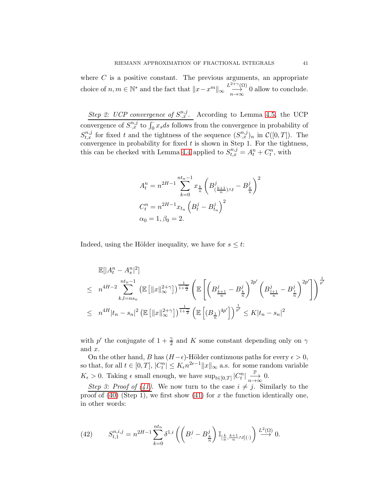where  $C$  is a positive constant. The previous arguments, an appropriate choice of  $n, m \in \mathbb{N}^*$  and the fact that  $||x - x^m||_{\infty} \xrightarrow[n \to \infty]{L^{2+\gamma}(\Omega)}$  $\rightarrow_{n\to\infty}^{\infty}$  0 allow to conclude.

*Step 2: UCP convergence of*  $S^{n,j}_{\cdot,x}$ . According to Lemma [4.5,](#page-35-0) the UCP convergence of  $S^{n,j}_{\cdot,x}$  to  $\int_0^{\cdot} x_s ds$  follows from the convergence in probability of  $S_{t,x}^{n,j}$  for fixed t and the tightness of the sequence  $(S_{\cdot,x}^{n,j})_n$  in  $\mathcal{C}([0,T])$ . The convergence in probability for fixed  $t$  is shown in Step 1. For the tightness, this can be checked with Lemma [4.4](#page-35-1) applied to  $S_{t,x}^{n,j} = A_t^n + C_t^n$ , with

$$
A_t^n = n^{2H-1} \sum_{k=0}^{nt_n-1} x_{\frac{k}{n}} \left( B_{(\frac{k+1}{n})\wedge t}^j - B_{\frac{k}{n}}^j \right)^2
$$
  

$$
C_t^n = n^{2H-1} x_{t_n} \left( B_t^j - B_{t_n}^j \right)^2
$$
  

$$
\alpha_0 = 1, \beta_0 = 2.
$$

Indeed, using the Hölder inequality, we have for  $s \leq t$ :

$$
\mathbb{E}[|A_t^n - A_s^n|^2] \n\leq n^{4H-2} \sum_{k,l=n s_n}^{nt_n-1} \left( \mathbb{E} \left[ \|x\|_{\infty}^{2+\gamma} \right] \right)^{\frac{1}{1+2}} \left( \mathbb{E} \left[ \left( B_{\frac{k+1}{n}}^j - B_{\frac{k}{n}}^j \right)^{2p'} \left( B_{\frac{l+1}{n}}^j - B_{\frac{l}{n}}^j \right)^{2p'} \right] \right)^{\frac{1}{p'}} \n\leq n^{4H} |t_n - s_n|^2 \left( \mathbb{E} \left[ \|x\|_{\infty}^{2+\gamma} \right] \right)^{\frac{1}{1+2}} \left( \mathbb{E} \left[ (B_{\frac{1}{n}})^{4p'} \right] \right)^{\frac{1}{p'}} \leq K |t_n - s_n|^2
$$

with p' the conjugate of  $1 + \frac{\gamma}{2}$  and K some constant depending only on  $\gamma$ and x.

On the other hand, B has  $(H - \epsilon)$ -Hölder continuous paths for every  $\epsilon > 0$ , so that, for all  $t \in [0,T]$ ,  $|C_t^n| \leq K_{\epsilon} n^{2\epsilon-1} ||x||_{\infty}$  a.s. for some random variable  $K_{\epsilon} > 0$ . Taking  $\epsilon$  small enough, we have  $\sup_{t \in [0,T]} |C_t^n|$ P  $\stackrel{\stackrel{\shortparallel}{\longrightarrow}}{n\rightarrow\infty}0.$ 

*Step 3: Proof of [\(41\)](#page-38-0)*. We now turn to the case  $i \neq j$ . Similarly to the proof of  $(40)$  (Step 1), we first show  $(41)$  for x the function identically one, in other words:

<span id="page-40-0"></span>(42) 
$$
S_{t,1}^{n,i,j} = n^{2H-1} \sum_{k=0}^{nt_n} \delta^{1,i} \left( \left( B^j - B^j_{\frac{k}{n}} \right) \mathbb{I}_{\left[\frac{k}{n}, \frac{k+1}{n} \wedge t\right] (\cdot)} \right) \stackrel{L^2(\Omega)}{\longrightarrow} 0.
$$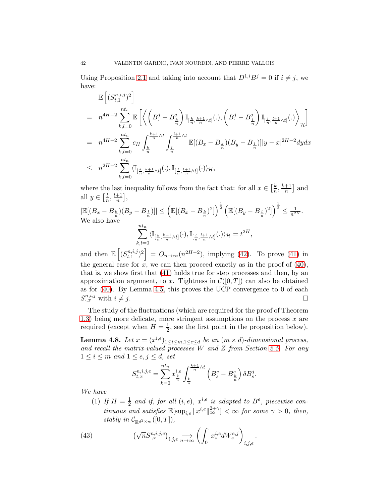Using Proposition 2.1 and taking into account that  $D^{1,i}B^j = 0$  if  $i \neq j$ , we have:

$$
\mathbb{E}\left[ (S_{t,1}^{n,i,j})^2 \right]
$$
\n
$$
= n^{4H-2} \sum_{k,l=0}^{nt_n} \mathbb{E}\left[ \left\langle \left( B^j - B^j_{\frac{k}{n}} \right) \mathbb{I}_{[\frac{k}{n}, \frac{k+1}{n} \wedge t]}(.), \left( B^j - B^j_{\frac{l}{n}} \right) \mathbb{I}_{[\frac{l}{n}, \frac{l+1}{n} \wedge t]}(.) \right\rangle_{\mathcal{H}} \right]
$$
\n
$$
= n^{4H-2} \sum_{k,l=0}^{nt_n} c_H \int_{\frac{k}{n}}^{\frac{k+1}{n} \wedge t} \int_{\frac{l}{n}}^{\frac{l+1}{n} \wedge t} \mathbb{E}[(B_x - B_{\frac{k}{n}})(B_y - B_{\frac{l}{n}})] |y - x|^{2H-2} dy dx
$$
\n
$$
\leq n^{2H-2} \sum_{k,l=0}^{nt_n} \langle \mathbb{I}_{[\frac{k}{n}, \frac{k+1}{n} \wedge t]}(.), \mathbb{I}_{[\frac{l}{n}, \frac{l+1}{n} \wedge t]}(.) \rangle_{\mathcal{H}},
$$

where the last inequality follows from the fact that: for all  $x \in \left[\frac{k}{n}\right]$  $\frac{k}{n}, \frac{k+1}{n}$  $\frac{+1}{n}$  and all  $y \in \left[\frac{l}{n}\right]$  $\frac{l}{n}, \frac{l+1}{n}$  $\frac{+1}{n}$ ,

 $|\mathbb{E}[(B_x - B_{\frac{k}{n}})(B_y - B_{\frac{l}{n}})]| \leq \left(\mathbb{E}[(B_x - B_{\frac{k}{n}})^2]\right)^{\frac{1}{2}} \left(\mathbb{E}[(B_y - B_{\frac{l}{n}})^2]\right)^{\frac{1}{2}} \leq \frac{1}{n^{2H}}.$ We also have  $\sum_{n=1}^{n}$  $k,l=0$  $\langle \mathbb{I}_{[\frac{k}{n},\frac{k+1}{n}\wedge t]}(\cdot),\mathbb{I}_{[\frac{l}{n},\frac{l+1}{n}\wedge t]}(.)\rangle_{\mathcal{H}}=t^{2H},$ 

and then  $\mathbb{E}\left[\left(S_{t,1}^{n,i,j}\right)\right]$  $\begin{bmatrix} (n,i,j) \ (i,j) \ (i,j) \ (i,j) \end{bmatrix} = O_{n \to \infty}(n^{2H-2})$ , implying [\(42\)](#page-40-0). To prove [\(41\)](#page-38-0) in the general case for  $x$ , we can then proceed exactly as in the proof of  $(40)$ , that is, we show first that [\(41\)](#page-38-0) holds true for step processes and then, by an approximation argument, to x. Tightness in  $\mathcal{C}([0,T])$  can also be obtained as for [\(40\)](#page-38-1). By Lemma [4.5,](#page-35-0) this proves the UCP convergence to 0 of each  $S^{n,i,j}_{\cdot,x}$  with  $i \neq j$ .

The study of the fluctuations (which are required for the proof of Theorem [1.3\)](#page-4-0) being more delicate, more stringent assumptions on the process  $x$  are required (except when  $H = \frac{1}{2}$ , see the first point in the proposition below).

<span id="page-41-1"></span>**Lemma 4.8.** Let  $x = (x^{i,e})_{1 \leq i \leq m, 1 \leq e \leq d}$  be an  $(m \times d)$ -dimensional process, *and recall the matrix-valued processes* W *and* Z *from Section [2.5.](#page-9-0) For any*  $1 \leq i \leq m$  and  $1 \leq e, j \leq d$ , set

$$
S_{t,x}^{n,i,j,e} = \sum_{k=0}^{nt_n} x_{\frac{k}{n}}^{i,e} \int_{\frac{k}{n}}^{\frac{k+1}{n} \wedge t} \left( B_s^e - B_{\frac{k}{n}}^e \right) \delta B_s^j.
$$

*We have*

(1) If  $H = \frac{1}{2}$  and if, for all  $(i, e)$ ,  $x^{i,e}$  is adapted to  $B^e$ , piecewise con $t$ *inuous and satisfies*  $\mathbb{E}[\sup_{i,e} ||x^{i,e}||_{\infty}^{2+\gamma}] < \infty$  for some  $\gamma > 0$ , then, *stably in*  $\mathcal{C}_{\mathbb{R}^{d^2}\times m}([0,T]),$ 

<span id="page-41-0"></span>(43) 
$$
\left(\sqrt{n}S^{n,i,j,e}_{\cdot,x}\right)_{i,j,e} \underset{n \to \infty}{\longrightarrow} \left(\int_0^{\cdot} x_s^{i,e} dW_s^{e,j}\right)_{i,j,e}.
$$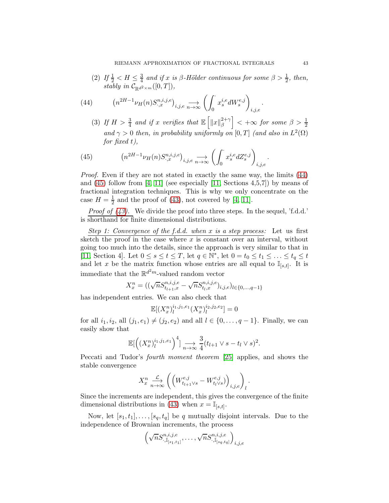(2) *If*  $\frac{1}{2}$  < *H*  $\leq \frac{3}{4}$  $\frac{3}{4}$  and if x is  $\beta$ -Hölder continuous for some  $\beta > \frac{1}{2}$ , then, *stably in*  $C_{\mathbb{R}^{d^2 \times m}}([0,T]),$ 

(44) 
$$
\left(n^{2H-1}\nu_H(n)S^{n,i,j,e}_{\cdot,x}\right)_{i,j,e} \longrightarrow \left(\int_0^{\cdot} x_s^{i,e} dW_s^{e,j}\right)_{i,j,e}.
$$

<span id="page-42-0"></span>(3) If  $H > \frac{3}{4}$  and if x verifies that  $\mathbb{E} \left[ ||x||_{{\beta}}^{2+\gamma} \right]$ β  $\Big\} < +\infty$  *for some*  $\beta > \frac{1}{2}$ and  $\gamma > 0$  then, in probability uniformly on [0, T] *(and also in*  $L^2(\Omega)$ ) *for fixed* t*),*

<span id="page-42-1"></span>(45) 
$$
\left(n^{2H-1}\nu_H(n)S^{n,i,j,e}_{\cdot,x}\right)_{i,j,e} \longrightarrow \left(\int_0^{\cdot} x_s^{i,e} dZ_s^{e,j}\right)_{i,j,e}
$$

*Proof.* Even if they are not stated in exactly the same way, the limits  $(44)$ and  $(45)$  follow from [\[4,](#page-49-18) [11\]](#page-49-11) (see especially [\[11,](#page-49-11) Sections 4,5,7]) by means of fractional integration techniques. This is why we only concentrate on the case  $H=\frac{1}{2}$  $\frac{1}{2}$  and the proof of [\(43\)](#page-41-0), not covered by [\[4,](#page-49-18) [11\]](#page-49-11).

*Proof of [\(43\)](#page-41-0).* We divide the proof into three steps. In the sequel, 'f.d.d.' is shorthand for finite dimensional distributions.

*Step 1: Convergence of the f.d.d. when* x *is a step process:* Let us first sketch the proof in the case where  $x$  is constant over an interval, without going too much into the details, since the approach is very similar to that in [\[11,](#page-49-11) Section 4]. Let  $0 \le s \le t \le T$ , let  $q \in \mathbb{N}^*$ , let  $0 = t_0 \le t_1 \le \ldots \le t_q \le t$ and let x be the matrix function whose entries are all equal to  $\mathbb{I}_{[s,t]}$ . It is immediate that the  $\mathbb{R}^{d^2m}$ -valued random vector

$$
X_x^n = ((\sqrt{n}S_{t_{l+1},x}^{n,i,j,e} - \sqrt{n}S_{t_l,x}^{n,i,j,e})_{i,j,e})_{l \in \{0,\dots,q-1\}}
$$

has independent entries. We can also check that

$$
\mathbb{E}[(X_x^n)_l^{i_1,j_1,e_1}(X_x^n)_l^{i_2,j_2,e_2}] = 0
$$

for all  $i_1, i_2$ , all  $(j_1, e_1) \neq (j_2, e_2)$  and all  $l \in \{0, ..., q-1\}$ . Finally, we can easily show that

$$
\mathbb{E}\left[\left(\left(X_x^n\right)_l^{i_1,j_1,e_1}\right)^4\right] \underset{n\to\infty}{\longrightarrow} \frac{3}{4}(t_{l+1} \vee s - t_l \vee s)^2.
$$

Peccati and Tudor's *fourth moment theorem* [\[25\]](#page-50-14) applies, and shows the stable convergence

$$
X_x^n \xrightarrow[n \to \infty]{\mathcal{L}} \left( \left( W^{e,j}_{t_{l+1} \vee s} - W^{e,j}_{t_l \vee s} ) \right)_{i,j,e} \right)_l.
$$

Since the increments are independent, this gives the convergence of the finite dimensional distributions in [\(43\)](#page-41-0) when  $x = \mathbb{I}_{[s,t]}$ .

Now, let  $[s_1, t_1], \ldots, [s_q, t_q]$  be q mutually disjoint intervals. Due to the independence of Brownian increments, the process

$$
\left(\sqrt{n}S_{\cdot,\mathbb{I}_{[s_1,t_1]}}^{n,i,j,e},\ldots,\sqrt{n}S_{\cdot,\mathbb{I}_{[s_q,t_q]}}^{n,i,j,e}\right)_{i,j,e}
$$

.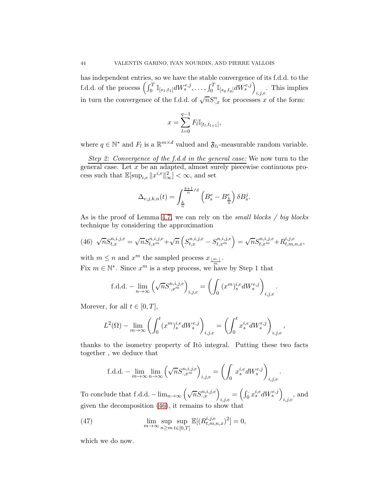has independent entries, so we have the stable convergence of its f.d.d. to the f.d.d. of the process  $\left( \int_0^T \mathbb{I}_{[s_1,t_1]} dW_s^{e,j}, \ldots, \int_0^T \mathbb{I}_{[s_q,t_q]} dW_s^{e,j} \right)$  $_{i,j,e}$ . This implies in turn the convergence of the f.d.d. of  $\sqrt{n}S^n_{.,x}$  for processes x of the form:

$$
x = \sum_{l=0}^{q-1} F_l \mathbb{I}_{[t_l, t_{l+1}]},
$$

where  $q \in \mathbb{N}^*$  and  $F_l$  is a  $\mathbb{R}^{m \times d}$  valued and  $\mathfrak{F}_{t_l}$ -measurable random variable.

*Step 2: Convergence of the f.d.d in the general case:* We now turn to the general case. Let x be an adapted, almost surely piecewise continuous process such that  $\mathbb{E}[\sup_{i,e} ||x^{i,e}||_{\infty}^2] < \infty$ , and set

$$
\Delta_{e,j,k,n}(t) = \int_{\frac{k}{n}}^{\frac{k+1}{n} \wedge t} \left( B_s^e - B_{\frac{k}{n}}^e \right) \delta B_s^j.
$$

As is the proof of Lemma [4.7,](#page-38-2) we can rely on the *small blocks / big blocks* technique by considering the approximation

<span id="page-43-0"></span>(46) 
$$
\sqrt{n}S_{t,x}^{n,i,j,e} = \sqrt{n}S_{t,x}^{n,i,j,e} + \sqrt{n}\left(S_{t,x}^{n,i,j,e} - S_{t,x}^{n,i,j,e}\right) = \sqrt{n}S_{t,x}^{n,i,j,e} + R_{t,m,n,x}^{i,j,e},
$$

with  $m \leq n$  and  $x^m$  the sampled process  $x_{\lfloor \frac{m}{n} \rfloor}$ . Fix  $m \in \mathbb{N}^*$ . Since  $x^m$  is a step process, we have by Step 1 that

$$
\text{f.d.d.} - \lim_{n \to \infty} \left( \sqrt{n} S^{n,i,j,e}_{\cdot,x^m} \right)_{i,j,e} = \left( \int_0^. (x^m)^{i,e}_s dW^{e,j}_s \right)_{i,j,e}
$$

.

.

Morever, for all  $t \in [0, T]$ ,

$$
L^2(\Omega) - \lim_{m \to \infty} \left( \int_0^t (x^m)_s^{i,e} dW_s^{e,j} \right)_{i,j,e} = \left( \int_0^t x_s^{i,e} dW_s^{e,j} \right)_{i,j,e},
$$

thanks to the isometry property of Itô integral. Putting these two facts together , we deduce that

f.d.d. – 
$$
\lim_{m \to \infty} \lim_{n \to \infty} \left( \sqrt{n} S^{n,i,j,e}_{.,x^m} \right)_{i,j,e} = \left( \int_0^{\cdot} x_s^{i,e} dW_s^{e,j} \right)_{i,j,e}
$$

To conclude that f.d.d.  $-\lim_{n\to\infty}\left(\sqrt{n}S^{n,i,j,e}_{\cdot,x}\right)_{i,j,e} = \left(\int_0^{\cdot} x_s^{i,e} dW^{e,j}_s\right)$  $_{i,j,e}$ , and given the decomposition [\(46\)](#page-43-0), it remains to show that

<span id="page-43-1"></span>(47) 
$$
\lim_{m \to \infty} \sup_{n \ge m} \sup_{t \in [0,T]} \mathbb{E}[(R_{t,m,n,x}^{i,j,e})^2] = 0,
$$

which we do now.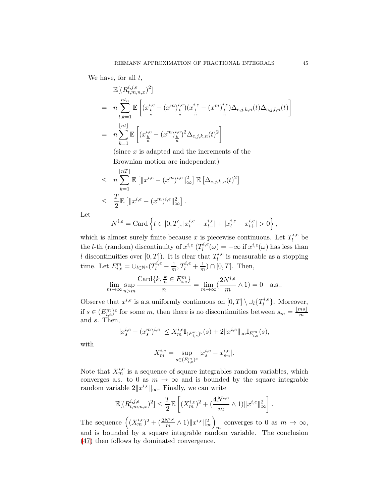We have, for all  $t$ ,

$$
\mathbb{E}[(R_{t,m,n,x}^{i,j,e})^2]
$$
\n
$$
= n \sum_{l,k=1}^{nt_n} \mathbb{E} \left[ (x_{\frac{k}{n}}^{i,e} - (x^m)_{\frac{k}{n}}^{i,e}) (x_{\frac{l}{n}}^{i,e} - (x^m)_{\frac{l}{n}}^{i,e}) \Delta_{e,j,k,n}(t) \Delta_{e,j,l,n}(t) \right]
$$
\n
$$
= n \sum_{k=1}^{\lfloor nt \rfloor} \mathbb{E} \left[ (x_{\frac{k}{n}}^{i,e} - (x^m)_{\frac{k}{n}}^{i,e})^2 \Delta_{e,j,k,n}(t)^2 \right]
$$

(since  $x$  is adapted and the increments of the Brownian motion are independent)

$$
\leq n \sum_{k=1}^{\lfloor nT \rfloor} \mathbb{E} \left[ \|x^{i,e} - (x^m)^{i,e} \|_{\infty}^2 \right] \mathbb{E} \left[ \Delta_{e,j,k,n}(t)^2 \right]
$$
  

$$
\leq \frac{T}{2} \mathbb{E} \left[ \|x^{i,e} - (x^m)^{i,e} \|_{\infty}^2 \right].
$$

Let

$$
N^{i,e} = \text{Card}\left\{t \in [0,T], |x_t^{i,e} - x_{t-}^{i,e}| + |x_t^{i,e} - x_{t+}^{i,e}| > 0\right\},\,
$$

which is almost surely finite because x is piecewise continuous. Let  $T_l^{i,e}$  $l^{u,e}$  be the *l*-th (random) discontinuity of  $x^{i,e}$  ( $T_l^{i,e}$  $\mathcal{L}_l^{i,e}(\omega) = +\infty$  if  $x^{i,e}(\omega)$  has less than l discontinuities over  $[0,T]$ ). It is clear that  $T_l^{i,e}$  $\sum_{l}^{n,e}$  is measurable as a stopping time. Let  $E_{i,e}^m = \bigcup_{l \in \mathbb{N}^*} (T_l^{i,e} - \frac{1}{m}, T_l^{i,e} + \frac{1}{m}) \cap [0,T]$ . Then,

$$
\lim_{m \to \infty} \sup_{n>m} \frac{\text{Card}\{k, \frac{k}{n} \in E_{i,e}^m\}}{n} = \lim_{m \to \infty} (\frac{2N^{i,e}}{m} \wedge 1) = 0 \quad \text{a.s.}.
$$

Observe that  $x^{i,e}$  is a.s. uniformly continuous on  $[0,T] \setminus \cup_l \{T_l^{i,e}$  $\{u, e\}$ . Moreover, if  $s \in (E_{i,e}^m)^c$  for some m, then there is no discontinuities between  $s_m = \frac{\lfloor ms \rfloor}{m}$ m and s. Then,

$$
|x_s^{i,e} - (x_s^m)^{i,e}| \le X_m^{i,e} \mathbb{I}_{(E_{i,e}^m)^c}(s) + 2||x^{i,e}||_{\infty} \mathbb{I}_{E_{i,e}^m}(s),
$$

with

$$
X^{i,e}_m = \sup_{s \in (E^m_{i,e})^c} |x^{i,e}_s - x^{i,e}_{s_m}|.
$$

Note that  $X_m^{i,e}$  is a sequence of square integrables random variables, which converges a.s. to 0 as  $m \to \infty$  and is bounded by the square integrable random variable  $2||x^{i,e}||_{\infty}$ . Finally, we can write

$$
\mathbb{E}[(R_{t,m,n,x}^{i,j,e})^2] \leq \frac{T}{2} \mathbb{E}\left[ (X_m^{i,e})^2 + (\frac{4N^{i,e}}{m} \wedge 1) \|x^{i,e}\|_{\infty}^2 \right].
$$

The sequence  $((X_m^{i,e})^2 + (\frac{2N^{i,e}}{m} \wedge 1) \|x^{i,e}\|_{\infty}^2)$  $\overline{ }$ converges to 0 as  $m \to \infty$ , and is bounded by a square integrable random variable. The conclusion [\(47\)](#page-43-1) then follows by dominated convergence.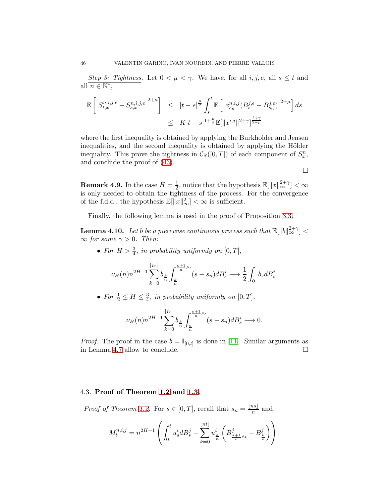*Step 3: Tightness.* Let  $0 < \mu < \gamma$ . We have, for all  $i, j, e$ , all  $s \leq t$  and all  $n \in \mathbb{N}^*$ ,

$$
\mathbb{E}\left[\left|S_{t,x}^{n,i,j,e}-S_{s,x}^{n,i,j,e}\right|^{2+\mu}\right] \leq |t-s|^{\frac{\mu}{2}} \int_s^t \mathbb{E}\left[\left|x_{s_n}^{n,i,j}(B_s^{j,e}-B_{s_n}^{j,e})\right|^{2+\mu}\right] ds
$$
  

$$
\leq K|t-s|^{1+\frac{\mu}{2}} \mathbb{E}[\|x^{i,j}\|^{2+\gamma}]^{\frac{2+\gamma}{2+\mu}}
$$

where the first inequality is obtained by applying the Burkholder and Jensen inequalities, and the second inequality is obtained by applying the Hölder inequality. This prove the tightness in  $C_{\mathbb{R}}([0,T])$  of each component of  $S_x^n$ , and conclude the proof of [\(43\)](#page-41-0).

 $\Box$ 

**Remark 4.9.** In the case  $H = \frac{1}{2}$  $\frac{1}{2}$ , notice that the hypothesis  $\mathbb{E}[\Vert x \Vert_{\infty}^{2+\gamma}] < \infty$ is only needed to obtain the tightness of the process. For the convergence of the f.d.d., the hypothesis  $\mathbb{E}[\Vert x \Vert_{\infty}^2] < \infty$  is sufficient.

Finally, the following lemma is used in the proof of Proposition [3.3.](#page-11-2)

<span id="page-45-0"></span>**Lemma 4.10.** Let b be a piecewise continuous process such that  $\mathbb{E}[\Vert b \Vert_\infty^{2+\gamma}] <$  $\infty$  *for some*  $\gamma > 0$ *. Then:* 

• For  $H > \frac{3}{4}$ , in probability uniformly on  $[0, T]$ ,

$$
\nu_H(n)n^{2H-1}\sum_{k=0}^{\lfloor n \cdot \rfloor}b_{\frac{k}{n}}\int_{\frac{k}{n}}^{\frac{k+1}{n}\wedge\cdot}(s-s_n)dB^i_s \longrightarrow \frac{1}{2}\int_0^{\cdot}b_sdB^i_s.
$$

• For  $\frac{1}{2} \leq H \leq \frac{3}{4}$  $\frac{3}{4}$ *, in probability uniformly on*  $[0, T]$ *,* 

$$
\nu_H(n)n^{2H-1}\sum_{k=0}^{\lfloor n \cdot \rfloor}b_{\frac{k}{n}}\int_{\frac{k}{n}}^{\frac{k+1}{n}\wedge\cdot}(s-s_n)dB_s^i \longrightarrow 0.
$$

*Proof.* The proof in the case  $b = \mathbb{I}_{[0,t]}$  is done in [\[11\]](#page-49-11). Similar arguments as in Lemma [4.7](#page-38-2) allow to conclude.

#### 4.3. Proof of Theorem [1.2](#page-3-0) and [1.3.](#page-4-0)

*Proof of Theorem [1.2:](#page-3-0)* For  $s \in [0, T]$ , recall that  $s_n = \frac{\lfloor ns \rfloor}{n}$  $\frac{ns_1}{n}$  and

$$
M_t^{n,i,j} = n^{2H-1}\left(\int_0^t u_s^i dB_s^j - \sum_{k=0}^{\lfloor nt \rfloor} u_{\frac{k}{n}}^i \left(B_{\frac{k+1}{n}\wedge t}^j - B_{\frac{k}{n}}^j\right)\right).
$$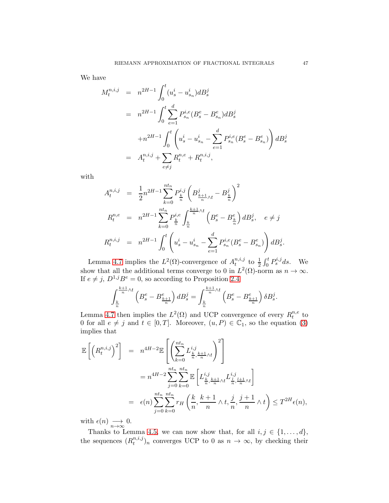We have

$$
M_t^{n,i,j} = n^{2H-1} \int_0^t (u_s^i - u_{s_n}^i) dB_s^j
$$
  
\n
$$
= n^{2H-1} \int_0^t \sum_{e=1}^d P_{s_n}^{i,e}(B_s^e - B_{s_n}^e) dB_s^j
$$
  
\n
$$
+ n^{2H-1} \int_0^t \left( u_s^i - u_{s_n}^i - \sum_{e=1}^d P_{s_n}^{i,e}(B_s^e - B_{s_n}^e) \right) dB_s^j
$$
  
\n
$$
= A_t^{n,i,j} + \sum_{e \neq j} R_t^{n,e} + R_t^{n,i,j},
$$

with

$$
A_t^{n,i,j} = \frac{1}{2} n^{2H-1} \sum_{k=0}^{nt_n} P_{\frac{k}{n}}^{i,j} \left( B_{\frac{k+1}{n}\wedge t}^j - B_{\frac{k}{n}}^j \right)^2
$$
  
\n
$$
R_t^{n,e} = n^{2H-1} \sum_{k=0}^{nt_n} P_{\frac{k}{n}}^{i,e} \int_{\frac{k}{n}}^{\frac{k+1}{n}\wedge t} \left( B_s^e - B_{\frac{k}{n}}^e \right) dB_s^j, \quad e \neq j
$$
  
\n
$$
R_t^{n,i,j} = n^{2H-1} \int_0^t \left( u_s^i - u_{s_n}^i - \sum_{e=1}^d P_{s_n}^{i,e} (B_s^e - B_{s_n}^e) \right) dB_s^j.
$$

Lemma [4.7](#page-38-2) implies the  $L^2(\Omega)$ -convergence of  $A_t^{n,i,j}$  $t^{n,i,j}$  to  $\frac{1}{2} \int_0^t P_s^{i,j} ds$ . We show that all the additional terms converge to 0 in  $L^2(\Omega)$ -norm as  $n \to \infty$ . If  $e \neq j$ ,  $D^{1,j}B^e = 0$ , so according to Proposition [2.4](#page-9-3)

$$
\int_{\frac{k}{n}}^{\frac{k+1}{n}\wedge t} \left(B_s^e - B_{\frac{k+1}{n}}^e\right) dB_s^j = \int_{\frac{k}{n}}^{\frac{k+1}{n}\wedge t} \left(B_s^e - B_{\frac{k+1}{n}}^e\right) \delta B_s^j.
$$

Lemma [4.7](#page-38-2) then implies the  $L^2(\Omega)$  and UCP convergence of every  $R_t^{n,e}$  $t^{n,e}$  to 0 for all  $e \neq j$  and  $t \in [0, T]$ . Moreover,  $(u, P) \in \mathbb{C}_1$ , so the equation [\(3\)](#page-3-4) implies that

$$
\mathbb{E}\left[\left(R_t^{n,i,j}\right)^2\right] = n^{4H-2}\mathbb{E}\left[\left(\sum_{k=0}^{nt_n} L_{\frac{k}{n}, \frac{k+1}{n}\wedge t}^{i,j}\right)^2\right]
$$
  
\n
$$
= n^{4H-2}\sum_{j=0}^{nt_n} \sum_{k=0}^{nt_n} \mathbb{E}\left[L_{\frac{k}{n}, \frac{k+1}{n}\wedge t}^{i,j} L_{\frac{l}{n}, \frac{l+1}{n}\wedge t}^{i,j}\right]
$$
  
\n
$$
= \epsilon(n)\sum_{j=0}^{nt_n} \sum_{k=0}^{nt_n} r_H\left(\frac{k}{n}, \frac{k+1}{n}\wedge t, \frac{j}{n}, \frac{j+1}{n}\wedge t\right) \leq T^{2H}\epsilon(n),
$$

with  $\epsilon(n) \longrightarrow_{n \to \infty} 0$ .

Thanks to Lemma [4.5,](#page-35-0) we can now show that, for all  $i, j \in \{1, \ldots, d\}$ , the sequences  $(R_t^{n,i,j})$  $(t_i^{n,t,j})_n$  converges UCP to 0 as  $n \to \infty$ , by checking their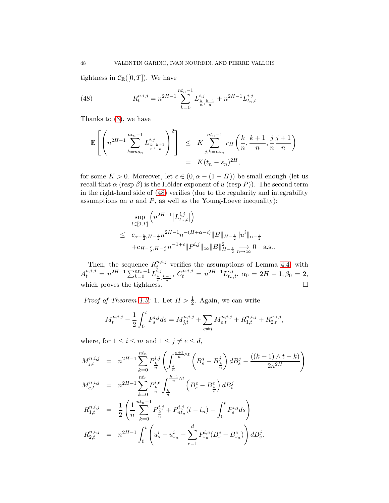tightness in  $C_{\mathbb{R}}([0,T])$ . We have

<span id="page-47-0"></span>(48) 
$$
R_t^{n,i,j} = n^{2H-1} \sum_{k=0}^{nt_n-1} L_{\frac{k}{n}, \frac{k+1}{n}}^{i,j} + n^{2H-1} L_{t_n, t}^{i,j}
$$

Thanks to [\(3\)](#page-3-4), we have

$$
\mathbb{E}\left[\left(n^{2H-1}\sum_{k=ns_n}^{nt_n-1} L_{\frac{k}{n},\frac{k+1}{n}}^{i,j}\right)^2\right] \leq K \sum_{j,k=ns_n}^{nt_n-1} r_H\left(\frac{k}{n},\frac{k+1}{n},\frac{j}{n},\frac{j+1}{n}\right) = K(t_n - s_n)^{2H},
$$

for some  $K > 0$ . Moreover, let  $\epsilon \in (0, \alpha - (1 - H))$  be small enough (let us recall that  $\alpha$  (resp  $\beta$ ) is the Hölder exponent of u (resp P)). The second term in the right-hand side of [\(48\)](#page-47-0) verifies (due to the regularity and integrability assumptions on  $u$  and  $P$ , as well as the Young-Loeve inequality):

$$
\begin{array}{lcl} & \displaystyle \sup_{t\in[0,T]} \Big( n^{2H-1}\big| L_{t_n,t}^{i,j} \big| \Big) \\[1mm] & \leq & \displaystyle c_{\alpha-\frac{\epsilon}{2},H-\frac{\epsilon}{2}} n^{2H-1} n^{-(H+\alpha-\epsilon)} \|B\|_{H-\frac{\epsilon}{2}} \|u^i\|_{\alpha-\frac{\epsilon}{2}} \\[1mm] & \displaystyle +c_{H-\frac{\epsilon}{2},H-\frac{\epsilon}{2}} n^{-1+\epsilon} \|P^{i,j}\|_\infty \|B\|_{H-\frac{\epsilon}{2}}^2 \underset{n\to\infty}{\longrightarrow} 0 \quad \text{a.s.}. \end{array}
$$

Then, the sequence  $R_t^{n,i,j}$  $t^{n,i,j}$  verifies the assumptions of Lemma [4.4,](#page-35-1) with  $A_t^{n,i,j} = n^{2H-1} \sum_{k=0}^{nt_n-1} L_{\frac{k}{n}, \frac{k+1}{n}}^{i,j}, C_t^{n,i,j} = n^{2H-1} L_{t_n,t}^{i,j}, \ \alpha_0 = 2H - 1, \beta_0 = 2,$ which proves the tightness.

*Proof of Theorem [1.3:](#page-4-0)* 1. Let  $H > \frac{1}{2}$ . Again, we can write

$$
M_t^{n,i,j} - \frac{1}{2} \int_0^t P_s^{i,j} ds = M_{j,t}^{n,i,j} + \sum_{e \neq j} M_{e,t}^{n,i,j} + R_{1,t}^{n,i,j} + R_{2,t}^{n,i,j},
$$

where, for  $1 \leq i \leq m$  and  $1 \leq j \neq e \leq d$ ,

$$
M_{j,t}^{n,i,j} = n^{2H-1} \sum_{k=0}^{nt_n} P_{\frac{k}{n}}^{i,j} \left( \int_{\frac{k}{n}}^{\frac{k+1}{n} \wedge t} \left( B_s^j - B_{\frac{k}{n}}^j \right) dB_s^j - \frac{((k+1) \wedge t - k)}{2n^{2H}} \right)
$$
  
\n
$$
M_{e,t}^{n,i,j} = n^{2H-1} \sum_{k=0}^{nt_n} P_{\frac{k}{n}}^{i,e} \int_{\frac{k}{n}}^{\frac{k+1}{n} \wedge t} \left( B_s^e - B_{\frac{k}{n}}^e \right) dB_s^j
$$
  
\n
$$
R_{1,t}^{n,i,j} = \frac{1}{2} \left( \frac{1}{n} \sum_{k=0}^{nt_n-1} P_{\frac{k}{n}}^{i,j} + P_{nt_n}^{i,j} (t - t_n) - \int_0^t P_s^{i,j} ds \right)
$$
  
\n
$$
R_{2,t}^{n,i,j} = n^{2H-1} \int_0^t \left( u_s^i - u_{s_n}^i - \sum_{e=1}^d P_{s_n}^{i,e} (B_s^e - B_{s_n}^e) \right) dB_s^j.
$$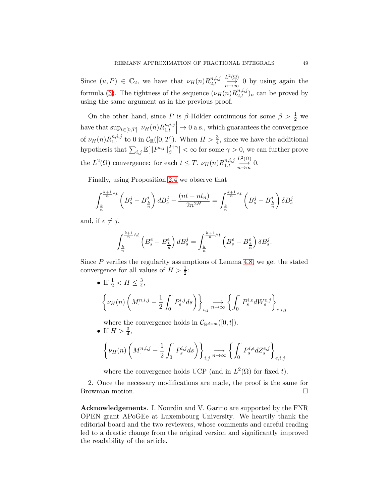Since  $(u, P) \in \mathbb{C}_2$ , we have that  $\nu_H(n) R_{2,t}^{n,i,j}$  $_{2,t}$  $L^2(\Omega)$  $\frac{d^2(z)}{n\to\infty}$  0 by using again the formula [\(3\)](#page-3-4). The tightness of the sequence  $(\nu_H(n)R_{2,t}^{n,i,j})_n$  can be proved by using the same argument as in the previous proof.

On the other hand, since P is  $\beta$ -Hölder continuous for some  $\beta > \frac{1}{2}$  we have that  $\sup_{t\in[0,T]}\left|\nu_H(n)R_{1,t}^{n,i,j}\right|$  $_{1,t}$  $\rightarrow 0$  a.s., which guarantees the convergence of  $\nu_H(n)R_{1,\cdot}^{n,i,j}$ 1,· to 0 in <sup>C</sup>R([0, T]). When H > <sup>3</sup> 4 , since we have the additional hypothesis that  $\sum_{i,j} \mathbb{E}[\Vert P^{i,j} \Vert_{\beta}^{2+\gamma}]$  $\left[\beta \frac{2+\gamma}{\beta}\right] < \infty$  for some  $\gamma > 0$ , we can further prove the  $L^2(\Omega)$  convergence: for each  $t \leq T$ ,  $\nu_H(n)R_{1,t}^{n,i,j}$  $_{1,t}$  $L^2(\Omega)$  $\overrightarrow{n\rightarrow\infty}$  0.

Finally, using Proposition [2.4](#page-9-3) we observe that

$$
\int_{\frac{k}{n}}^{\frac{k+1}{n}\wedge t} \left(B_s^j - B_{\frac{k}{n}}^j\right) dB_s^j - \frac{(nt - nt_n)}{2n^{2H}} = \int_{\frac{k}{n}}^{\frac{k+1}{n}\wedge t} \left(B_s^j - B_{\frac{k}{n}}^j\right) \delta B_s^j
$$

and, if  $e \neq i$ ,

$$
\int_{\frac{k}{n}}^{\frac{k+1}{n}\wedge t} \left(B_s^e - B_{\frac{k}{n}}^e\right) dB_s^j = \int_{\frac{k}{n}}^{\frac{k+1}{n}\wedge t} \left(B_s^e - B_{\frac{k}{n}}^e\right) \delta B_s^j.
$$

Since  $P$  verifies the regularity assumptions of Lemma [4.8,](#page-41-1) we get the stated convergence for all values of  $H > \frac{1}{2}$ :

• If 
$$
\frac{1}{2} < H \le \frac{3}{4}
$$
,  
\n
$$
\left\{\nu_H(n) \left(M^{n,i,j} - \frac{1}{2} \int_0^1 P_s^{i,j} ds\right)\right\}_{i,j} \longrightarrow \left\{\int_0^1 P_s^{i,e} dW_s^{e,j}\right\}_{e,i,j}
$$

where the convergence holds in  $\mathcal{C}_{\mathbb{R}^{d\times m}}([0,t])$ .

• If  $H > \frac{3}{4}$ ,  $\sqrt{ }$  $\nu_H(n)$  $\bigg(\,M^{n,i,j}_\cdot\,-\,$ 1 2  $\int$ 0  $P_s^{i,j}$ ds  $\bigg\}$  $\sum_{i,j} \longrightarrow \left\{ \int_0^1$  $P_s^{i,e}dZ_s^{e,j}$  $\mathcal{L}$  $_{e,i,j}$ 

where the convergence holds UCP (and in  $L^2(\Omega)$  for fixed t).

2. Once the necessary modifications are made, the proof is the same for Brownian motion.

Acknowledgements. I. Nourdin and V. Garino are supported by the FNR OPEN grant APoGEe at Luxembourg University. We heartily thank the editorial board and the two reviewers, whose comments and careful reading led to a drastic change from the original version and significantly improved the readability of the article.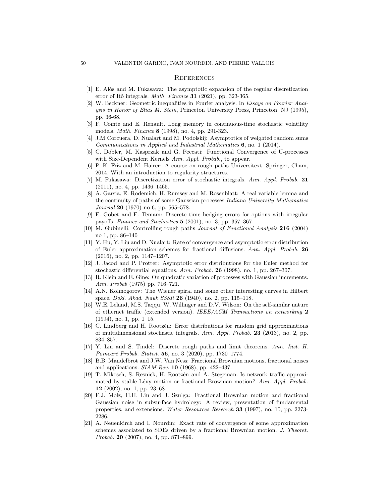#### **REFERENCES**

- <span id="page-49-15"></span><span id="page-49-10"></span>[1] E. Al`os and M. Fukasawa: The asymptotic expansion of the regular discretization error of Itô integrals. *Math. Finance* **31** (2021), pp. 323-365.
- [2] W. Beckner: Geometric inequalities in Fourier analysis. In *Essays on Fourier Analysis in Honor of Elias M. Stein*, Princeton University Press, Princeton, NJ (1995), pp. 36-68.
- <span id="page-49-5"></span>[3] F. Comte and E. Renault. Long memory in continuous-time stochastic volatility models. *Math. Finance* 8 (1998), no. 4, pp. 291-323.
- <span id="page-49-18"></span><span id="page-49-17"></span>[4] J.M Corcuera, D. Nualart and M. Podolskij: Asymptotics of weighted random sums *Communications in Applied and Industrial Mathematics* 6, no. 1 (2014).
- [5] C. D¨obler, M. Kasprzak and G. Peccati: Functional Convergence of U-processes with Size-Dependent Kernels *Ann. Appl. Probab.*, to appear.
- <span id="page-49-16"></span><span id="page-49-7"></span>[6] P. K. Friz and M. Hairer: A course on rough paths Universitext. Springer, Cham, 2014. With an introduction to regularity structures.
- [7] M. Fukasawa: Discretization error of stochastic integrals. *Ann. Appl. Probab.* 21 (2011), no. 4, pp. 1436–1465.
- [8] A. Garsia, E. Rodemich, H. Rumsey and M. Rosenblatt: A real variable lemma and the continuity of paths of some Gaussian processes *Indiana University Mathematics Journal* 20 (1970) no 6, pp. 565–578.
- <span id="page-49-8"></span>[9] E. Gobet and E. Temam: Discrete time hedging errors for options with irregular payoffs. *Finance and Stochastics* 5 (2001), no. 3, pp. 357–367.
- <span id="page-49-14"></span><span id="page-49-11"></span>[10] M. Gubinelli: Controlling rough paths *Journal of Functional Analysis* 216 (2004) no 1, pp. 86–140
- [11] Y. Hu, Y. Liu and D. Nualart: Rate of convergence and asymptotic error distribution of Euler approximation schemes for fractional diffusions. *Ann. Appl. Probab.* 26 (2016), no. 2, pp. 1147–1207.
- <span id="page-49-9"></span>[12] J. Jacod and P. Protter: Asymptotic error distributions for the Euler method for stochastic differential equations. *Ann. Probab.* 26 (1998), no. 1, pp. 267–307.
- <span id="page-49-19"></span>[13] R. Klein and E. Gine: On quadratic variation of processes with Gaussian increments. *Ann. Probab* (1975) pp. 716–721.
- <span id="page-49-0"></span>[14] A.N. Kolmogorov: The Wiener spiral and some other interesting curves in Hilbert space. *Dokl. Akad. Nauk SSSR* 26 (1940), no. 2, pp. 115–118.
- <span id="page-49-3"></span>[15] W.E. Leland, M.S. Taqqu, W. Willinger and D.V. Wilson: On the self-similar nature of ethernet traffic (extended version). *IEEE/ACM Transactions on networking* 2 (1994), no. 1, pp. 1–15.
- <span id="page-49-6"></span>[16] C. Lindberg and H. Rootzen: Error distributions for random grid approximations of multidimensional stochastic integrals. *Ann. Appl. Probab.* 23 (2013), no. 2, pp. 834–857.
- <span id="page-49-13"></span>[17] Y. Liu and S. Tindel: Discrete rough paths and limit theorems. *Ann. Inst. H. Poincaré Probab. Statist.* **56**, no. 3 (2020), pp. 1730–1774.
- <span id="page-49-1"></span>[18] B.B. Mandelbrot and J.W. Van Ness: Fractional Brownian motions, fractional noises and applications. *SIAM Rev.* 10 (1968), pp. 422–437.
- <span id="page-49-4"></span>[19] T. Mikosch, S. Resnick, H. Rootz´en and A. Stegeman. Is network traffic approximated by stable Lévy motion or fractional Brownian motion? *Ann. Appl. Probab.* 12 (2002), no. 1, pp. 23–68.
- <span id="page-49-2"></span>[20] F.J. Molz, H.H. Liu and J. Szulga: Fractional Brownian motion and fractional Gaussian noise in subsurface hydrology: A review, presentation of fundamental properties, and extensions. *Water Resources Research* 33 (1997), no. 10, pp. 2273- 2286.
- <span id="page-49-12"></span>[21] A. Neuenkirch and I. Nourdin: Exact rate of convergence of some approximation schemes associated to SDEs driven by a fractional Brownian motion. *J. Theoret. Probab.* 20 (2007), no. 4, pp. 871–899.